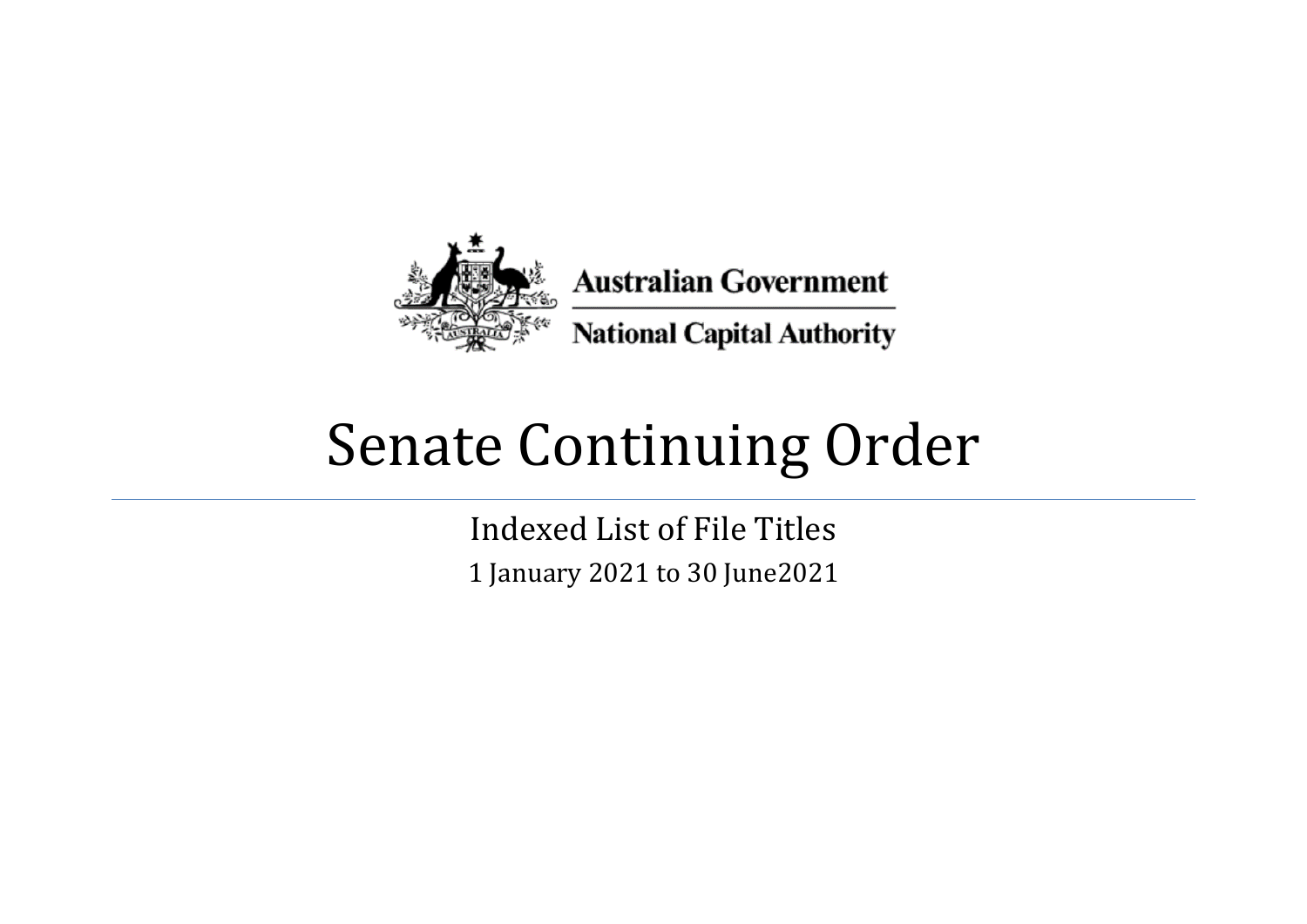

## Senate Continuing Order

Indexed List of File Titles 1 January 2021 to 30 June2021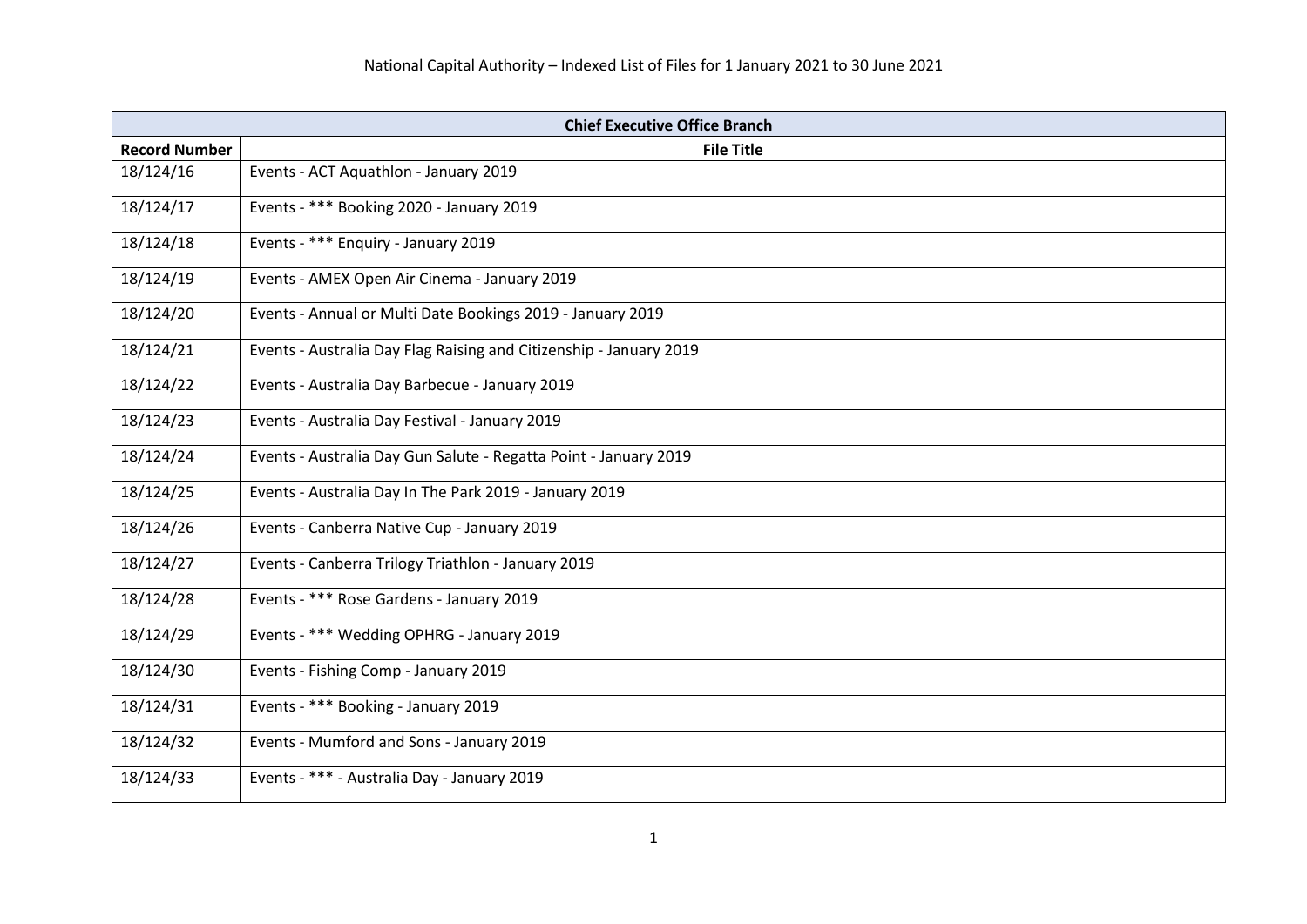| <b>Chief Executive Office Branch</b> |                                                                    |
|--------------------------------------|--------------------------------------------------------------------|
| <b>Record Number</b>                 | <b>File Title</b>                                                  |
| 18/124/16                            | Events - ACT Aquathlon - January 2019                              |
| 18/124/17                            | Events - *** Booking 2020 - January 2019                           |
| 18/124/18                            | Events - *** Enquiry - January 2019                                |
| 18/124/19                            | Events - AMEX Open Air Cinema - January 2019                       |
| 18/124/20                            | Events - Annual or Multi Date Bookings 2019 - January 2019         |
| 18/124/21                            | Events - Australia Day Flag Raising and Citizenship - January 2019 |
| 18/124/22                            | Events - Australia Day Barbecue - January 2019                     |
| 18/124/23                            | Events - Australia Day Festival - January 2019                     |
| 18/124/24                            | Events - Australia Day Gun Salute - Regatta Point - January 2019   |
| 18/124/25                            | Events - Australia Day In The Park 2019 - January 2019             |
| 18/124/26                            | Events - Canberra Native Cup - January 2019                        |
| 18/124/27                            | Events - Canberra Trilogy Triathlon - January 2019                 |
| 18/124/28                            | Events - *** Rose Gardens - January 2019                           |
| 18/124/29                            | Events - *** Wedding OPHRG - January 2019                          |
| 18/124/30                            | Events - Fishing Comp - January 2019                               |
| 18/124/31                            | Events - *** Booking - January 2019                                |
| 18/124/32                            | Events - Mumford and Sons - January 2019                           |
| 18/124/33                            | Events - *** - Australia Day - January 2019                        |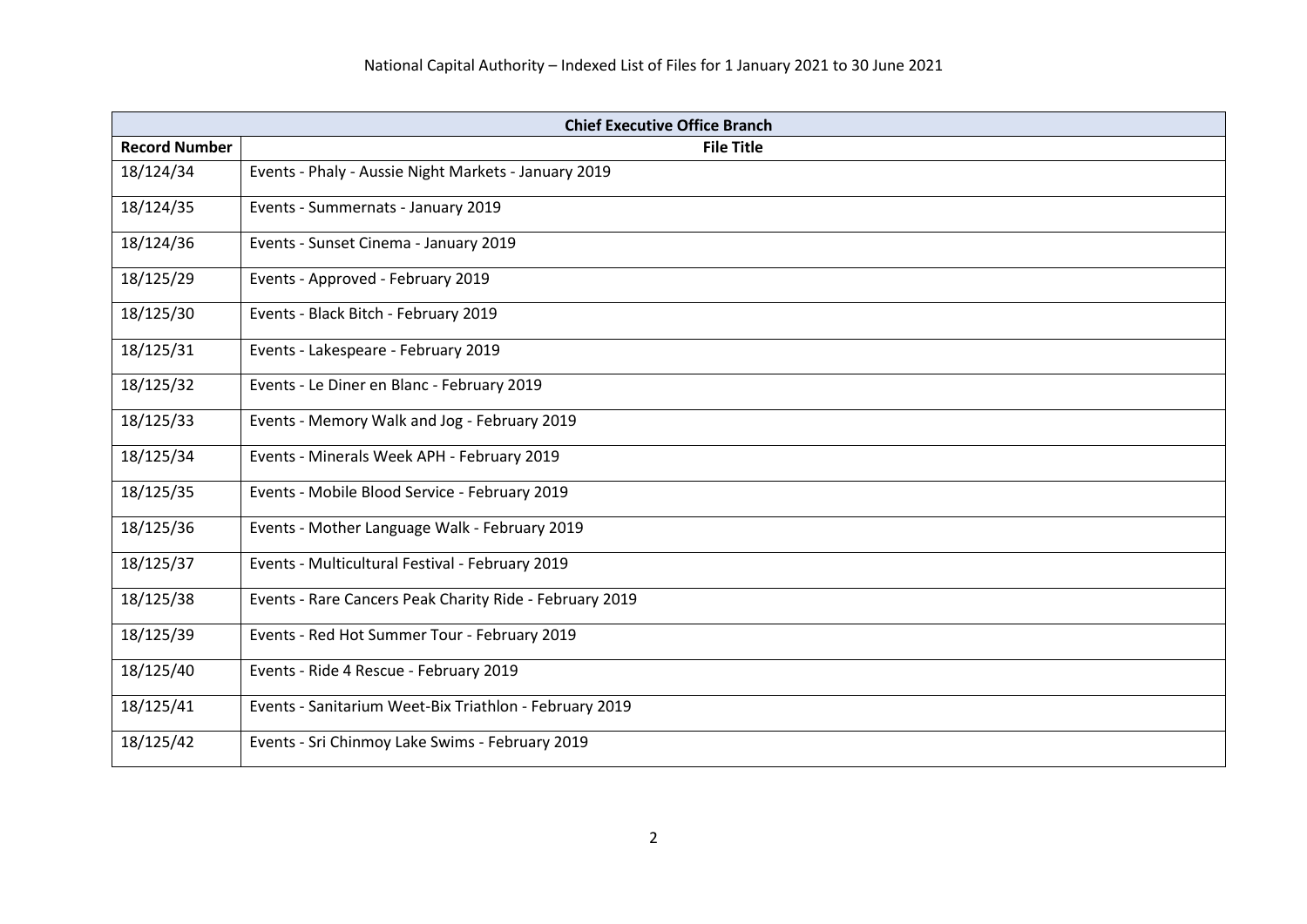| <b>Chief Executive Office Branch</b> |                                                         |
|--------------------------------------|---------------------------------------------------------|
| <b>Record Number</b>                 | <b>File Title</b>                                       |
| 18/124/34                            | Events - Phaly - Aussie Night Markets - January 2019    |
| 18/124/35                            | Events - Summernats - January 2019                      |
| 18/124/36                            | Events - Sunset Cinema - January 2019                   |
| 18/125/29                            | Events - Approved - February 2019                       |
| 18/125/30                            | Events - Black Bitch - February 2019                    |
| 18/125/31                            | Events - Lakespeare - February 2019                     |
| 18/125/32                            | Events - Le Diner en Blanc - February 2019              |
| 18/125/33                            | Events - Memory Walk and Jog - February 2019            |
| 18/125/34                            | Events - Minerals Week APH - February 2019              |
| 18/125/35                            | Events - Mobile Blood Service - February 2019           |
| 18/125/36                            | Events - Mother Language Walk - February 2019           |
| 18/125/37                            | Events - Multicultural Festival - February 2019         |
| 18/125/38                            | Events - Rare Cancers Peak Charity Ride - February 2019 |
| 18/125/39                            | Events - Red Hot Summer Tour - February 2019            |
| 18/125/40                            | Events - Ride 4 Rescue - February 2019                  |
| 18/125/41                            | Events - Sanitarium Weet-Bix Triathlon - February 2019  |
| 18/125/42                            | Events - Sri Chinmoy Lake Swims - February 2019         |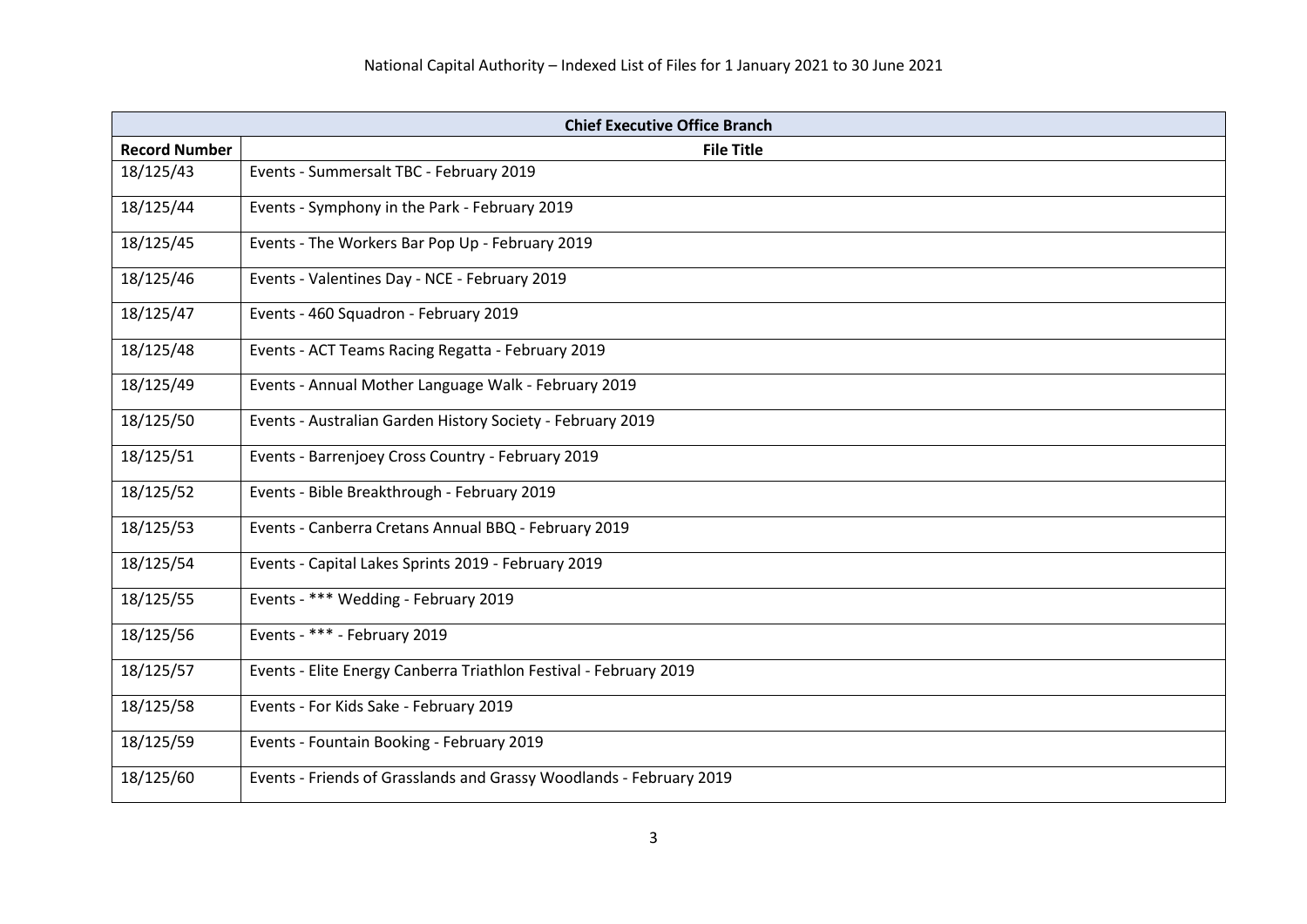| <b>Chief Executive Office Branch</b> |                                                                     |
|--------------------------------------|---------------------------------------------------------------------|
| <b>Record Number</b>                 | <b>File Title</b>                                                   |
| 18/125/43                            | Events - Summersalt TBC - February 2019                             |
| 18/125/44                            | Events - Symphony in the Park - February 2019                       |
| 18/125/45                            | Events - The Workers Bar Pop Up - February 2019                     |
| 18/125/46                            | Events - Valentines Day - NCE - February 2019                       |
| 18/125/47                            | Events - 460 Squadron - February 2019                               |
| 18/125/48                            | Events - ACT Teams Racing Regatta - February 2019                   |
| 18/125/49                            | Events - Annual Mother Language Walk - February 2019                |
| 18/125/50                            | Events - Australian Garden History Society - February 2019          |
| 18/125/51                            | Events - Barrenjoey Cross Country - February 2019                   |
| 18/125/52                            | Events - Bible Breakthrough - February 2019                         |
| 18/125/53                            | Events - Canberra Cretans Annual BBQ - February 2019                |
| 18/125/54                            | Events - Capital Lakes Sprints 2019 - February 2019                 |
| 18/125/55                            | Events - *** Wedding - February 2019                                |
| 18/125/56                            | Events - *** - February 2019                                        |
| 18/125/57                            | Events - Elite Energy Canberra Triathlon Festival - February 2019   |
| 18/125/58                            | Events - For Kids Sake - February 2019                              |
| 18/125/59                            | Events - Fountain Booking - February 2019                           |
| 18/125/60                            | Events - Friends of Grasslands and Grassy Woodlands - February 2019 |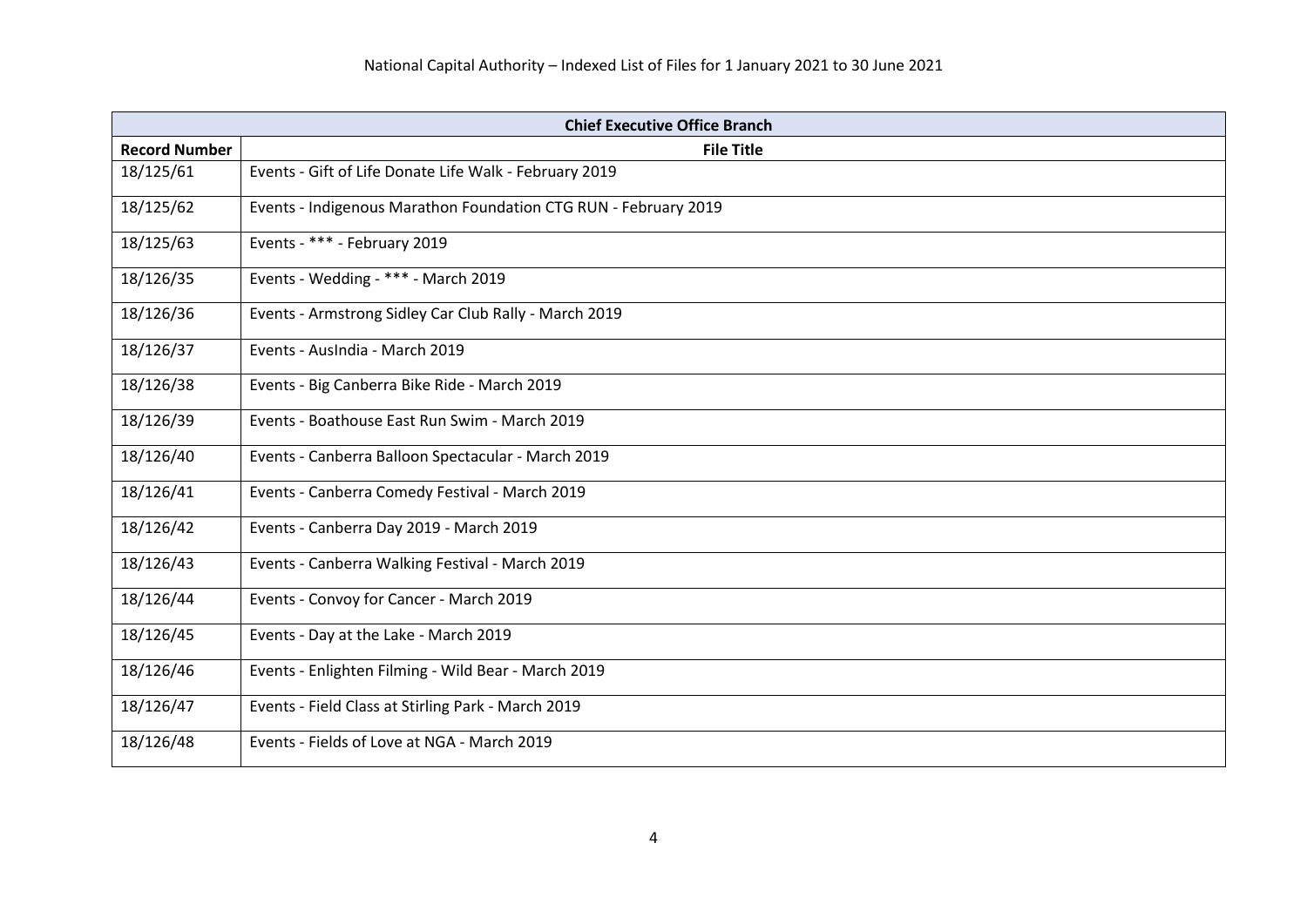| <b>Chief Executive Office Branch</b> |                                                                 |
|--------------------------------------|-----------------------------------------------------------------|
| <b>Record Number</b>                 | <b>File Title</b>                                               |
| 18/125/61                            | Events - Gift of Life Donate Life Walk - February 2019          |
| 18/125/62                            | Events - Indigenous Marathon Foundation CTG RUN - February 2019 |
| 18/125/63                            | Events - *** - February 2019                                    |
| 18/126/35                            | Events - Wedding - *** - March 2019                             |
| 18/126/36                            | Events - Armstrong Sidley Car Club Rally - March 2019           |
| 18/126/37                            | Events - AusIndia - March 2019                                  |
| 18/126/38                            | Events - Big Canberra Bike Ride - March 2019                    |
| 18/126/39                            | Events - Boathouse East Run Swim - March 2019                   |
| 18/126/40                            | Events - Canberra Balloon Spectacular - March 2019              |
| 18/126/41                            | Events - Canberra Comedy Festival - March 2019                  |
| 18/126/42                            | Events - Canberra Day 2019 - March 2019                         |
| 18/126/43                            | Events - Canberra Walking Festival - March 2019                 |
| 18/126/44                            | Events - Convoy for Cancer - March 2019                         |
| 18/126/45                            | Events - Day at the Lake - March 2019                           |
| 18/126/46                            | Events - Enlighten Filming - Wild Bear - March 2019             |
| 18/126/47                            | Events - Field Class at Stirling Park - March 2019              |
| 18/126/48                            | Events - Fields of Love at NGA - March 2019                     |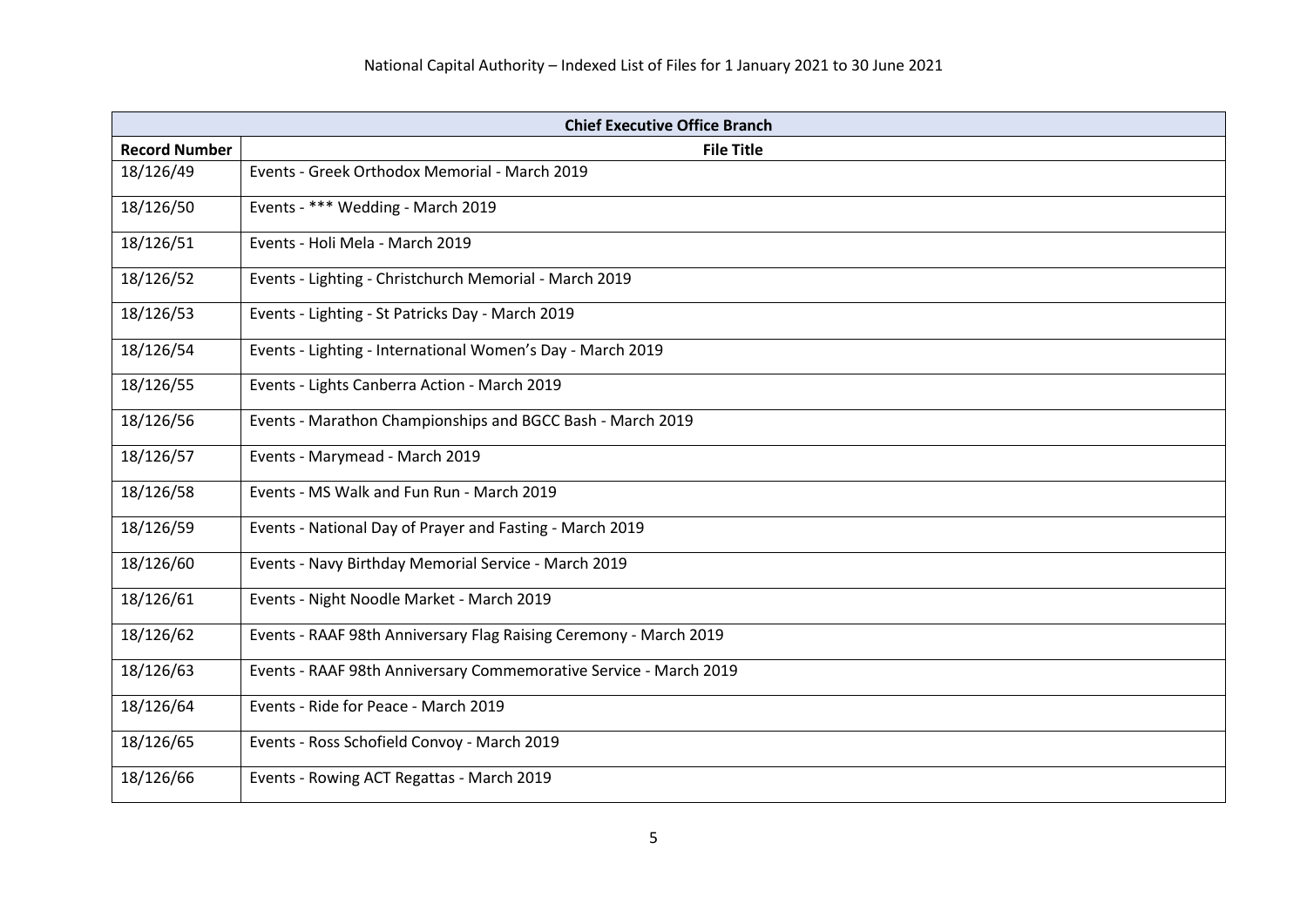| <b>Chief Executive Office Branch</b> |                                                                   |
|--------------------------------------|-------------------------------------------------------------------|
| <b>Record Number</b>                 | <b>File Title</b>                                                 |
| 18/126/49                            | Events - Greek Orthodox Memorial - March 2019                     |
| 18/126/50                            | Events - *** Wedding - March 2019                                 |
| 18/126/51                            | Events - Holi Mela - March 2019                                   |
| 18/126/52                            | Events - Lighting - Christchurch Memorial - March 2019            |
| 18/126/53                            | Events - Lighting - St Patricks Day - March 2019                  |
| 18/126/54                            | Events - Lighting - International Women's Day - March 2019        |
| 18/126/55                            | Events - Lights Canberra Action - March 2019                      |
| 18/126/56                            | Events - Marathon Championships and BGCC Bash - March 2019        |
| 18/126/57                            | Events - Marymead - March 2019                                    |
| 18/126/58                            | Events - MS Walk and Fun Run - March 2019                         |
| 18/126/59                            | Events - National Day of Prayer and Fasting - March 2019          |
| 18/126/60                            | Events - Navy Birthday Memorial Service - March 2019              |
| 18/126/61                            | Events - Night Noodle Market - March 2019                         |
| 18/126/62                            | Events - RAAF 98th Anniversary Flag Raising Ceremony - March 2019 |
| 18/126/63                            | Events - RAAF 98th Anniversary Commemorative Service - March 2019 |
| 18/126/64                            | Events - Ride for Peace - March 2019                              |
| 18/126/65                            | Events - Ross Schofield Convoy - March 2019                       |
| 18/126/66                            | Events - Rowing ACT Regattas - March 2019                         |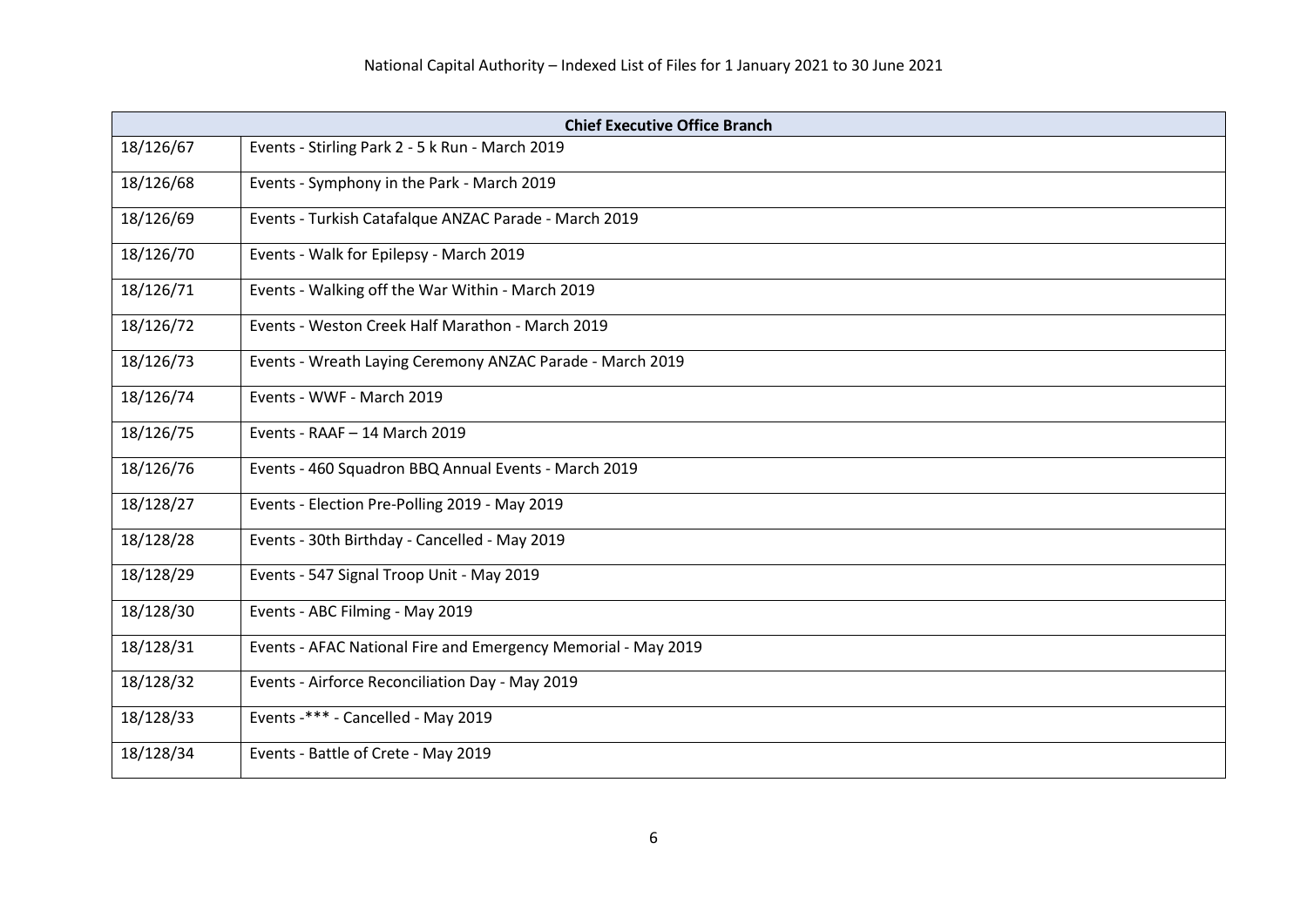| <b>Chief Executive Office Branch</b> |                                                               |
|--------------------------------------|---------------------------------------------------------------|
| 18/126/67                            | Events - Stirling Park 2 - 5 k Run - March 2019               |
| 18/126/68                            | Events - Symphony in the Park - March 2019                    |
| 18/126/69                            | Events - Turkish Catafalque ANZAC Parade - March 2019         |
| 18/126/70                            | Events - Walk for Epilepsy - March 2019                       |
| 18/126/71                            | Events - Walking off the War Within - March 2019              |
| 18/126/72                            | Events - Weston Creek Half Marathon - March 2019              |
| 18/126/73                            | Events - Wreath Laying Ceremony ANZAC Parade - March 2019     |
| 18/126/74                            | Events - WWF - March 2019                                     |
| 18/126/75                            | Events - RAAF - 14 March 2019                                 |
| 18/126/76                            | Events - 460 Squadron BBQ Annual Events - March 2019          |
| 18/128/27                            | Events - Election Pre-Polling 2019 - May 2019                 |
| 18/128/28                            | Events - 30th Birthday - Cancelled - May 2019                 |
| 18/128/29                            | Events - 547 Signal Troop Unit - May 2019                     |
| 18/128/30                            | Events - ABC Filming - May 2019                               |
| 18/128/31                            | Events - AFAC National Fire and Emergency Memorial - May 2019 |
| 18/128/32                            | Events - Airforce Reconciliation Day - May 2019               |
| 18/128/33                            | Events -*** - Cancelled - May 2019                            |
| 18/128/34                            | Events - Battle of Crete - May 2019                           |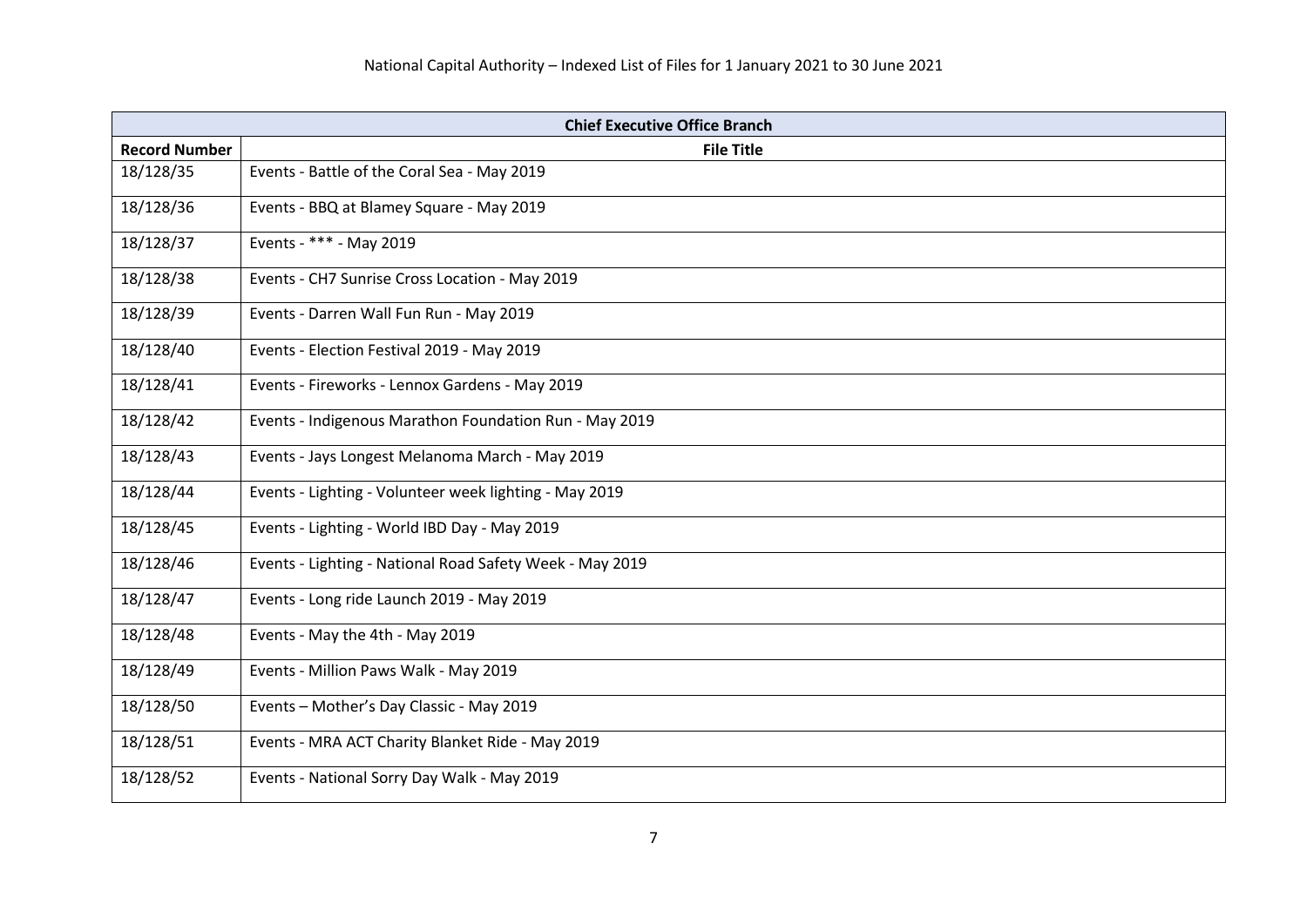| <b>Chief Executive Office Branch</b> |                                                          |
|--------------------------------------|----------------------------------------------------------|
| <b>Record Number</b>                 | <b>File Title</b>                                        |
| 18/128/35                            | Events - Battle of the Coral Sea - May 2019              |
| 18/128/36                            | Events - BBQ at Blamey Square - May 2019                 |
| 18/128/37                            | Events - *** - May 2019                                  |
| 18/128/38                            | Events - CH7 Sunrise Cross Location - May 2019           |
| 18/128/39                            | Events - Darren Wall Fun Run - May 2019                  |
| 18/128/40                            | Events - Election Festival 2019 - May 2019               |
| 18/128/41                            | Events - Fireworks - Lennox Gardens - May 2019           |
| 18/128/42                            | Events - Indigenous Marathon Foundation Run - May 2019   |
| 18/128/43                            | Events - Jays Longest Melanoma March - May 2019          |
| 18/128/44                            | Events - Lighting - Volunteer week lighting - May 2019   |
| 18/128/45                            | Events - Lighting - World IBD Day - May 2019             |
| 18/128/46                            | Events - Lighting - National Road Safety Week - May 2019 |
| 18/128/47                            | Events - Long ride Launch 2019 - May 2019                |
| 18/128/48                            | Events - May the 4th - May 2019                          |
| 18/128/49                            | Events - Million Paws Walk - May 2019                    |
| 18/128/50                            | Events - Mother's Day Classic - May 2019                 |
| 18/128/51                            | Events - MRA ACT Charity Blanket Ride - May 2019         |
| 18/128/52                            | Events - National Sorry Day Walk - May 2019              |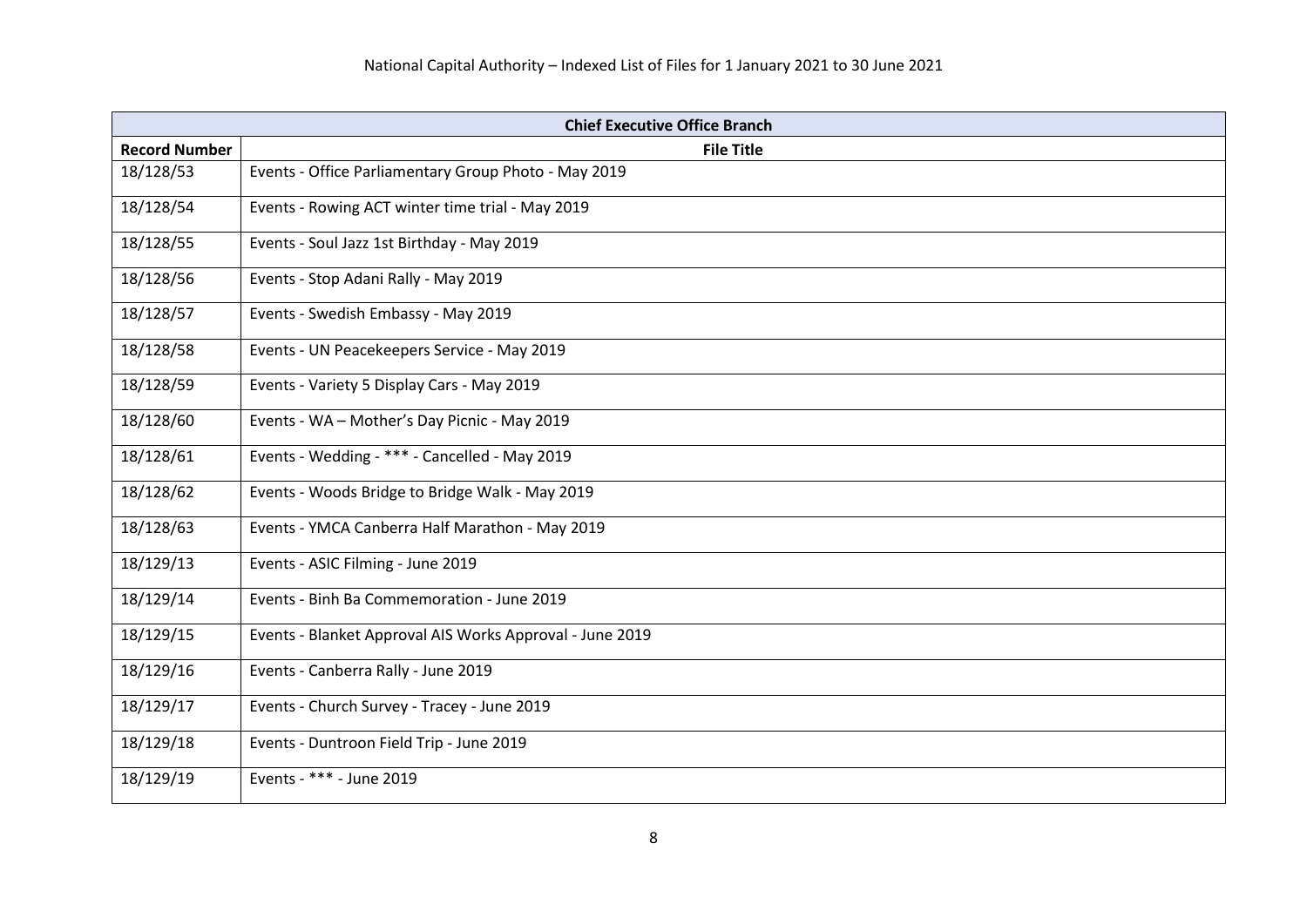| <b>Chief Executive Office Branch</b> |                                                          |
|--------------------------------------|----------------------------------------------------------|
| <b>Record Number</b>                 | <b>File Title</b>                                        |
| 18/128/53                            | Events - Office Parliamentary Group Photo - May 2019     |
| 18/128/54                            | Events - Rowing ACT winter time trial - May 2019         |
| 18/128/55                            | Events - Soul Jazz 1st Birthday - May 2019               |
| 18/128/56                            | Events - Stop Adani Rally - May 2019                     |
| 18/128/57                            | Events - Swedish Embassy - May 2019                      |
| 18/128/58                            | Events - UN Peacekeepers Service - May 2019              |
| 18/128/59                            | Events - Variety 5 Display Cars - May 2019               |
| 18/128/60                            | Events - WA - Mother's Day Picnic - May 2019             |
| 18/128/61                            | Events - Wedding - *** - Cancelled - May 2019            |
| 18/128/62                            | Events - Woods Bridge to Bridge Walk - May 2019          |
| 18/128/63                            | Events - YMCA Canberra Half Marathon - May 2019          |
| 18/129/13                            | Events - ASIC Filming - June 2019                        |
| 18/129/14                            | Events - Binh Ba Commemoration - June 2019               |
| 18/129/15                            | Events - Blanket Approval AIS Works Approval - June 2019 |
| 18/129/16                            | Events - Canberra Rally - June 2019                      |
| 18/129/17                            | Events - Church Survey - Tracey - June 2019              |
| 18/129/18                            | Events - Duntroon Field Trip - June 2019                 |
| 18/129/19                            | Events - *** - June 2019                                 |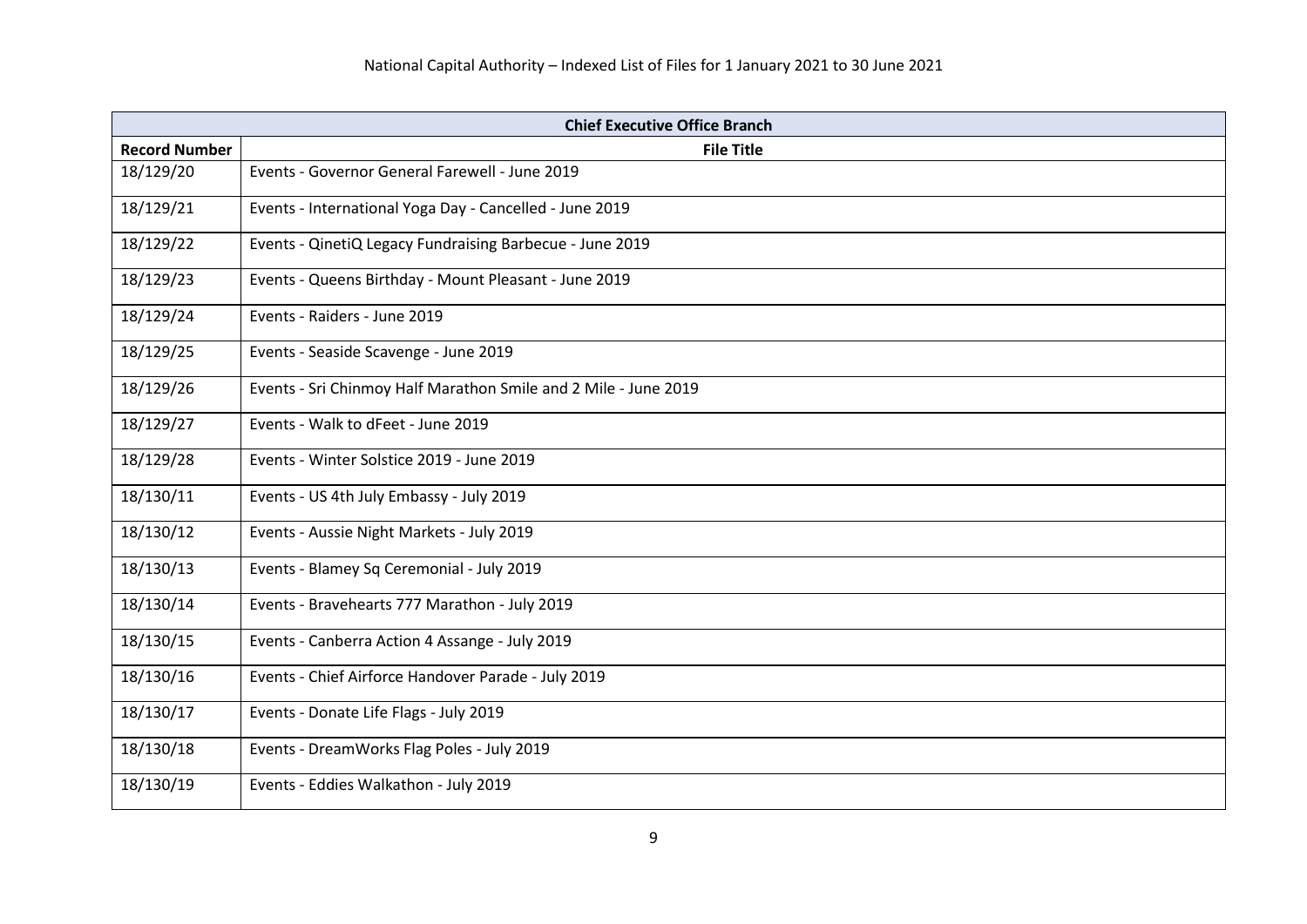| <b>Chief Executive Office Branch</b> |                                                                 |
|--------------------------------------|-----------------------------------------------------------------|
| <b>Record Number</b>                 | <b>File Title</b>                                               |
| 18/129/20                            | Events - Governor General Farewell - June 2019                  |
| 18/129/21                            | Events - International Yoga Day - Cancelled - June 2019         |
| 18/129/22                            | Events - QinetiQ Legacy Fundraising Barbecue - June 2019        |
| 18/129/23                            | Events - Queens Birthday - Mount Pleasant - June 2019           |
| 18/129/24                            | Events - Raiders - June 2019                                    |
| 18/129/25                            | Events - Seaside Scavenge - June 2019                           |
| 18/129/26                            | Events - Sri Chinmoy Half Marathon Smile and 2 Mile - June 2019 |
| 18/129/27                            | Events - Walk to dFeet - June 2019                              |
| 18/129/28                            | Events - Winter Solstice 2019 - June 2019                       |
| 18/130/11                            | Events - US 4th July Embassy - July 2019                        |
| 18/130/12                            | Events - Aussie Night Markets - July 2019                       |
| 18/130/13                            | Events - Blamey Sq Ceremonial - July 2019                       |
| 18/130/14                            | Events - Bravehearts 777 Marathon - July 2019                   |
| 18/130/15                            | Events - Canberra Action 4 Assange - July 2019                  |
| 18/130/16                            | Events - Chief Airforce Handover Parade - July 2019             |
| 18/130/17                            | Events - Donate Life Flags - July 2019                          |
| 18/130/18                            | Events - DreamWorks Flag Poles - July 2019                      |
| 18/130/19                            | Events - Eddies Walkathon - July 2019                           |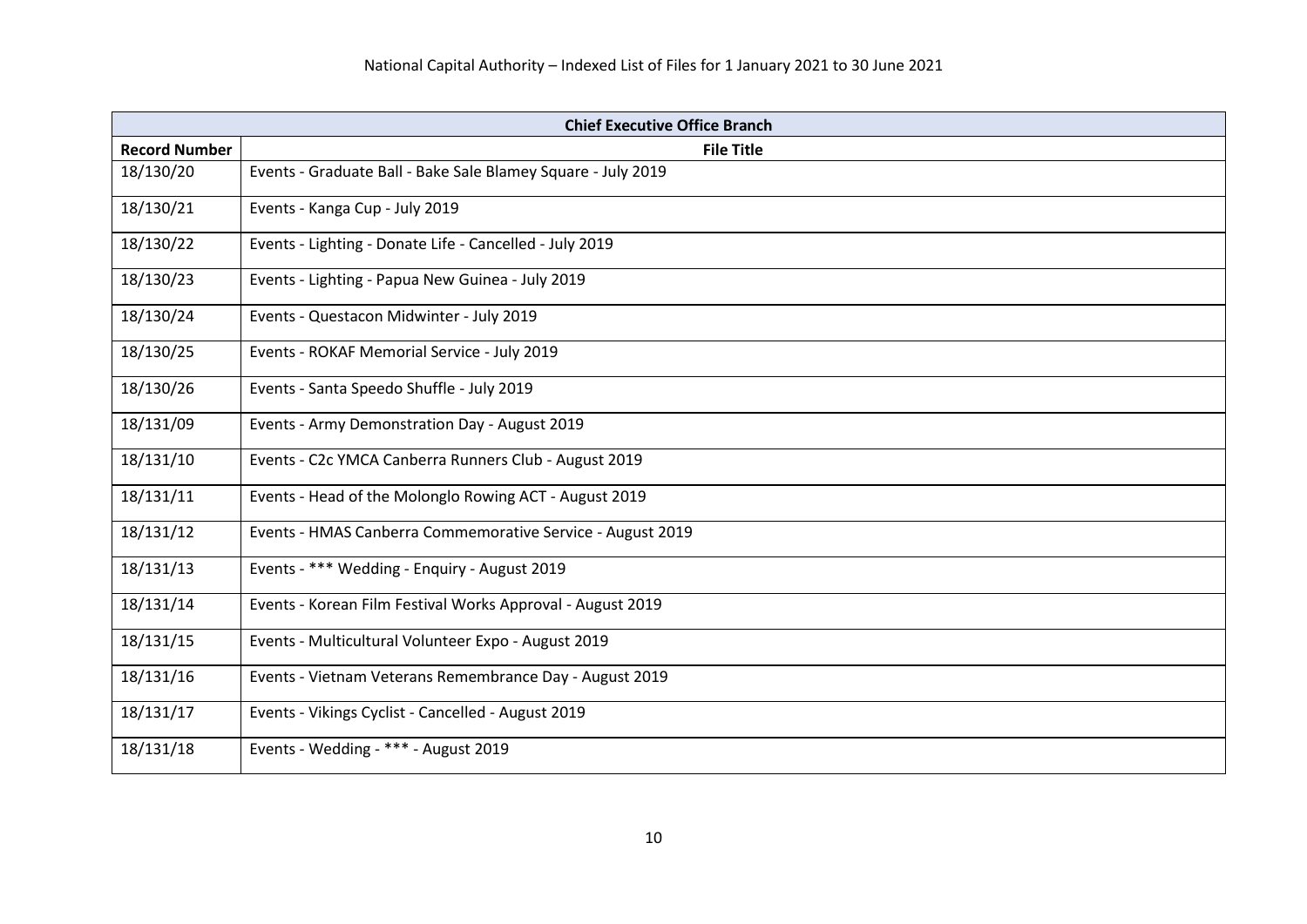| <b>Chief Executive Office Branch</b> |                                                              |
|--------------------------------------|--------------------------------------------------------------|
| <b>Record Number</b>                 | <b>File Title</b>                                            |
| 18/130/20                            | Events - Graduate Ball - Bake Sale Blamey Square - July 2019 |
| 18/130/21                            | Events - Kanga Cup - July 2019                               |
| 18/130/22                            | Events - Lighting - Donate Life - Cancelled - July 2019      |
| 18/130/23                            | Events - Lighting - Papua New Guinea - July 2019             |
| 18/130/24                            | Events - Questacon Midwinter - July 2019                     |
| 18/130/25                            | Events - ROKAF Memorial Service - July 2019                  |
| 18/130/26                            | Events - Santa Speedo Shuffle - July 2019                    |
| 18/131/09                            | Events - Army Demonstration Day - August 2019                |
| 18/131/10                            | Events - C2c YMCA Canberra Runners Club - August 2019        |
| 18/131/11                            | Events - Head of the Molonglo Rowing ACT - August 2019       |
| 18/131/12                            | Events - HMAS Canberra Commemorative Service - August 2019   |
| 18/131/13                            | Events - *** Wedding - Enquiry - August 2019                 |
| 18/131/14                            | Events - Korean Film Festival Works Approval - August 2019   |
| 18/131/15                            | Events - Multicultural Volunteer Expo - August 2019          |
| 18/131/16                            | Events - Vietnam Veterans Remembrance Day - August 2019      |
| 18/131/17                            | Events - Vikings Cyclist - Cancelled - August 2019           |
| 18/131/18                            | Events - Wedding - *** - August 2019                         |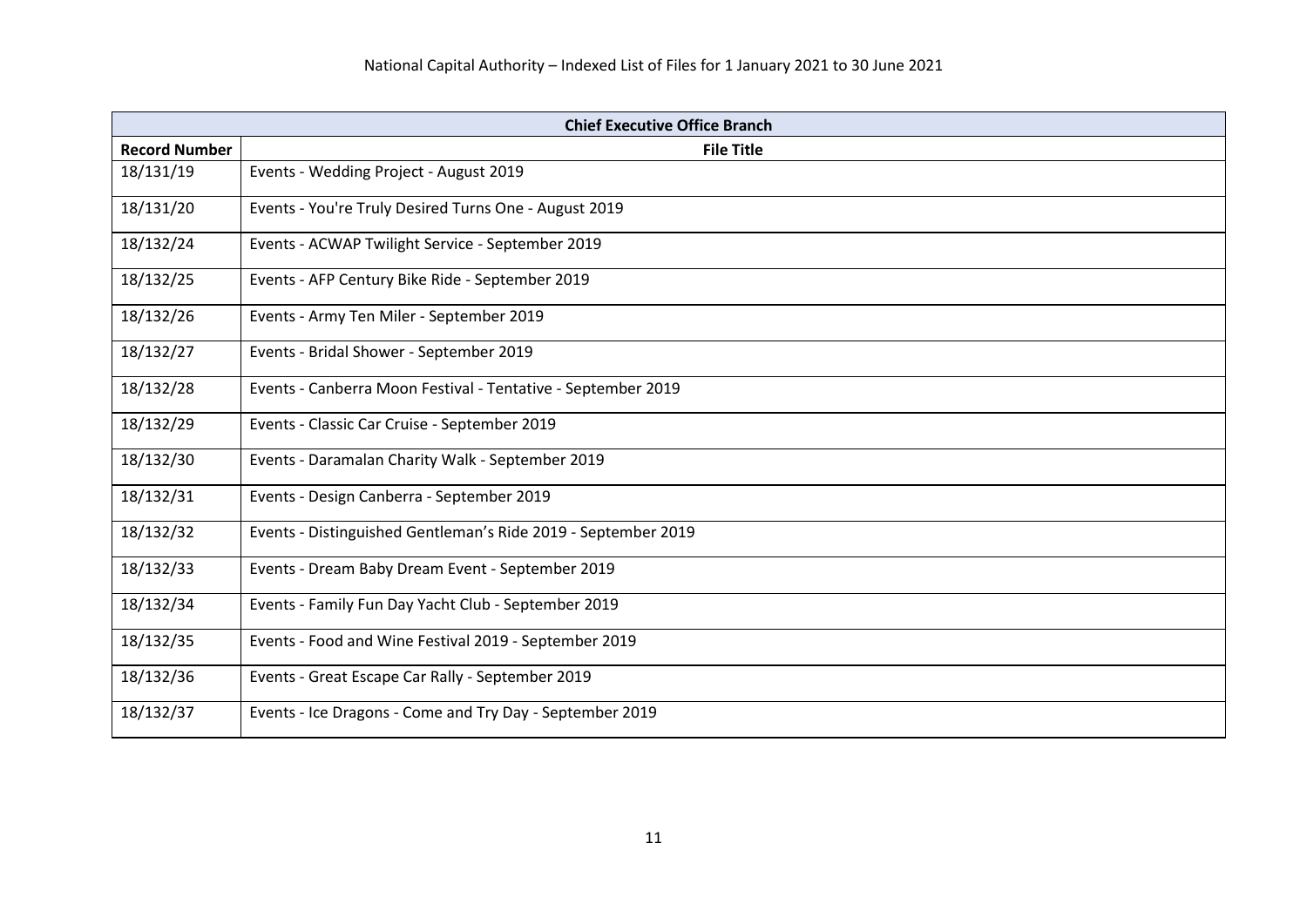| <b>Chief Executive Office Branch</b> |                                                               |
|--------------------------------------|---------------------------------------------------------------|
| <b>Record Number</b>                 | <b>File Title</b>                                             |
| 18/131/19                            | Events - Wedding Project - August 2019                        |
| 18/131/20                            | Events - You're Truly Desired Turns One - August 2019         |
| 18/132/24                            | Events - ACWAP Twilight Service - September 2019              |
| 18/132/25                            | Events - AFP Century Bike Ride - September 2019               |
| 18/132/26                            | Events - Army Ten Miler - September 2019                      |
| 18/132/27                            | Events - Bridal Shower - September 2019                       |
| 18/132/28                            | Events - Canberra Moon Festival - Tentative - September 2019  |
| 18/132/29                            | Events - Classic Car Cruise - September 2019                  |
| 18/132/30                            | Events - Daramalan Charity Walk - September 2019              |
| 18/132/31                            | Events - Design Canberra - September 2019                     |
| 18/132/32                            | Events - Distinguished Gentleman's Ride 2019 - September 2019 |
| 18/132/33                            | Events - Dream Baby Dream Event - September 2019              |
| 18/132/34                            | Events - Family Fun Day Yacht Club - September 2019           |
| 18/132/35                            | Events - Food and Wine Festival 2019 - September 2019         |
| 18/132/36                            | Events - Great Escape Car Rally - September 2019              |
| 18/132/37                            | Events - Ice Dragons - Come and Try Day - September 2019      |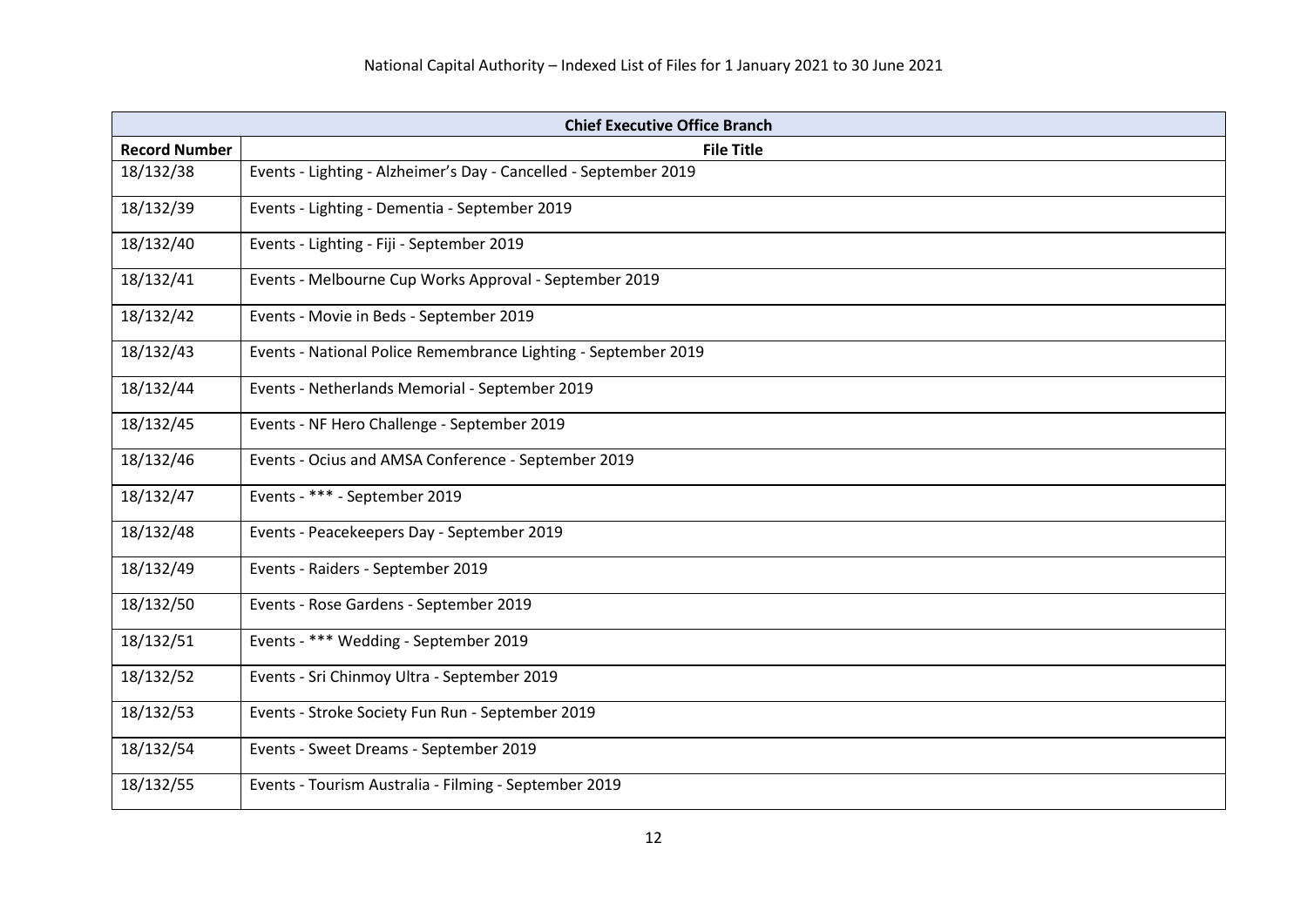| <b>Chief Executive Office Branch</b> |                                                                  |
|--------------------------------------|------------------------------------------------------------------|
| <b>Record Number</b>                 | <b>File Title</b>                                                |
| 18/132/38                            | Events - Lighting - Alzheimer's Day - Cancelled - September 2019 |
| 18/132/39                            | Events - Lighting - Dementia - September 2019                    |
| 18/132/40                            | Events - Lighting - Fiji - September 2019                        |
| 18/132/41                            | Events - Melbourne Cup Works Approval - September 2019           |
| 18/132/42                            | Events - Movie in Beds - September 2019                          |
| 18/132/43                            | Events - National Police Remembrance Lighting - September 2019   |
| 18/132/44                            | Events - Netherlands Memorial - September 2019                   |
| 18/132/45                            | Events - NF Hero Challenge - September 2019                      |
| 18/132/46                            | Events - Ocius and AMSA Conference - September 2019              |
| 18/132/47                            | Events - *** - September 2019                                    |
| 18/132/48                            | Events - Peacekeepers Day - September 2019                       |
| 18/132/49                            | Events - Raiders - September 2019                                |
| 18/132/50                            | Events - Rose Gardens - September 2019                           |
| 18/132/51                            | Events - *** Wedding - September 2019                            |
| 18/132/52                            | Events - Sri Chinmoy Ultra - September 2019                      |
| 18/132/53                            | Events - Stroke Society Fun Run - September 2019                 |
| 18/132/54                            | Events - Sweet Dreams - September 2019                           |
| 18/132/55                            | Events - Tourism Australia - Filming - September 2019            |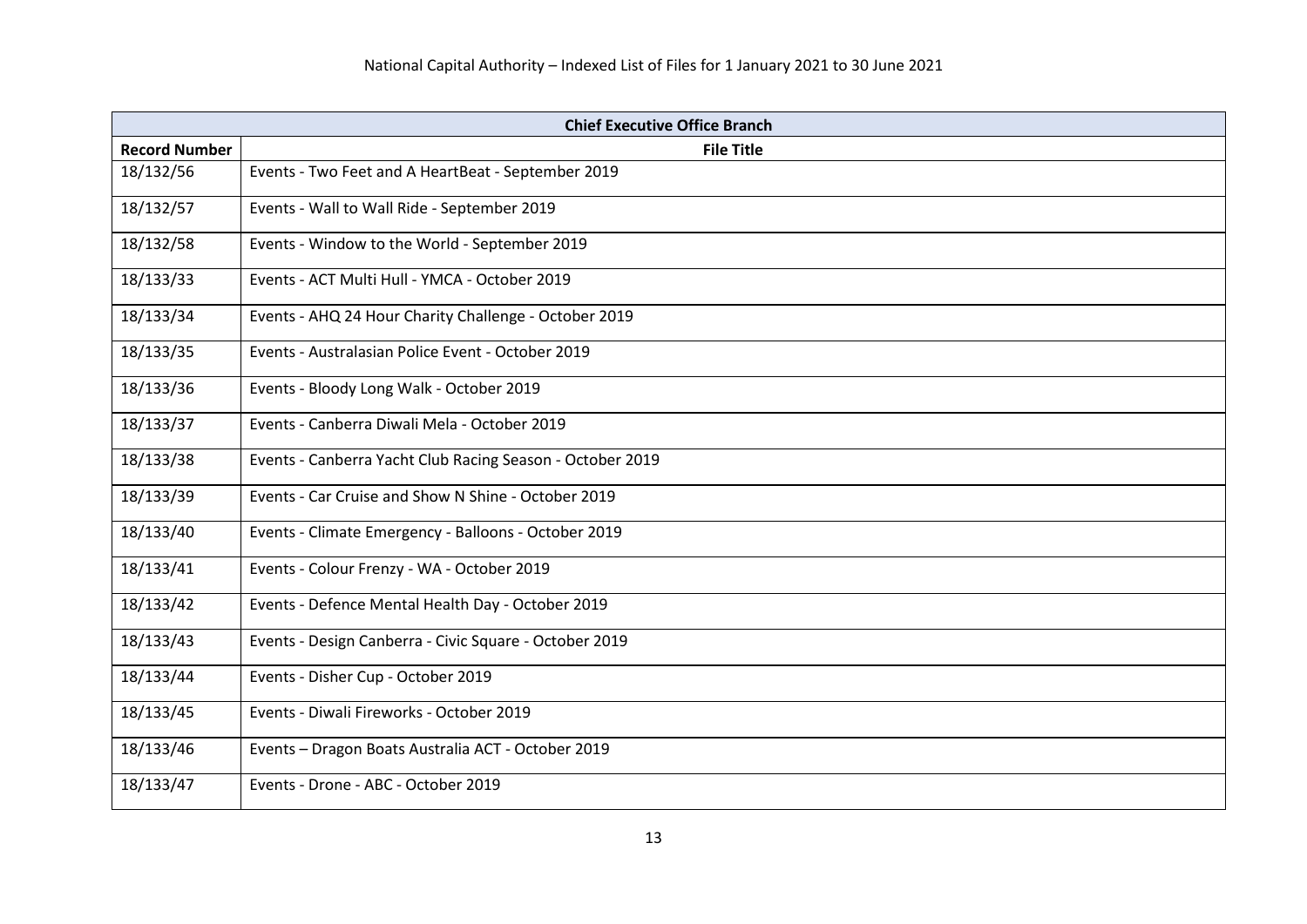| <b>Chief Executive Office Branch</b> |                                                           |
|--------------------------------------|-----------------------------------------------------------|
| <b>Record Number</b>                 | <b>File Title</b>                                         |
| 18/132/56                            | Events - Two Feet and A HeartBeat - September 2019        |
| 18/132/57                            | Events - Wall to Wall Ride - September 2019               |
| 18/132/58                            | Events - Window to the World - September 2019             |
| 18/133/33                            | Events - ACT Multi Hull - YMCA - October 2019             |
| 18/133/34                            | Events - AHQ 24 Hour Charity Challenge - October 2019     |
| 18/133/35                            | Events - Australasian Police Event - October 2019         |
| 18/133/36                            | Events - Bloody Long Walk - October 2019                  |
| 18/133/37                            | Events - Canberra Diwali Mela - October 2019              |
| 18/133/38                            | Events - Canberra Yacht Club Racing Season - October 2019 |
| 18/133/39                            | Events - Car Cruise and Show N Shine - October 2019       |
| 18/133/40                            | Events - Climate Emergency - Balloons - October 2019      |
| 18/133/41                            | Events - Colour Frenzy - WA - October 2019                |
| 18/133/42                            | Events - Defence Mental Health Day - October 2019         |
| 18/133/43                            | Events - Design Canberra - Civic Square - October 2019    |
| 18/133/44                            | Events - Disher Cup - October 2019                        |
| 18/133/45                            | Events - Diwali Fireworks - October 2019                  |
| 18/133/46                            | Events - Dragon Boats Australia ACT - October 2019        |
| 18/133/47                            | Events - Drone - ABC - October 2019                       |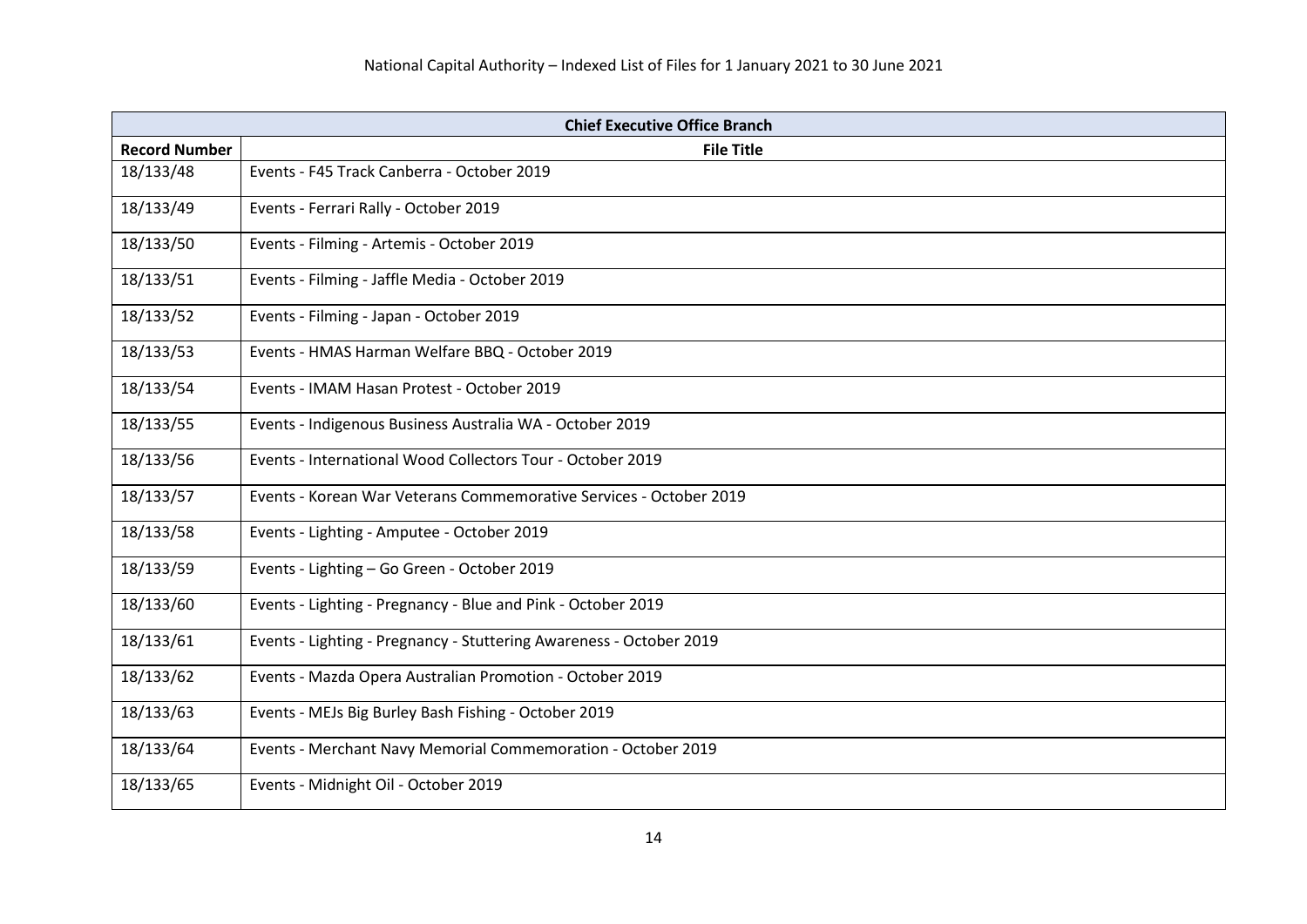| <b>Chief Executive Office Branch</b> |                                                                     |
|--------------------------------------|---------------------------------------------------------------------|
| <b>Record Number</b>                 | <b>File Title</b>                                                   |
| 18/133/48                            | Events - F45 Track Canberra - October 2019                          |
| 18/133/49                            | Events - Ferrari Rally - October 2019                               |
| 18/133/50                            | Events - Filming - Artemis - October 2019                           |
| 18/133/51                            | Events - Filming - Jaffle Media - October 2019                      |
| 18/133/52                            | Events - Filming - Japan - October 2019                             |
| 18/133/53                            | Events - HMAS Harman Welfare BBQ - October 2019                     |
| 18/133/54                            | Events - IMAM Hasan Protest - October 2019                          |
| 18/133/55                            | Events - Indigenous Business Australia WA - October 2019            |
| 18/133/56                            | Events - International Wood Collectors Tour - October 2019          |
| 18/133/57                            | Events - Korean War Veterans Commemorative Services - October 2019  |
| 18/133/58                            | Events - Lighting - Amputee - October 2019                          |
| 18/133/59                            | Events - Lighting - Go Green - October 2019                         |
| 18/133/60                            | Events - Lighting - Pregnancy - Blue and Pink - October 2019        |
| 18/133/61                            | Events - Lighting - Pregnancy - Stuttering Awareness - October 2019 |
| 18/133/62                            | Events - Mazda Opera Australian Promotion - October 2019            |
| 18/133/63                            | Events - MEJs Big Burley Bash Fishing - October 2019                |
| 18/133/64                            | Events - Merchant Navy Memorial Commemoration - October 2019        |
| 18/133/65                            | Events - Midnight Oil - October 2019                                |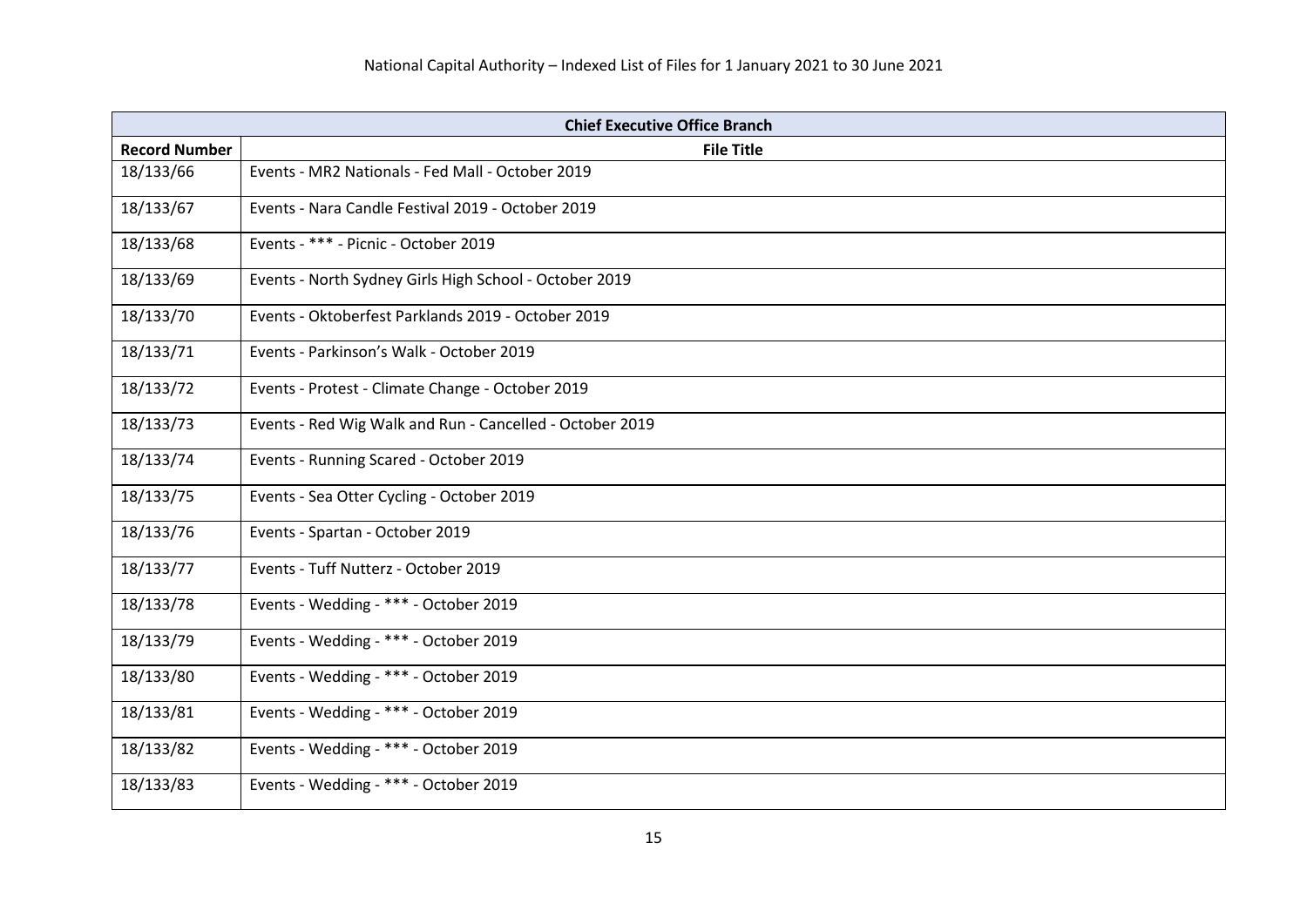| <b>Chief Executive Office Branch</b> |                                                          |
|--------------------------------------|----------------------------------------------------------|
| <b>Record Number</b>                 | <b>File Title</b>                                        |
| 18/133/66                            | Events - MR2 Nationals - Fed Mall - October 2019         |
| 18/133/67                            | Events - Nara Candle Festival 2019 - October 2019        |
| 18/133/68                            | Events - *** - Picnic - October 2019                     |
| 18/133/69                            | Events - North Sydney Girls High School - October 2019   |
| 18/133/70                            | Events - Oktoberfest Parklands 2019 - October 2019       |
| 18/133/71                            | Events - Parkinson's Walk - October 2019                 |
| 18/133/72                            | Events - Protest - Climate Change - October 2019         |
| 18/133/73                            | Events - Red Wig Walk and Run - Cancelled - October 2019 |
| 18/133/74                            | Events - Running Scared - October 2019                   |
| 18/133/75                            | Events - Sea Otter Cycling - October 2019                |
| 18/133/76                            | Events - Spartan - October 2019                          |
| 18/133/77                            | Events - Tuff Nutterz - October 2019                     |
| 18/133/78                            | Events - Wedding - *** - October 2019                    |
| 18/133/79                            | Events - Wedding - *** - October 2019                    |
| 18/133/80                            | Events - Wedding - *** - October 2019                    |
| 18/133/81                            | Events - Wedding - *** - October 2019                    |
| 18/133/82                            | Events - Wedding - *** - October 2019                    |
| 18/133/83                            | Events - Wedding - *** - October 2019                    |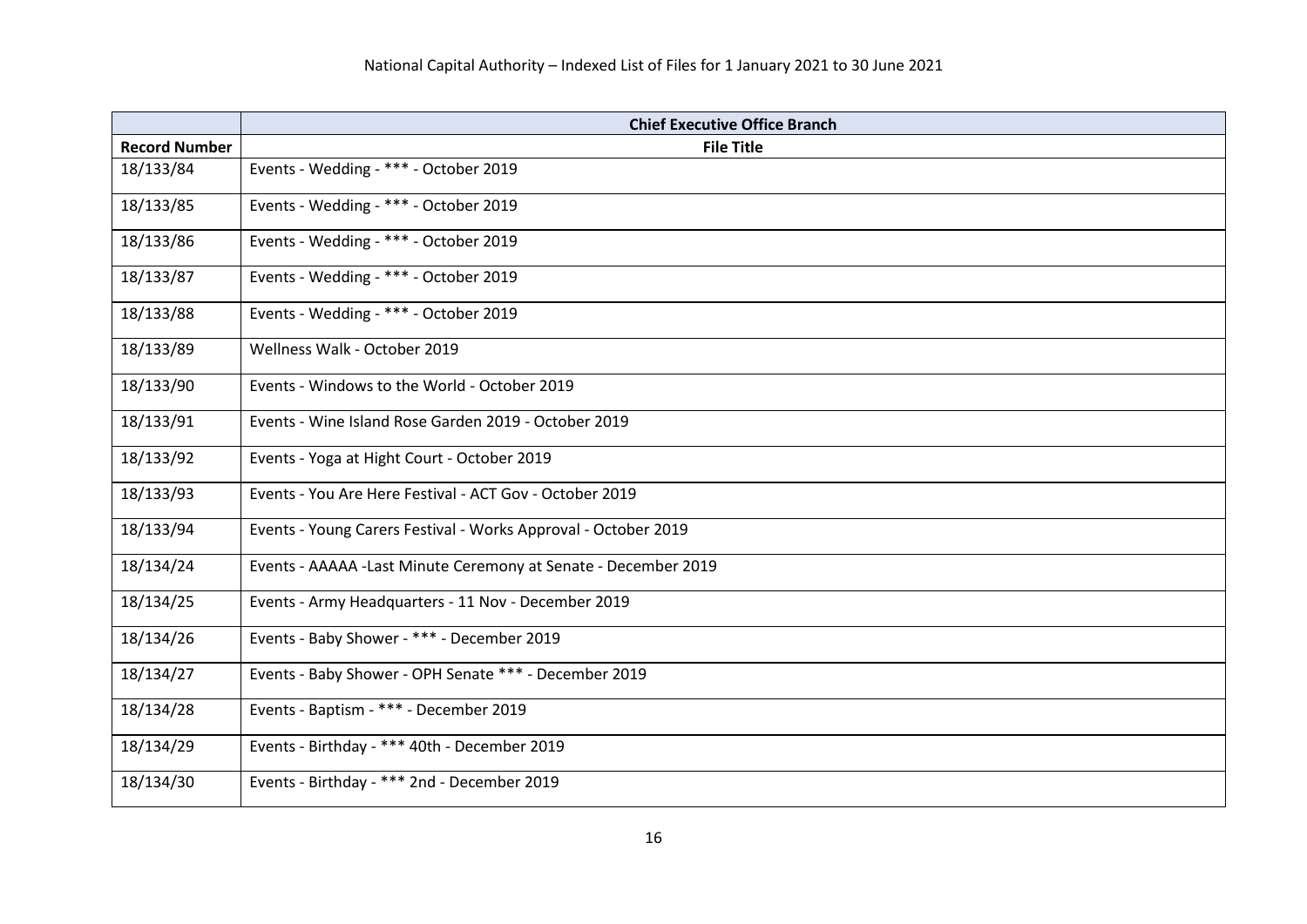|                      | <b>Chief Executive Office Branch</b>                            |
|----------------------|-----------------------------------------------------------------|
| <b>Record Number</b> | <b>File Title</b>                                               |
| 18/133/84            | Events - Wedding - *** - October 2019                           |
| 18/133/85            | Events - Wedding - *** - October 2019                           |
| 18/133/86            | Events - Wedding - *** - October 2019                           |
| 18/133/87            | Events - Wedding - *** - October 2019                           |
| 18/133/88            | Events - Wedding - *** - October 2019                           |
| 18/133/89            | Wellness Walk - October 2019                                    |
| 18/133/90            | Events - Windows to the World - October 2019                    |
| 18/133/91            | Events - Wine Island Rose Garden 2019 - October 2019            |
| 18/133/92            | Events - Yoga at Hight Court - October 2019                     |
| 18/133/93            | Events - You Are Here Festival - ACT Gov - October 2019         |
| 18/133/94            | Events - Young Carers Festival - Works Approval - October 2019  |
| 18/134/24            | Events - AAAAA - Last Minute Ceremony at Senate - December 2019 |
| 18/134/25            | Events - Army Headquarters - 11 Nov - December 2019             |
| 18/134/26            | Events - Baby Shower - *** - December 2019                      |
| 18/134/27            | Events - Baby Shower - OPH Senate *** - December 2019           |
| 18/134/28            | Events - Baptism - *** - December 2019                          |
| 18/134/29            | Events - Birthday - *** 40th - December 2019                    |
| 18/134/30            | Events - Birthday - *** 2nd - December 2019                     |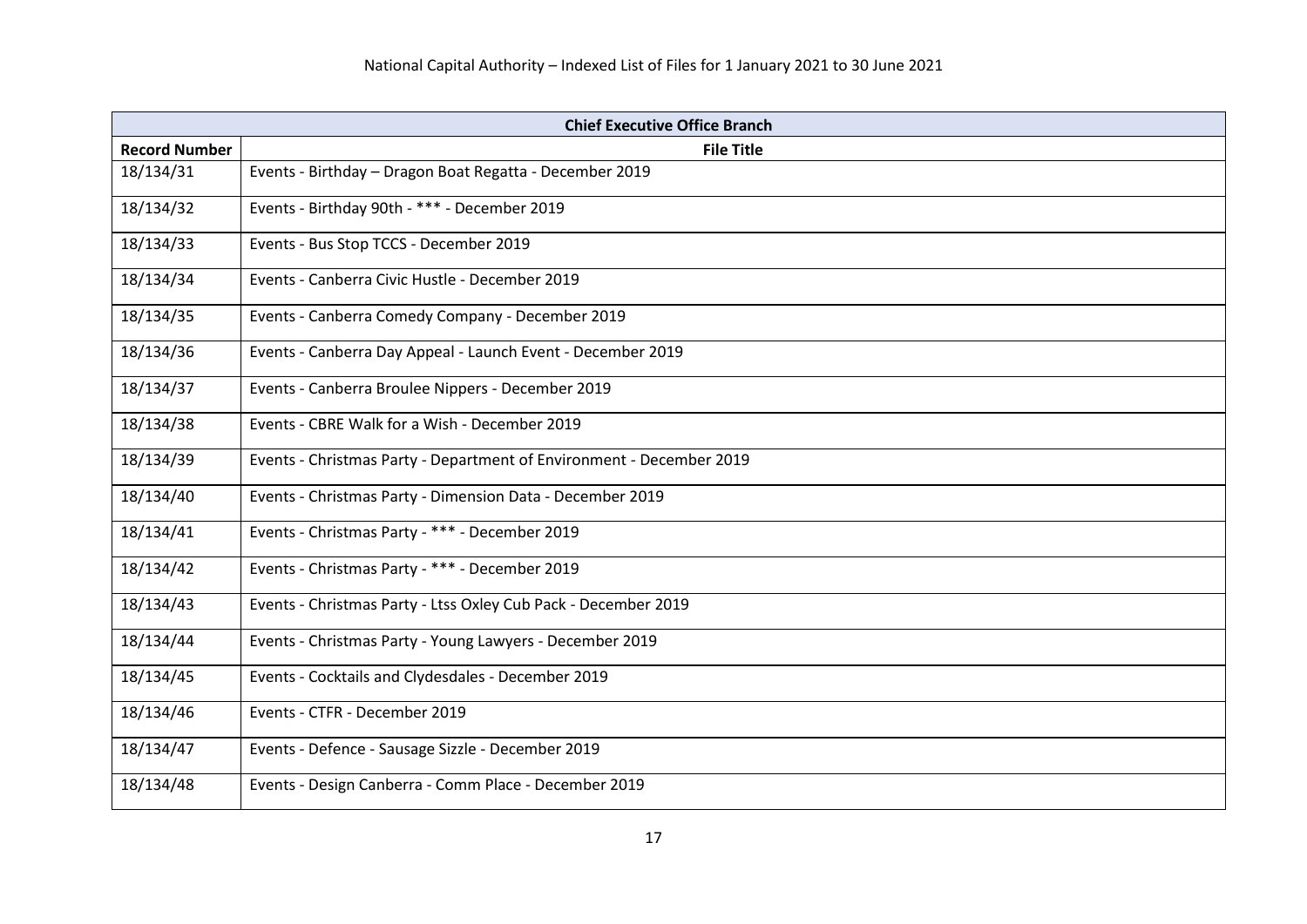| <b>Chief Executive Office Branch</b> |                                                                      |
|--------------------------------------|----------------------------------------------------------------------|
| <b>Record Number</b>                 | <b>File Title</b>                                                    |
| 18/134/31                            | Events - Birthday - Dragon Boat Regatta - December 2019              |
| 18/134/32                            | Events - Birthday 90th - *** - December 2019                         |
| 18/134/33                            | Events - Bus Stop TCCS - December 2019                               |
| 18/134/34                            | Events - Canberra Civic Hustle - December 2019                       |
| 18/134/35                            | Events - Canberra Comedy Company - December 2019                     |
| 18/134/36                            | Events - Canberra Day Appeal - Launch Event - December 2019          |
| 18/134/37                            | Events - Canberra Broulee Nippers - December 2019                    |
| 18/134/38                            | Events - CBRE Walk for a Wish - December 2019                        |
| 18/134/39                            | Events - Christmas Party - Department of Environment - December 2019 |
| 18/134/40                            | Events - Christmas Party - Dimension Data - December 2019            |
| 18/134/41                            | Events - Christmas Party - *** - December 2019                       |
| 18/134/42                            | Events - Christmas Party - *** - December 2019                       |
| 18/134/43                            | Events - Christmas Party - Ltss Oxley Cub Pack - December 2019       |
| 18/134/44                            | Events - Christmas Party - Young Lawyers - December 2019             |
| 18/134/45                            | Events - Cocktails and Clydesdales - December 2019                   |
| 18/134/46                            | Events - CTFR - December 2019                                        |
| 18/134/47                            | Events - Defence - Sausage Sizzle - December 2019                    |
| 18/134/48                            | Events - Design Canberra - Comm Place - December 2019                |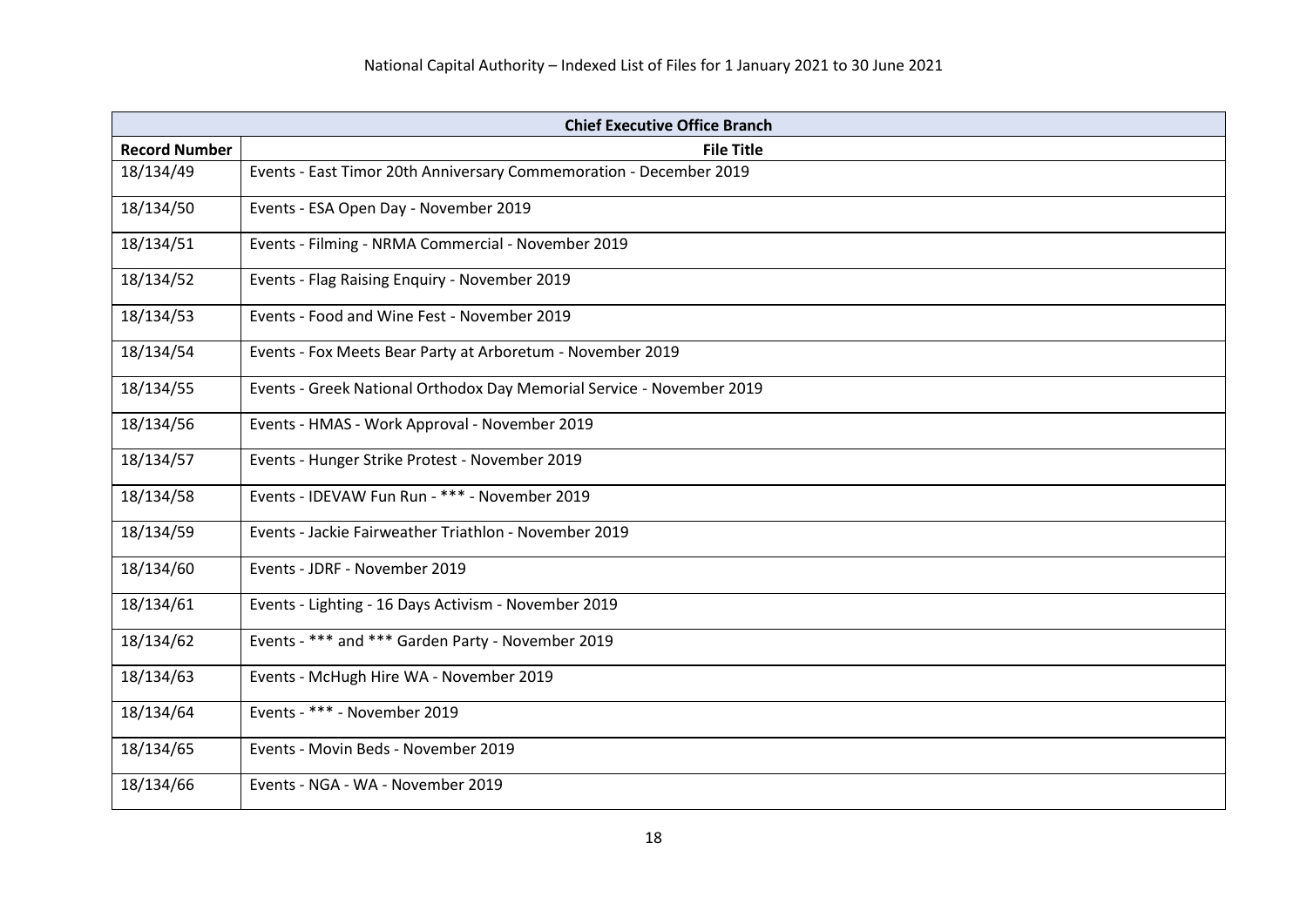| <b>Chief Executive Office Branch</b> |                                                                       |
|--------------------------------------|-----------------------------------------------------------------------|
| <b>Record Number</b>                 | <b>File Title</b>                                                     |
| 18/134/49                            | Events - East Timor 20th Anniversary Commemoration - December 2019    |
| 18/134/50                            | Events - ESA Open Day - November 2019                                 |
| 18/134/51                            | Events - Filming - NRMA Commercial - November 2019                    |
| 18/134/52                            | Events - Flag Raising Enquiry - November 2019                         |
| 18/134/53                            | Events - Food and Wine Fest - November 2019                           |
| 18/134/54                            | Events - Fox Meets Bear Party at Arboretum - November 2019            |
| 18/134/55                            | Events - Greek National Orthodox Day Memorial Service - November 2019 |
| 18/134/56                            | Events - HMAS - Work Approval - November 2019                         |
| 18/134/57                            | Events - Hunger Strike Protest - November 2019                        |
| 18/134/58                            | Events - IDEVAW Fun Run - *** - November 2019                         |
| 18/134/59                            | Events - Jackie Fairweather Triathlon - November 2019                 |
| 18/134/60                            | Events - JDRF - November 2019                                         |
| 18/134/61                            | Events - Lighting - 16 Days Activism - November 2019                  |
| 18/134/62                            | Events - *** and *** Garden Party - November 2019                     |
| 18/134/63                            | Events - McHugh Hire WA - November 2019                               |
| 18/134/64                            | Events - *** - November 2019                                          |
| 18/134/65                            | Events - Movin Beds - November 2019                                   |
| 18/134/66                            | Events - NGA - WA - November 2019                                     |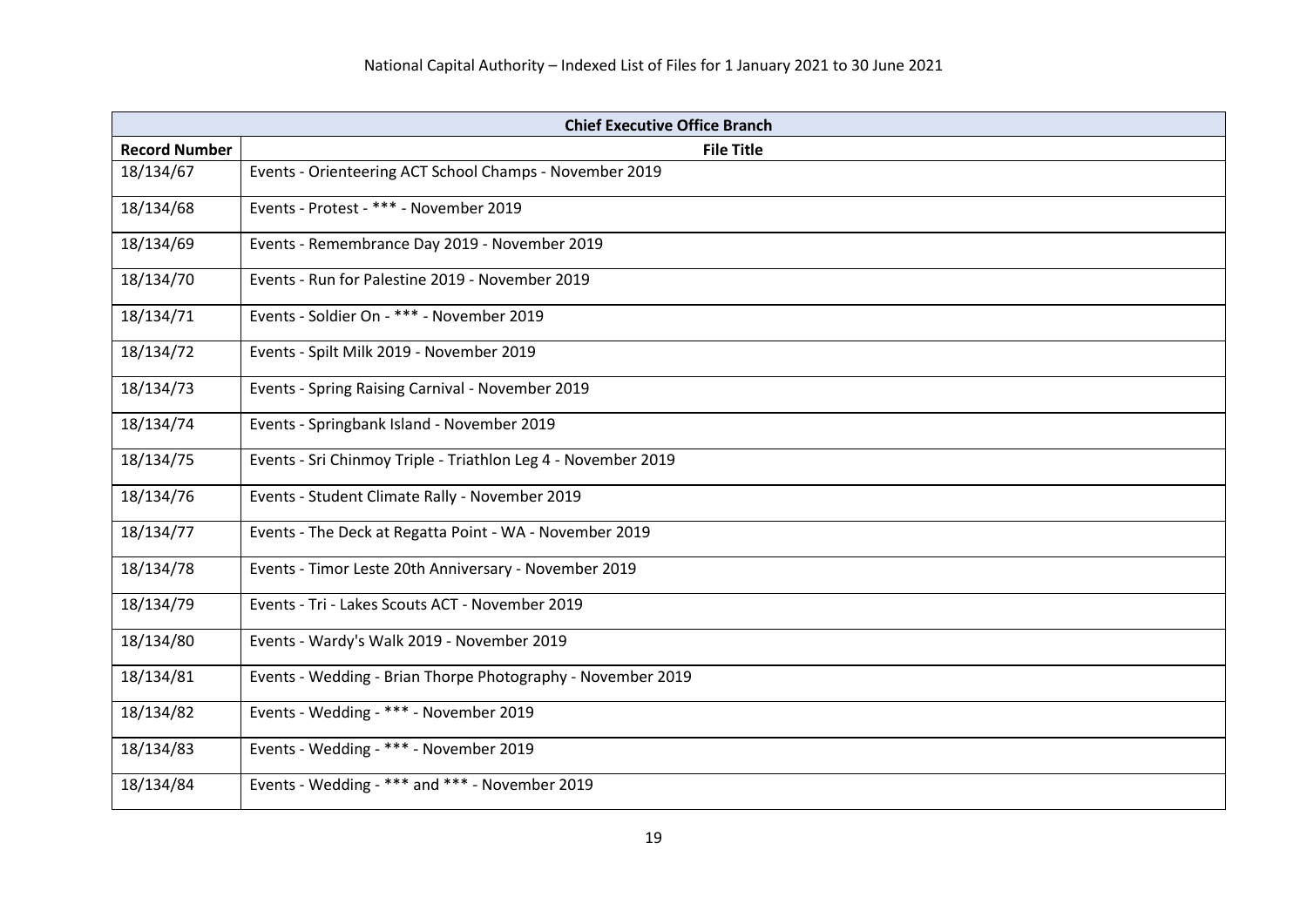| <b>Chief Executive Office Branch</b> |                                                               |
|--------------------------------------|---------------------------------------------------------------|
| <b>Record Number</b>                 | <b>File Title</b>                                             |
| 18/134/67                            | Events - Orienteering ACT School Champs - November 2019       |
| 18/134/68                            | Events - Protest - *** - November 2019                        |
| 18/134/69                            | Events - Remembrance Day 2019 - November 2019                 |
| 18/134/70                            | Events - Run for Palestine 2019 - November 2019               |
| 18/134/71                            | Events - Soldier On - *** - November 2019                     |
| 18/134/72                            | Events - Spilt Milk 2019 - November 2019                      |
| 18/134/73                            | Events - Spring Raising Carnival - November 2019              |
| 18/134/74                            | Events - Springbank Island - November 2019                    |
| 18/134/75                            | Events - Sri Chinmoy Triple - Triathlon Leg 4 - November 2019 |
| 18/134/76                            | Events - Student Climate Rally - November 2019                |
| 18/134/77                            | Events - The Deck at Regatta Point - WA - November 2019       |
| 18/134/78                            | Events - Timor Leste 20th Anniversary - November 2019         |
| 18/134/79                            | Events - Tri - Lakes Scouts ACT - November 2019               |
| 18/134/80                            | Events - Wardy's Walk 2019 - November 2019                    |
| 18/134/81                            | Events - Wedding - Brian Thorpe Photography - November 2019   |
| 18/134/82                            | Events - Wedding - *** - November 2019                        |
| 18/134/83                            | Events - Wedding - *** - November 2019                        |
| 18/134/84                            | Events - Wedding - *** and *** - November 2019                |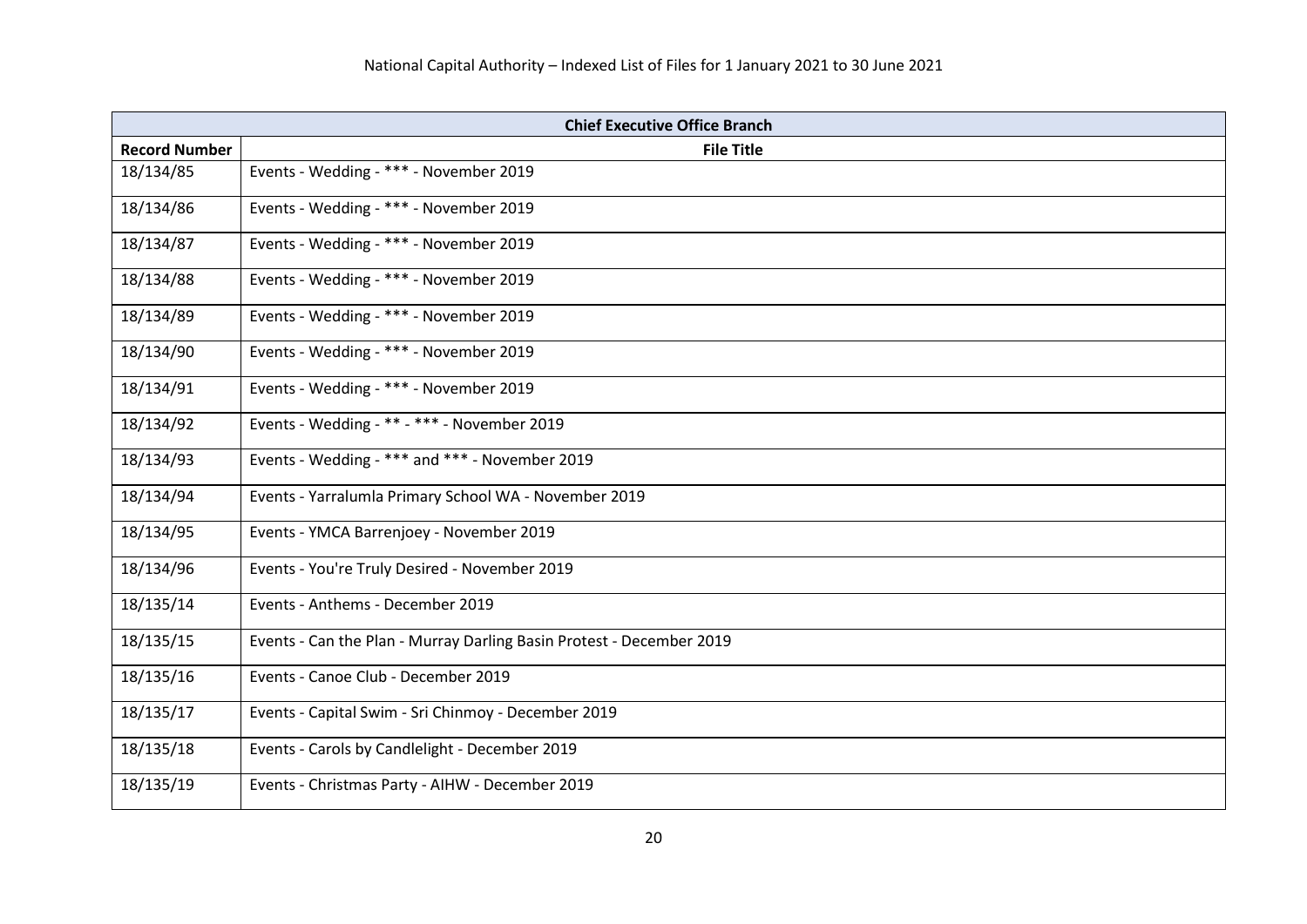| <b>Chief Executive Office Branch</b> |                                                                      |
|--------------------------------------|----------------------------------------------------------------------|
| <b>Record Number</b>                 | <b>File Title</b>                                                    |
| 18/134/85                            | Events - Wedding - *** - November 2019                               |
| 18/134/86                            | Events - Wedding - *** - November 2019                               |
| 18/134/87                            | Events - Wedding - *** - November 2019                               |
| 18/134/88                            | Events - Wedding - *** - November 2019                               |
| 18/134/89                            | Events - Wedding - *** - November 2019                               |
| 18/134/90                            | Events - Wedding - *** - November 2019                               |
| 18/134/91                            | Events - Wedding - *** - November 2019                               |
| 18/134/92                            | Events - Wedding - ** - *** - November 2019                          |
| 18/134/93                            | Events - Wedding - *** and *** - November 2019                       |
| 18/134/94                            | Events - Yarralumla Primary School WA - November 2019                |
| 18/134/95                            | Events - YMCA Barrenjoey - November 2019                             |
| 18/134/96                            | Events - You're Truly Desired - November 2019                        |
| 18/135/14                            | Events - Anthems - December 2019                                     |
| 18/135/15                            | Events - Can the Plan - Murray Darling Basin Protest - December 2019 |
| 18/135/16                            | Events - Canoe Club - December 2019                                  |
| 18/135/17                            | Events - Capital Swim - Sri Chinmoy - December 2019                  |
| 18/135/18                            | Events - Carols by Candlelight - December 2019                       |
| 18/135/19                            | Events - Christmas Party - AIHW - December 2019                      |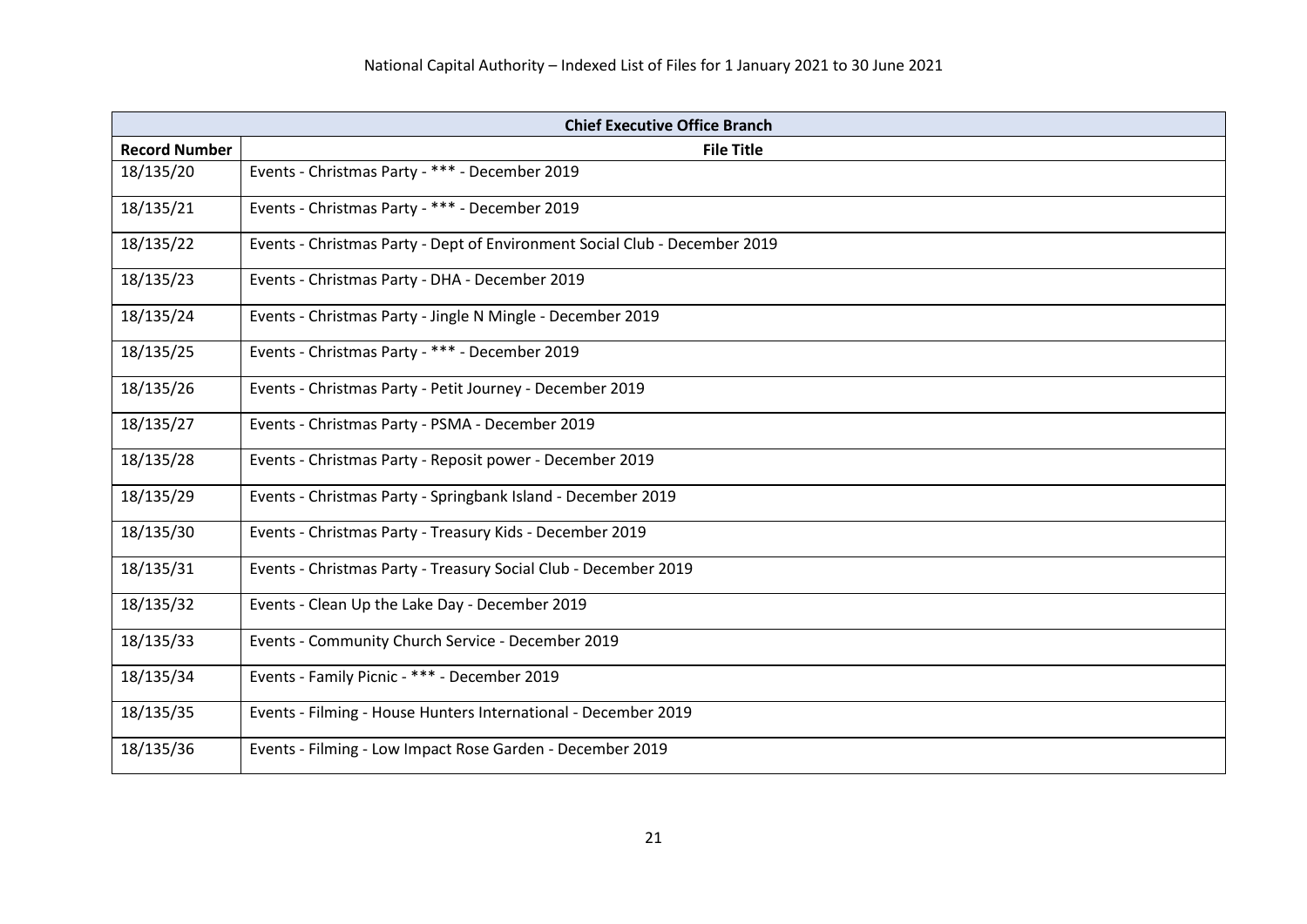| <b>Chief Executive Office Branch</b> |                                                                            |
|--------------------------------------|----------------------------------------------------------------------------|
| <b>Record Number</b>                 | <b>File Title</b>                                                          |
| 18/135/20                            | Events - Christmas Party - *** - December 2019                             |
| 18/135/21                            | Events - Christmas Party - *** - December 2019                             |
| 18/135/22                            | Events - Christmas Party - Dept of Environment Social Club - December 2019 |
| 18/135/23                            | Events - Christmas Party - DHA - December 2019                             |
| 18/135/24                            | Events - Christmas Party - Jingle N Mingle - December 2019                 |
| 18/135/25                            | Events - Christmas Party - *** - December 2019                             |
| 18/135/26                            | Events - Christmas Party - Petit Journey - December 2019                   |
| 18/135/27                            | Events - Christmas Party - PSMA - December 2019                            |
| 18/135/28                            | Events - Christmas Party - Reposit power - December 2019                   |
| 18/135/29                            | Events - Christmas Party - Springbank Island - December 2019               |
| 18/135/30                            | Events - Christmas Party - Treasury Kids - December 2019                   |
| 18/135/31                            | Events - Christmas Party - Treasury Social Club - December 2019            |
| 18/135/32                            | Events - Clean Up the Lake Day - December 2019                             |
| 18/135/33                            | Events - Community Church Service - December 2019                          |
| 18/135/34                            | Events - Family Picnic - *** - December 2019                               |
| 18/135/35                            | Events - Filming - House Hunters International - December 2019             |
| 18/135/36                            | Events - Filming - Low Impact Rose Garden - December 2019                  |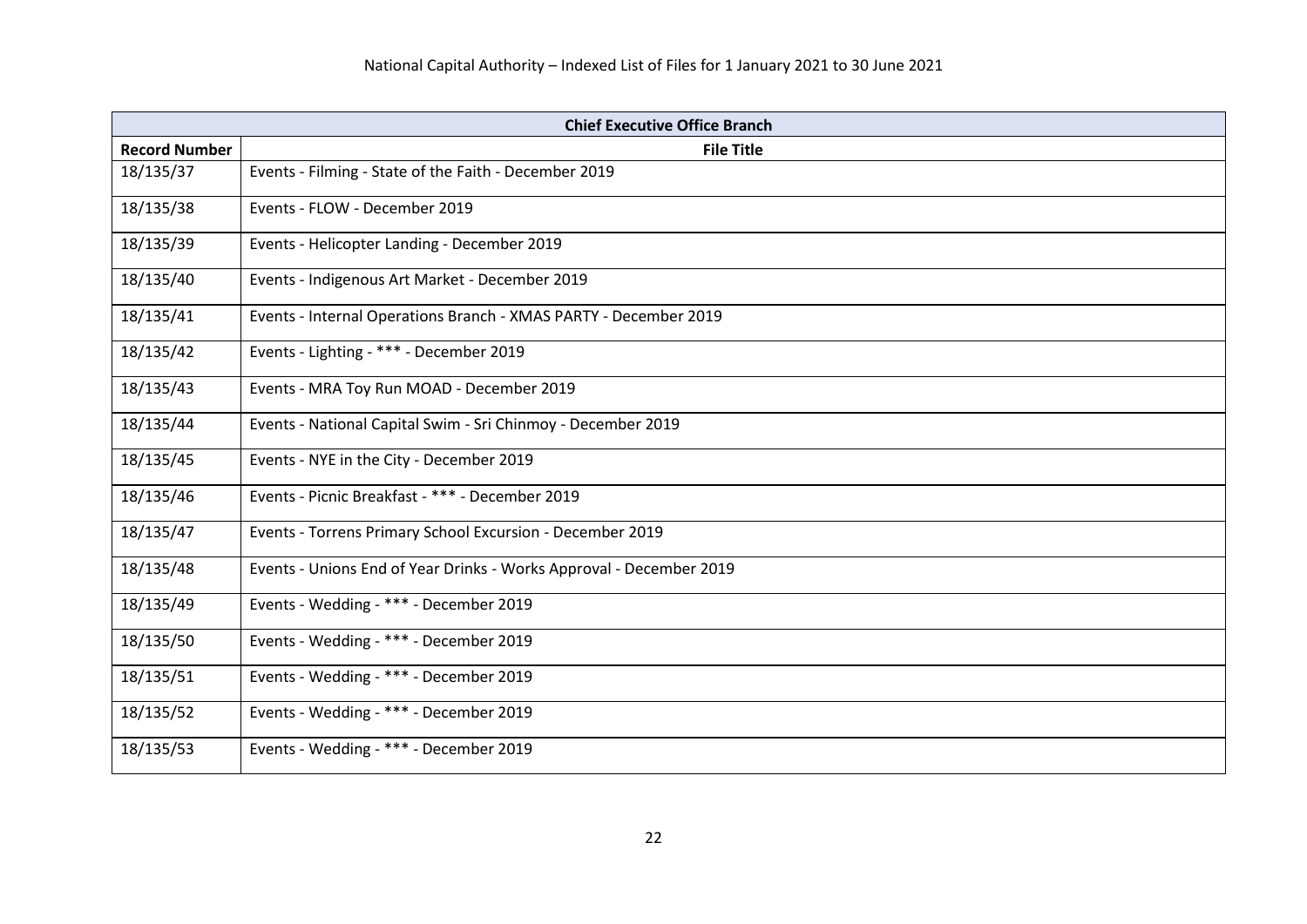| <b>Chief Executive Office Branch</b> |                                                                     |
|--------------------------------------|---------------------------------------------------------------------|
| <b>Record Number</b>                 | <b>File Title</b>                                                   |
| 18/135/37                            | Events - Filming - State of the Faith - December 2019               |
| 18/135/38                            | Events - FLOW - December 2019                                       |
| 18/135/39                            | Events - Helicopter Landing - December 2019                         |
| 18/135/40                            | Events - Indigenous Art Market - December 2019                      |
| 18/135/41                            | Events - Internal Operations Branch - XMAS PARTY - December 2019    |
| 18/135/42                            | Events - Lighting - *** - December 2019                             |
| 18/135/43                            | Events - MRA Toy Run MOAD - December 2019                           |
| 18/135/44                            | Events - National Capital Swim - Sri Chinmoy - December 2019        |
| 18/135/45                            | Events - NYE in the City - December 2019                            |
| 18/135/46                            | Events - Picnic Breakfast - *** - December 2019                     |
| 18/135/47                            | Events - Torrens Primary School Excursion - December 2019           |
| 18/135/48                            | Events - Unions End of Year Drinks - Works Approval - December 2019 |
| 18/135/49                            | Events - Wedding - *** - December 2019                              |
| 18/135/50                            | Events - Wedding - *** - December 2019                              |
| 18/135/51                            | Events - Wedding - *** - December 2019                              |
| 18/135/52                            | Events - Wedding - *** - December 2019                              |
| 18/135/53                            | Events - Wedding - *** - December 2019                              |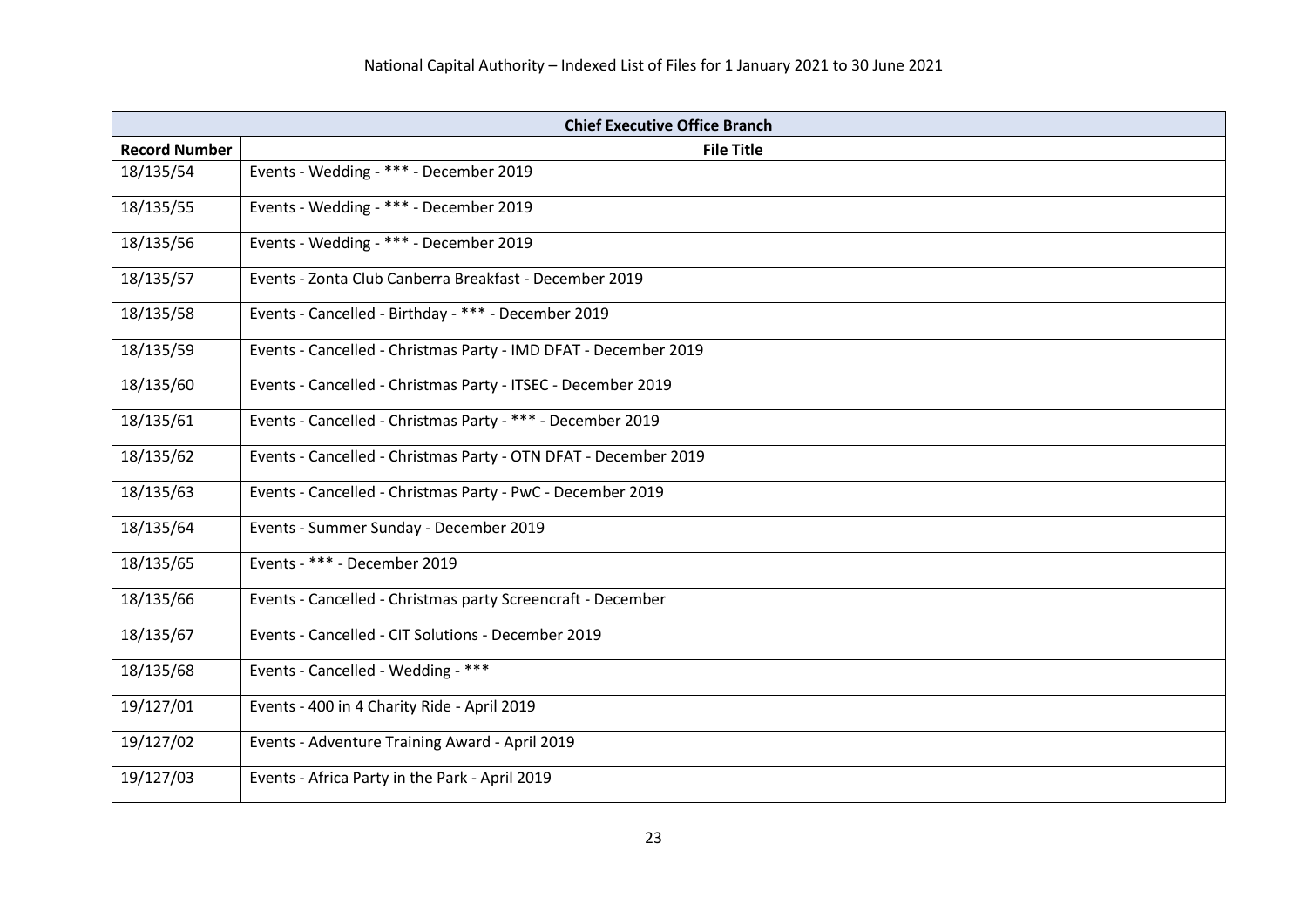| <b>Chief Executive Office Branch</b> |                                                                 |
|--------------------------------------|-----------------------------------------------------------------|
| <b>Record Number</b>                 | <b>File Title</b>                                               |
| 18/135/54                            | Events - Wedding - *** - December 2019                          |
| 18/135/55                            | Events - Wedding - *** - December 2019                          |
| 18/135/56                            | Events - Wedding - *** - December 2019                          |
| 18/135/57                            | Events - Zonta Club Canberra Breakfast - December 2019          |
| 18/135/58                            | Events - Cancelled - Birthday - *** - December 2019             |
| 18/135/59                            | Events - Cancelled - Christmas Party - IMD DFAT - December 2019 |
| 18/135/60                            | Events - Cancelled - Christmas Party - ITSEC - December 2019    |
| 18/135/61                            | Events - Cancelled - Christmas Party - *** - December 2019      |
| 18/135/62                            | Events - Cancelled - Christmas Party - OTN DFAT - December 2019 |
| 18/135/63                            | Events - Cancelled - Christmas Party - PwC - December 2019      |
| 18/135/64                            | Events - Summer Sunday - December 2019                          |
| 18/135/65                            | Events - *** - December 2019                                    |
| 18/135/66                            | Events - Cancelled - Christmas party Screencraft - December     |
| 18/135/67                            | Events - Cancelled - CIT Solutions - December 2019              |
| 18/135/68                            | Events - Cancelled - Wedding - ***                              |
| 19/127/01                            | Events - 400 in 4 Charity Ride - April 2019                     |
| 19/127/02                            | Events - Adventure Training Award - April 2019                  |
| 19/127/03                            | Events - Africa Party in the Park - April 2019                  |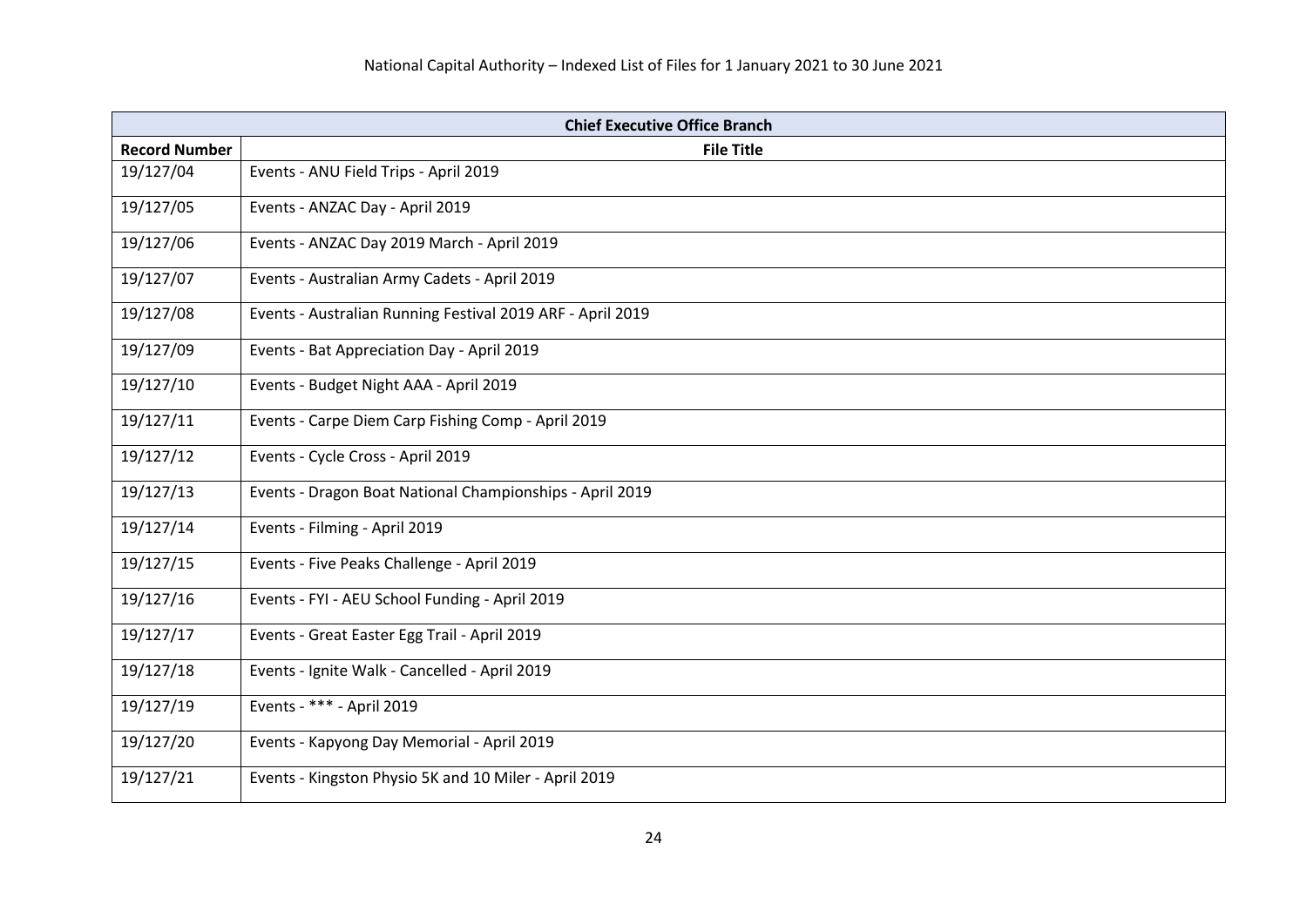| <b>Chief Executive Office Branch</b> |                                                            |
|--------------------------------------|------------------------------------------------------------|
| <b>Record Number</b>                 | <b>File Title</b>                                          |
| 19/127/04                            | Events - ANU Field Trips - April 2019                      |
| 19/127/05                            | Events - ANZAC Day - April 2019                            |
| 19/127/06                            | Events - ANZAC Day 2019 March - April 2019                 |
| 19/127/07                            | Events - Australian Army Cadets - April 2019               |
| 19/127/08                            | Events - Australian Running Festival 2019 ARF - April 2019 |
| 19/127/09                            | Events - Bat Appreciation Day - April 2019                 |
| 19/127/10                            | Events - Budget Night AAA - April 2019                     |
| 19/127/11                            | Events - Carpe Diem Carp Fishing Comp - April 2019         |
| 19/127/12                            | Events - Cycle Cross - April 2019                          |
| 19/127/13                            | Events - Dragon Boat National Championships - April 2019   |
| 19/127/14                            | Events - Filming - April 2019                              |
| 19/127/15                            | Events - Five Peaks Challenge - April 2019                 |
| 19/127/16                            | Events - FYI - AEU School Funding - April 2019             |
| 19/127/17                            | Events - Great Easter Egg Trail - April 2019               |
| 19/127/18                            | Events - Ignite Walk - Cancelled - April 2019              |
| 19/127/19                            | Events - *** - April 2019                                  |
| 19/127/20                            | Events - Kapyong Day Memorial - April 2019                 |
| 19/127/21                            | Events - Kingston Physio 5K and 10 Miler - April 2019      |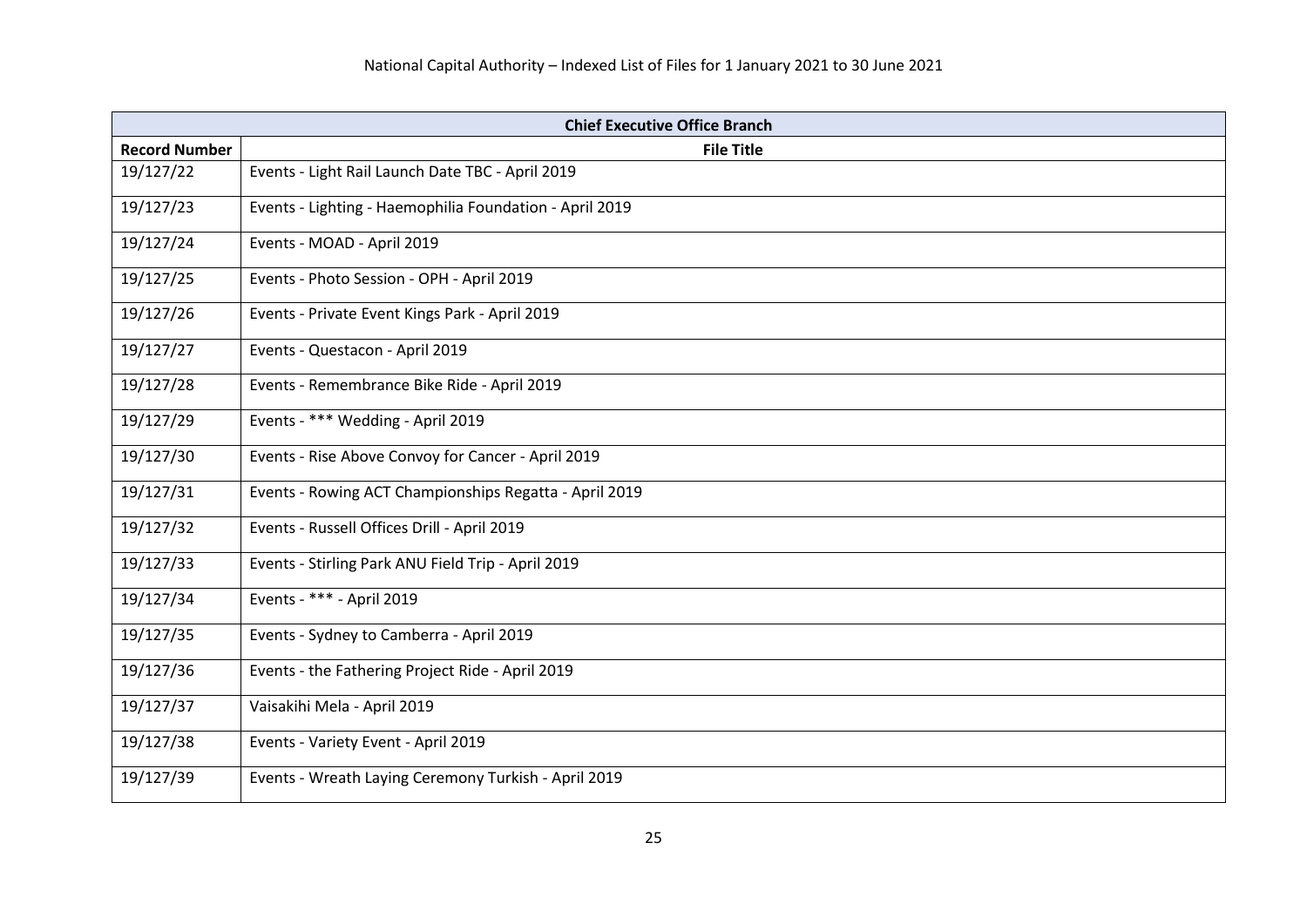| <b>Chief Executive Office Branch</b> |                                                         |
|--------------------------------------|---------------------------------------------------------|
| <b>Record Number</b>                 | <b>File Title</b>                                       |
| 19/127/22                            | Events - Light Rail Launch Date TBC - April 2019        |
| 19/127/23                            | Events - Lighting - Haemophilia Foundation - April 2019 |
| 19/127/24                            | Events - MOAD - April 2019                              |
| 19/127/25                            | Events - Photo Session - OPH - April 2019               |
| 19/127/26                            | Events - Private Event Kings Park - April 2019          |
| 19/127/27                            | Events - Questacon - April 2019                         |
| 19/127/28                            | Events - Remembrance Bike Ride - April 2019             |
| 19/127/29                            | Events - *** Wedding - April 2019                       |
| 19/127/30                            | Events - Rise Above Convoy for Cancer - April 2019      |
| 19/127/31                            | Events - Rowing ACT Championships Regatta - April 2019  |
| 19/127/32                            | Events - Russell Offices Drill - April 2019             |
| 19/127/33                            | Events - Stirling Park ANU Field Trip - April 2019      |
| 19/127/34                            | Events - *** - April 2019                               |
| 19/127/35                            | Events - Sydney to Camberra - April 2019                |
| 19/127/36                            | Events - the Fathering Project Ride - April 2019        |
| 19/127/37                            | Vaisakihi Mela - April 2019                             |
| 19/127/38                            | Events - Variety Event - April 2019                     |
| 19/127/39                            | Events - Wreath Laying Ceremony Turkish - April 2019    |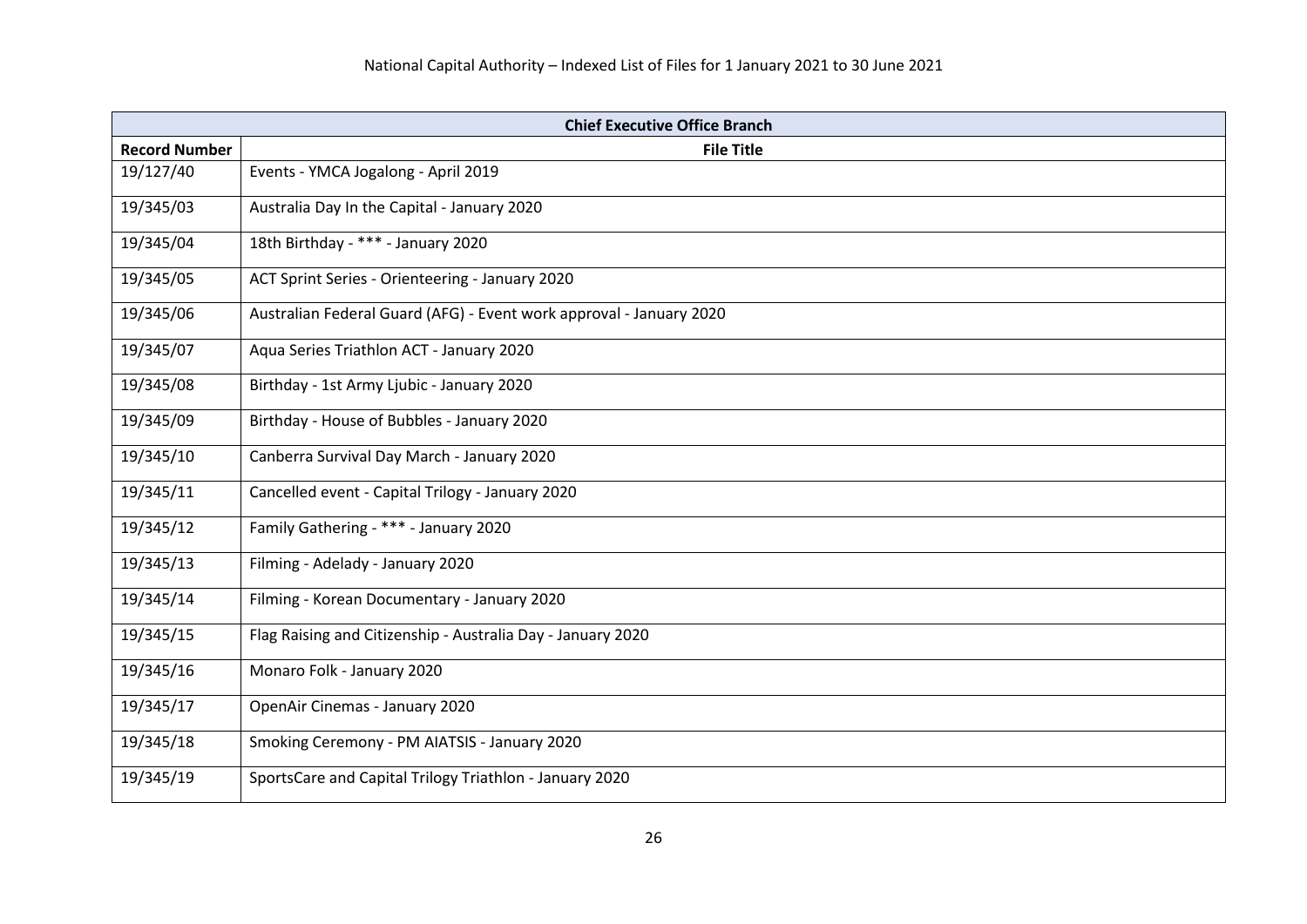| <b>Chief Executive Office Branch</b> |                                                                     |
|--------------------------------------|---------------------------------------------------------------------|
| <b>Record Number</b>                 | <b>File Title</b>                                                   |
| 19/127/40                            | Events - YMCA Jogalong - April 2019                                 |
| 19/345/03                            | Australia Day In the Capital - January 2020                         |
| 19/345/04                            | 18th Birthday - *** - January 2020                                  |
| 19/345/05                            | ACT Sprint Series - Orienteering - January 2020                     |
| 19/345/06                            | Australian Federal Guard (AFG) - Event work approval - January 2020 |
| 19/345/07                            | Aqua Series Triathlon ACT - January 2020                            |
| 19/345/08                            | Birthday - 1st Army Ljubic - January 2020                           |
| 19/345/09                            | Birthday - House of Bubbles - January 2020                          |
| 19/345/10                            | Canberra Survival Day March - January 2020                          |
| 19/345/11                            | Cancelled event - Capital Trilogy - January 2020                    |
| 19/345/12                            | Family Gathering - *** - January 2020                               |
| 19/345/13                            | Filming - Adelady - January 2020                                    |
| 19/345/14                            | Filming - Korean Documentary - January 2020                         |
| 19/345/15                            | Flag Raising and Citizenship - Australia Day - January 2020         |
| 19/345/16                            | Monaro Folk - January 2020                                          |
| 19/345/17                            | OpenAir Cinemas - January 2020                                      |
| 19/345/18                            | Smoking Ceremony - PM AIATSIS - January 2020                        |
| 19/345/19                            | SportsCare and Capital Trilogy Triathlon - January 2020             |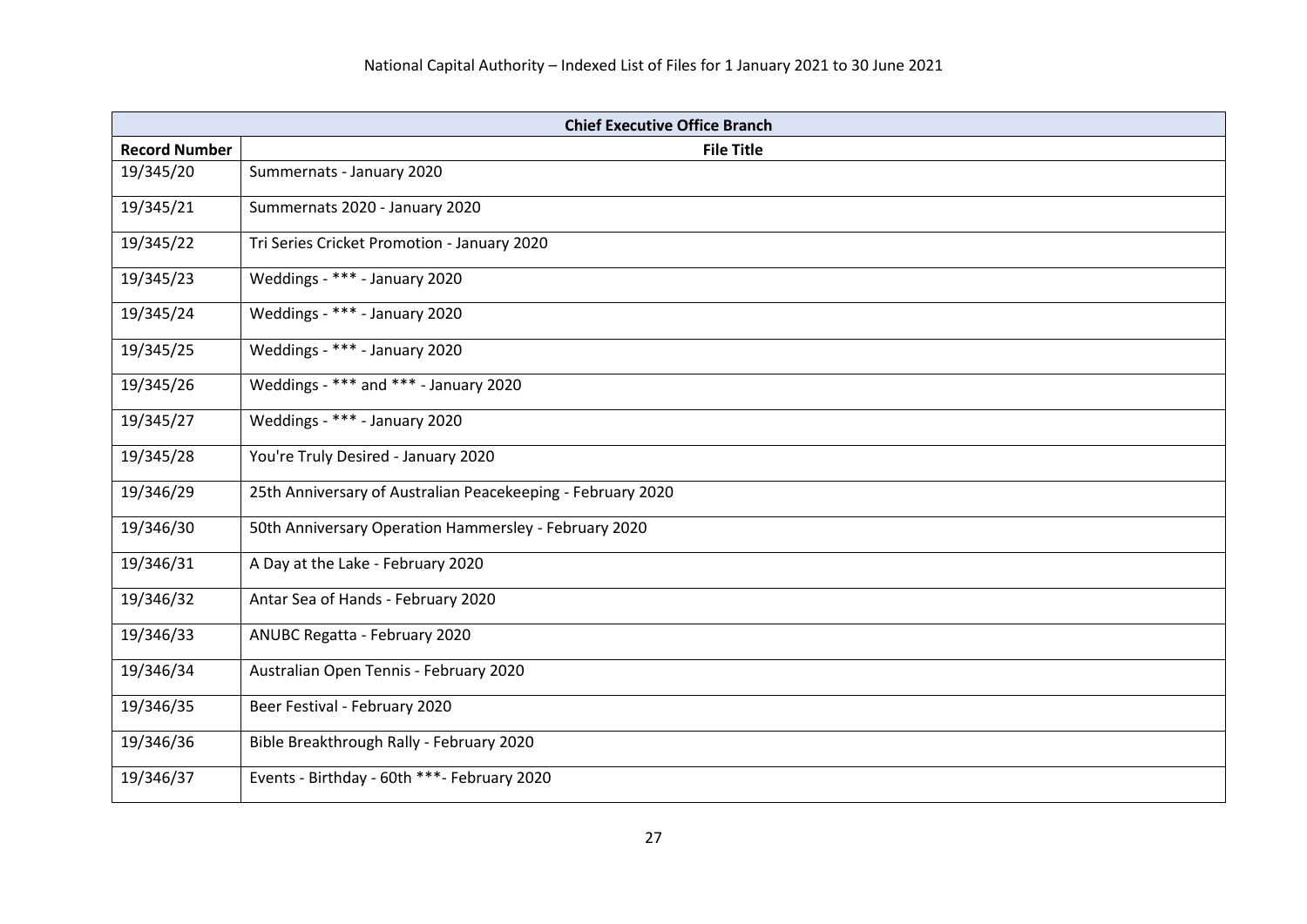| <b>Chief Executive Office Branch</b> |                                                             |
|--------------------------------------|-------------------------------------------------------------|
| <b>Record Number</b>                 | <b>File Title</b>                                           |
| 19/345/20                            | Summernats - January 2020                                   |
| 19/345/21                            | Summernats 2020 - January 2020                              |
| 19/345/22                            | Tri Series Cricket Promotion - January 2020                 |
| 19/345/23                            | Weddings - *** - January 2020                               |
| 19/345/24                            | Weddings - *** - January 2020                               |
| 19/345/25                            | Weddings - *** - January 2020                               |
| 19/345/26                            | Weddings - *** and *** - January 2020                       |
| 19/345/27                            | Weddings - *** - January 2020                               |
| 19/345/28                            | You're Truly Desired - January 2020                         |
| 19/346/29                            | 25th Anniversary of Australian Peacekeeping - February 2020 |
| 19/346/30                            | 50th Anniversary Operation Hammersley - February 2020       |
| 19/346/31                            | A Day at the Lake - February 2020                           |
| 19/346/32                            | Antar Sea of Hands - February 2020                          |
| 19/346/33                            | <b>ANUBC Regatta - February 2020</b>                        |
| 19/346/34                            | Australian Open Tennis - February 2020                      |
| 19/346/35                            | Beer Festival - February 2020                               |
| 19/346/36                            | Bible Breakthrough Rally - February 2020                    |
| 19/346/37                            | Events - Birthday - 60th ***- February 2020                 |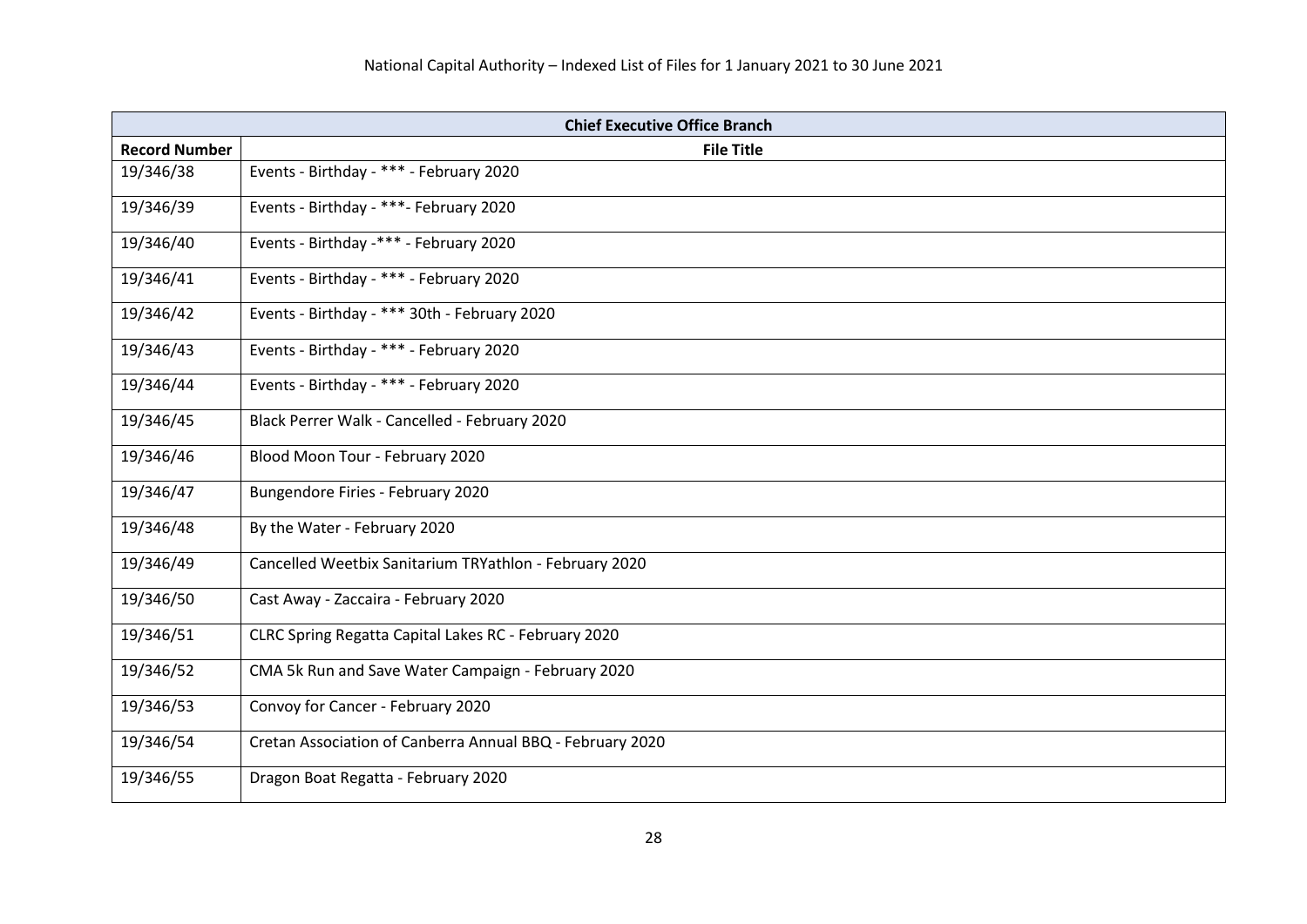| <b>Chief Executive Office Branch</b> |                                                           |
|--------------------------------------|-----------------------------------------------------------|
| <b>Record Number</b>                 | <b>File Title</b>                                         |
| 19/346/38                            | Events - Birthday - *** - February 2020                   |
| 19/346/39                            | Events - Birthday - ***- February 2020                    |
| 19/346/40                            | Events - Birthday -*** - February 2020                    |
| 19/346/41                            | Events - Birthday - *** - February 2020                   |
| 19/346/42                            | Events - Birthday - *** 30th - February 2020              |
| 19/346/43                            | Events - Birthday - *** - February 2020                   |
| 19/346/44                            | Events - Birthday - *** - February 2020                   |
| 19/346/45                            | Black Perrer Walk - Cancelled - February 2020             |
| 19/346/46                            | Blood Moon Tour - February 2020                           |
| 19/346/47                            | Bungendore Firies - February 2020                         |
| 19/346/48                            | By the Water - February 2020                              |
| 19/346/49                            | Cancelled Weetbix Sanitarium TRYathlon - February 2020    |
| 19/346/50                            | Cast Away - Zaccaira - February 2020                      |
| 19/346/51                            | CLRC Spring Regatta Capital Lakes RC - February 2020      |
| 19/346/52                            | CMA 5k Run and Save Water Campaign - February 2020        |
| 19/346/53                            | Convoy for Cancer - February 2020                         |
| 19/346/54                            | Cretan Association of Canberra Annual BBQ - February 2020 |
| 19/346/55                            | Dragon Boat Regatta - February 2020                       |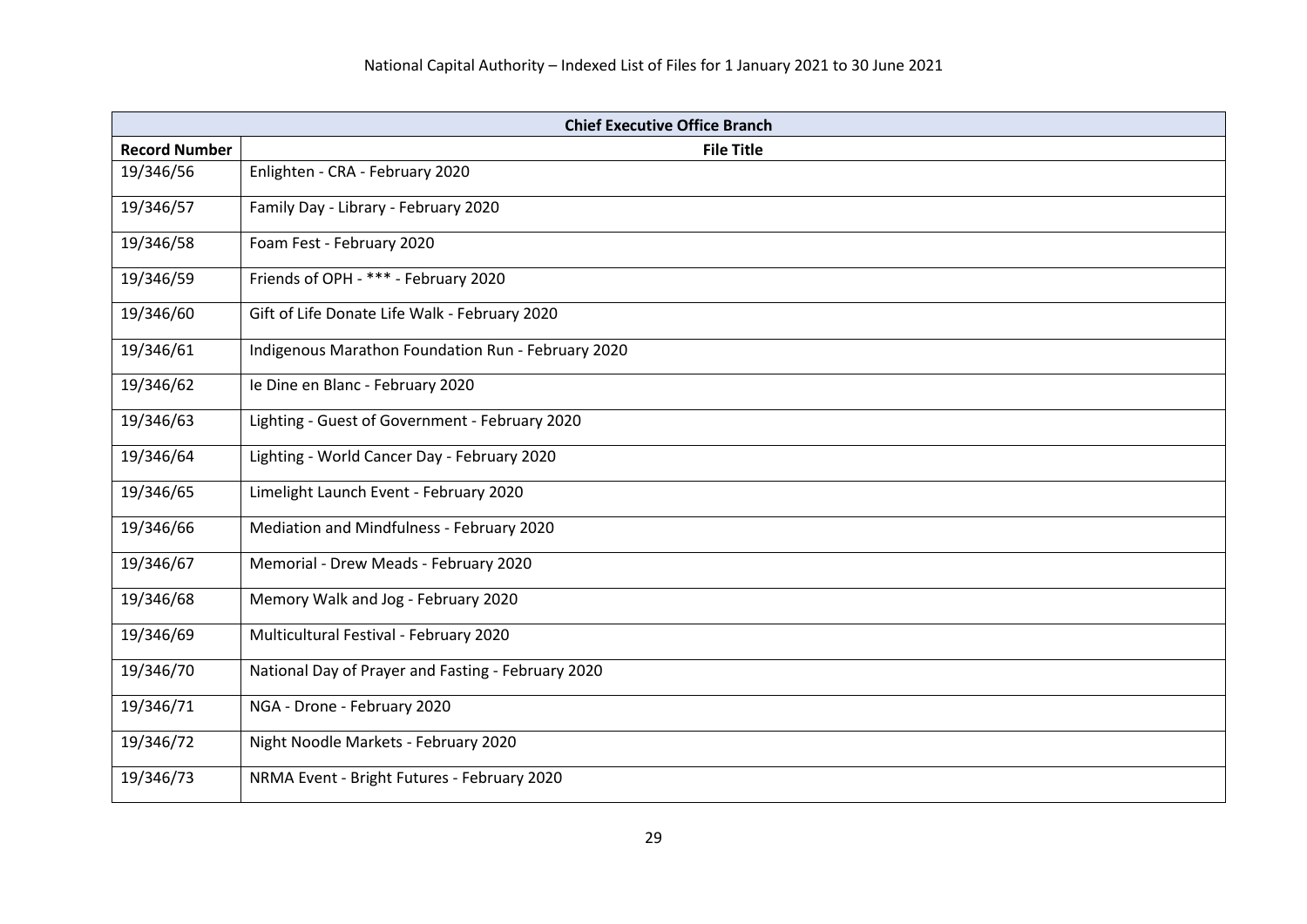| <b>Chief Executive Office Branch</b> |                                                    |
|--------------------------------------|----------------------------------------------------|
| <b>Record Number</b>                 | <b>File Title</b>                                  |
| 19/346/56                            | Enlighten - CRA - February 2020                    |
| 19/346/57                            | Family Day - Library - February 2020               |
| 19/346/58                            | Foam Fest - February 2020                          |
| 19/346/59                            | Friends of OPH - *** - February 2020               |
| 19/346/60                            | Gift of Life Donate Life Walk - February 2020      |
| 19/346/61                            | Indigenous Marathon Foundation Run - February 2020 |
| 19/346/62                            | le Dine en Blanc - February 2020                   |
| 19/346/63                            | Lighting - Guest of Government - February 2020     |
| 19/346/64                            | Lighting - World Cancer Day - February 2020        |
| 19/346/65                            | Limelight Launch Event - February 2020             |
| 19/346/66                            | Mediation and Mindfulness - February 2020          |
| 19/346/67                            | Memorial - Drew Meads - February 2020              |
| 19/346/68                            | Memory Walk and Jog - February 2020                |
| 19/346/69                            | Multicultural Festival - February 2020             |
| 19/346/70                            | National Day of Prayer and Fasting - February 2020 |
| 19/346/71                            | NGA - Drone - February 2020                        |
| 19/346/72                            | Night Noodle Markets - February 2020               |
| 19/346/73                            | NRMA Event - Bright Futures - February 2020        |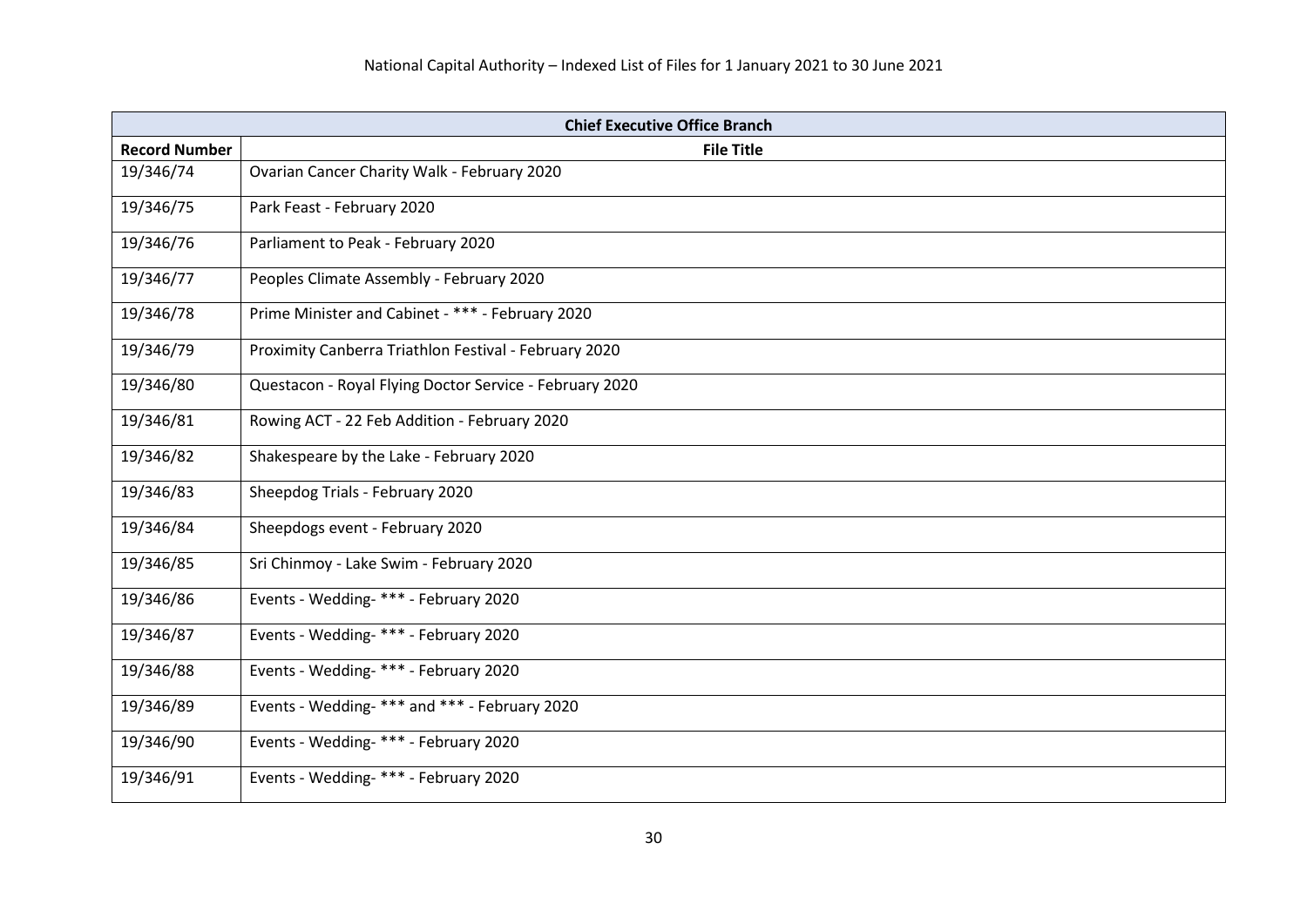| <b>Chief Executive Office Branch</b> |                                                         |
|--------------------------------------|---------------------------------------------------------|
| <b>Record Number</b>                 | <b>File Title</b>                                       |
| 19/346/74                            | Ovarian Cancer Charity Walk - February 2020             |
| 19/346/75                            | Park Feast - February 2020                              |
| 19/346/76                            | Parliament to Peak - February 2020                      |
| 19/346/77                            | Peoples Climate Assembly - February 2020                |
| 19/346/78                            | Prime Minister and Cabinet - *** - February 2020        |
| 19/346/79                            | Proximity Canberra Triathlon Festival - February 2020   |
| 19/346/80                            | Questacon - Royal Flying Doctor Service - February 2020 |
| 19/346/81                            | Rowing ACT - 22 Feb Addition - February 2020            |
| 19/346/82                            | Shakespeare by the Lake - February 2020                 |
| 19/346/83                            | Sheepdog Trials - February 2020                         |
| 19/346/84                            | Sheepdogs event - February 2020                         |
| 19/346/85                            | Sri Chinmoy - Lake Swim - February 2020                 |
| 19/346/86                            | Events - Wedding- *** - February 2020                   |
| 19/346/87                            | Events - Wedding- *** - February 2020                   |
| 19/346/88                            | Events - Wedding- *** - February 2020                   |
| 19/346/89                            | Events - Wedding-*** and *** - February 2020            |
| 19/346/90                            | Events - Wedding- *** - February 2020                   |
| 19/346/91                            | Events - Wedding- *** - February 2020                   |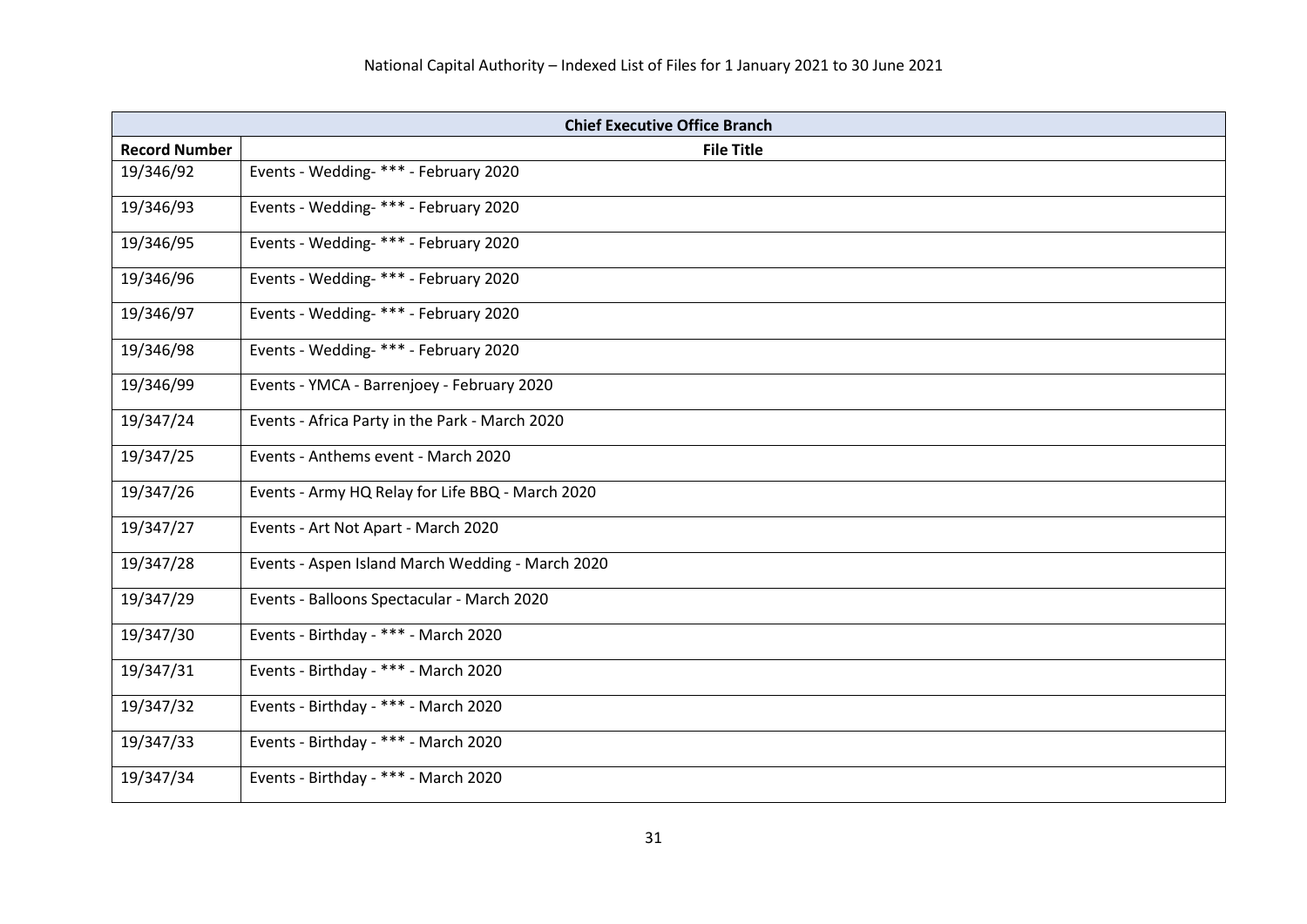|                      | <b>Chief Executive Office Branch</b>             |  |
|----------------------|--------------------------------------------------|--|
| <b>Record Number</b> | <b>File Title</b>                                |  |
| 19/346/92            | Events - Wedding- *** - February 2020            |  |
| 19/346/93            | Events - Wedding- *** - February 2020            |  |
| 19/346/95            | Events - Wedding- *** - February 2020            |  |
| 19/346/96            | Events - Wedding- *** - February 2020            |  |
| 19/346/97            | Events - Wedding- *** - February 2020            |  |
| 19/346/98            | Events - Wedding- *** - February 2020            |  |
| 19/346/99            | Events - YMCA - Barrenjoey - February 2020       |  |
| 19/347/24            | Events - Africa Party in the Park - March 2020   |  |
| 19/347/25            | Events - Anthems event - March 2020              |  |
| 19/347/26            | Events - Army HQ Relay for Life BBQ - March 2020 |  |
| 19/347/27            | Events - Art Not Apart - March 2020              |  |
| 19/347/28            | Events - Aspen Island March Wedding - March 2020 |  |
| 19/347/29            | Events - Balloons Spectacular - March 2020       |  |
| 19/347/30            | Events - Birthday - *** - March 2020             |  |
| 19/347/31            | Events - Birthday - *** - March 2020             |  |
| 19/347/32            | Events - Birthday - *** - March 2020             |  |
| 19/347/33            | Events - Birthday - *** - March 2020             |  |
| 19/347/34            | Events - Birthday - *** - March 2020             |  |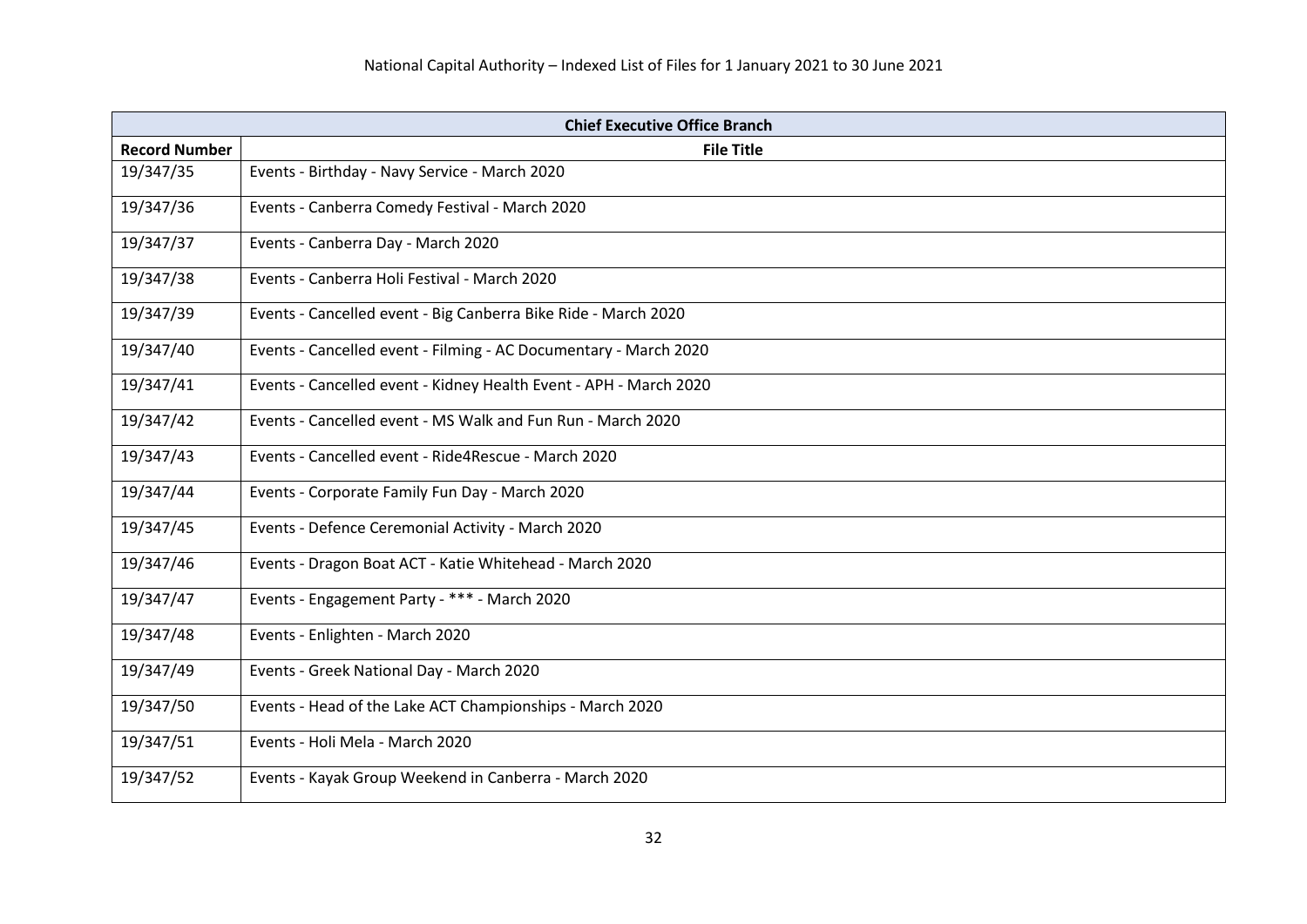| <b>Chief Executive Office Branch</b> |                                                                   |
|--------------------------------------|-------------------------------------------------------------------|
| <b>Record Number</b>                 | <b>File Title</b>                                                 |
| 19/347/35                            | Events - Birthday - Navy Service - March 2020                     |
| 19/347/36                            | Events - Canberra Comedy Festival - March 2020                    |
| 19/347/37                            | Events - Canberra Day - March 2020                                |
| 19/347/38                            | Events - Canberra Holi Festival - March 2020                      |
| 19/347/39                            | Events - Cancelled event - Big Canberra Bike Ride - March 2020    |
| 19/347/40                            | Events - Cancelled event - Filming - AC Documentary - March 2020  |
| 19/347/41                            | Events - Cancelled event - Kidney Health Event - APH - March 2020 |
| 19/347/42                            | Events - Cancelled event - MS Walk and Fun Run - March 2020       |
| 19/347/43                            | Events - Cancelled event - Ride4Rescue - March 2020               |
| 19/347/44                            | Events - Corporate Family Fun Day - March 2020                    |
| 19/347/45                            | Events - Defence Ceremonial Activity - March 2020                 |
| 19/347/46                            | Events - Dragon Boat ACT - Katie Whitehead - March 2020           |
| 19/347/47                            | Events - Engagement Party - *** - March 2020                      |
| 19/347/48                            | Events - Enlighten - March 2020                                   |
| 19/347/49                            | Events - Greek National Day - March 2020                          |
| 19/347/50                            | Events - Head of the Lake ACT Championships - March 2020          |
| 19/347/51                            | Events - Holi Mela - March 2020                                   |
| 19/347/52                            | Events - Kayak Group Weekend in Canberra - March 2020             |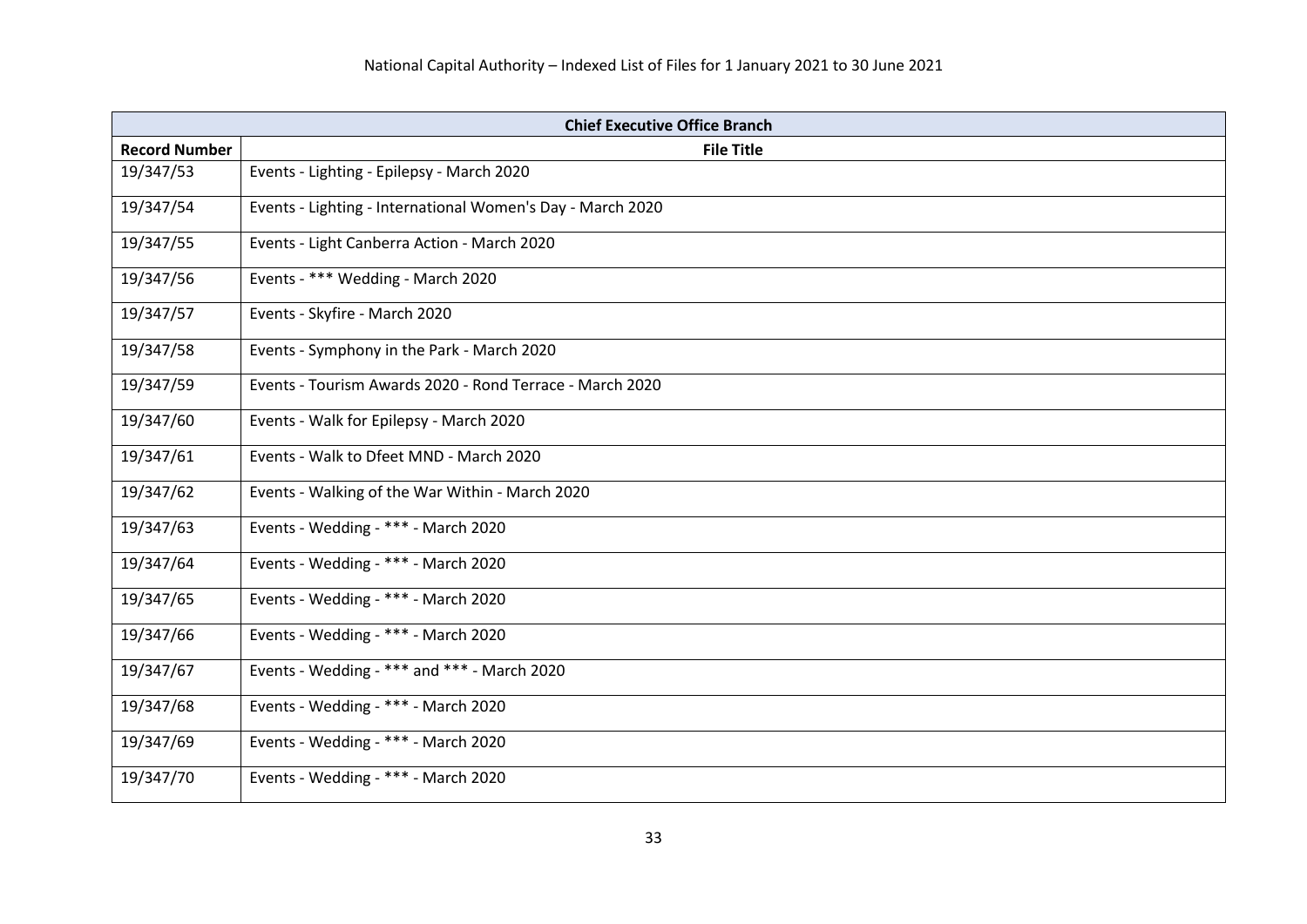| <b>Chief Executive Office Branch</b> |                                                            |
|--------------------------------------|------------------------------------------------------------|
| <b>Record Number</b>                 | <b>File Title</b>                                          |
| 19/347/53                            | Events - Lighting - Epilepsy - March 2020                  |
| 19/347/54                            | Events - Lighting - International Women's Day - March 2020 |
| 19/347/55                            | Events - Light Canberra Action - March 2020                |
| 19/347/56                            | Events - *** Wedding - March 2020                          |
| 19/347/57                            | Events - Skyfire - March 2020                              |
| 19/347/58                            | Events - Symphony in the Park - March 2020                 |
| 19/347/59                            | Events - Tourism Awards 2020 - Rond Terrace - March 2020   |
| 19/347/60                            | Events - Walk for Epilepsy - March 2020                    |
| 19/347/61                            | Events - Walk to Dfeet MND - March 2020                    |
| 19/347/62                            | Events - Walking of the War Within - March 2020            |
| 19/347/63                            | Events - Wedding - *** - March 2020                        |
| 19/347/64                            | Events - Wedding - *** - March 2020                        |
| 19/347/65                            | Events - Wedding - *** - March 2020                        |
| 19/347/66                            | Events - Wedding - *** - March 2020                        |
| 19/347/67                            | Events - Wedding - *** and *** - March 2020                |
| 19/347/68                            | Events - Wedding - *** - March 2020                        |
| 19/347/69                            | Events - Wedding - *** - March 2020                        |
| 19/347/70                            | Events - Wedding - *** - March 2020                        |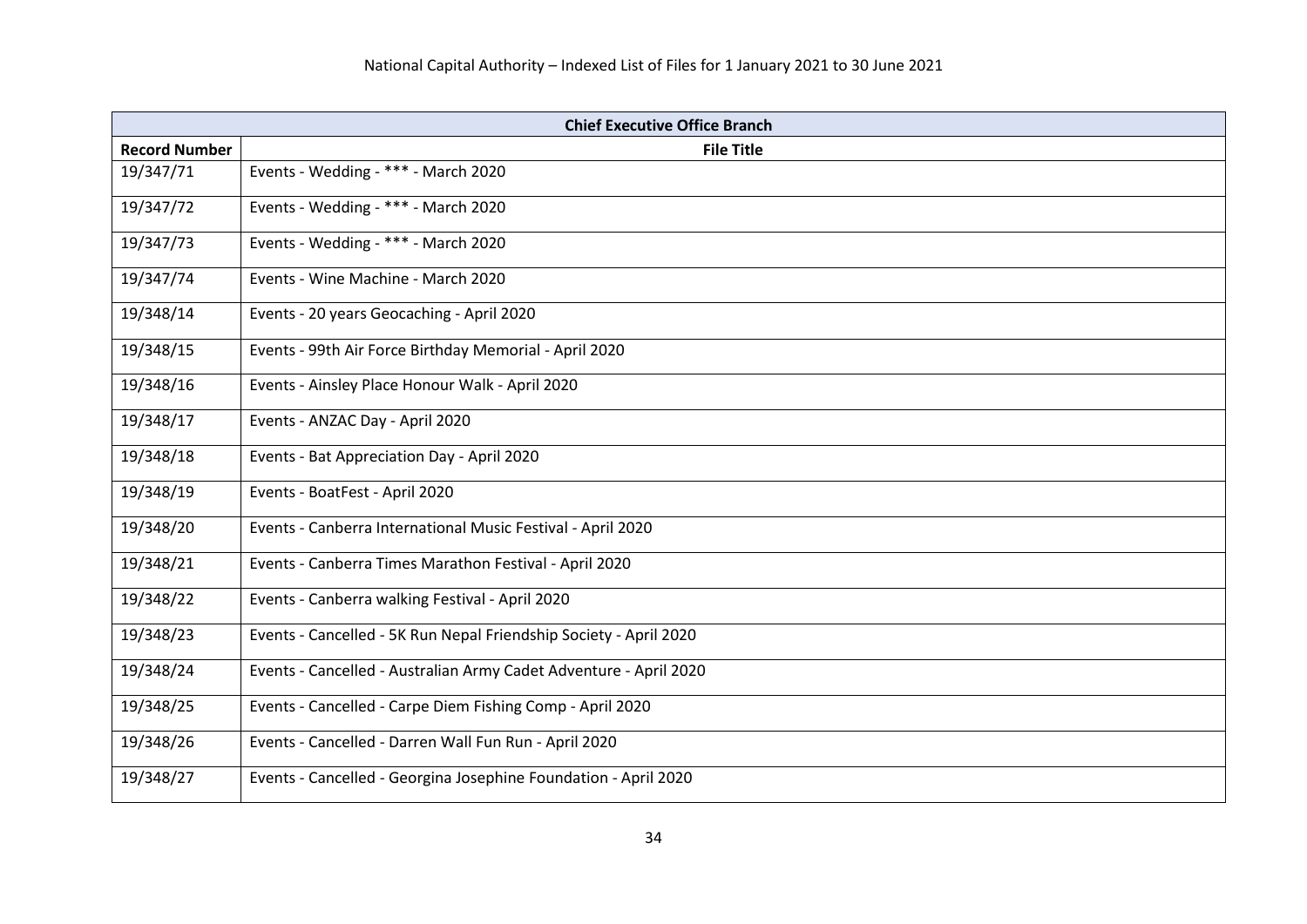| <b>Chief Executive Office Branch</b> |                                                                   |
|--------------------------------------|-------------------------------------------------------------------|
| <b>Record Number</b>                 | <b>File Title</b>                                                 |
| 19/347/71                            | Events - Wedding - *** - March 2020                               |
| 19/347/72                            | Events - Wedding - *** - March 2020                               |
| 19/347/73                            | Events - Wedding - *** - March 2020                               |
| 19/347/74                            | Events - Wine Machine - March 2020                                |
| 19/348/14                            | Events - 20 years Geocaching - April 2020                         |
| 19/348/15                            | Events - 99th Air Force Birthday Memorial - April 2020            |
| 19/348/16                            | Events - Ainsley Place Honour Walk - April 2020                   |
| 19/348/17                            | Events - ANZAC Day - April 2020                                   |
| 19/348/18                            | Events - Bat Appreciation Day - April 2020                        |
| 19/348/19                            | Events - BoatFest - April 2020                                    |
| 19/348/20                            | Events - Canberra International Music Festival - April 2020       |
| 19/348/21                            | Events - Canberra Times Marathon Festival - April 2020            |
| 19/348/22                            | Events - Canberra walking Festival - April 2020                   |
| 19/348/23                            | Events - Cancelled - 5K Run Nepal Friendship Society - April 2020 |
| 19/348/24                            | Events - Cancelled - Australian Army Cadet Adventure - April 2020 |
| 19/348/25                            | Events - Cancelled - Carpe Diem Fishing Comp - April 2020         |
| 19/348/26                            | Events - Cancelled - Darren Wall Fun Run - April 2020             |
| 19/348/27                            | Events - Cancelled - Georgina Josephine Foundation - April 2020   |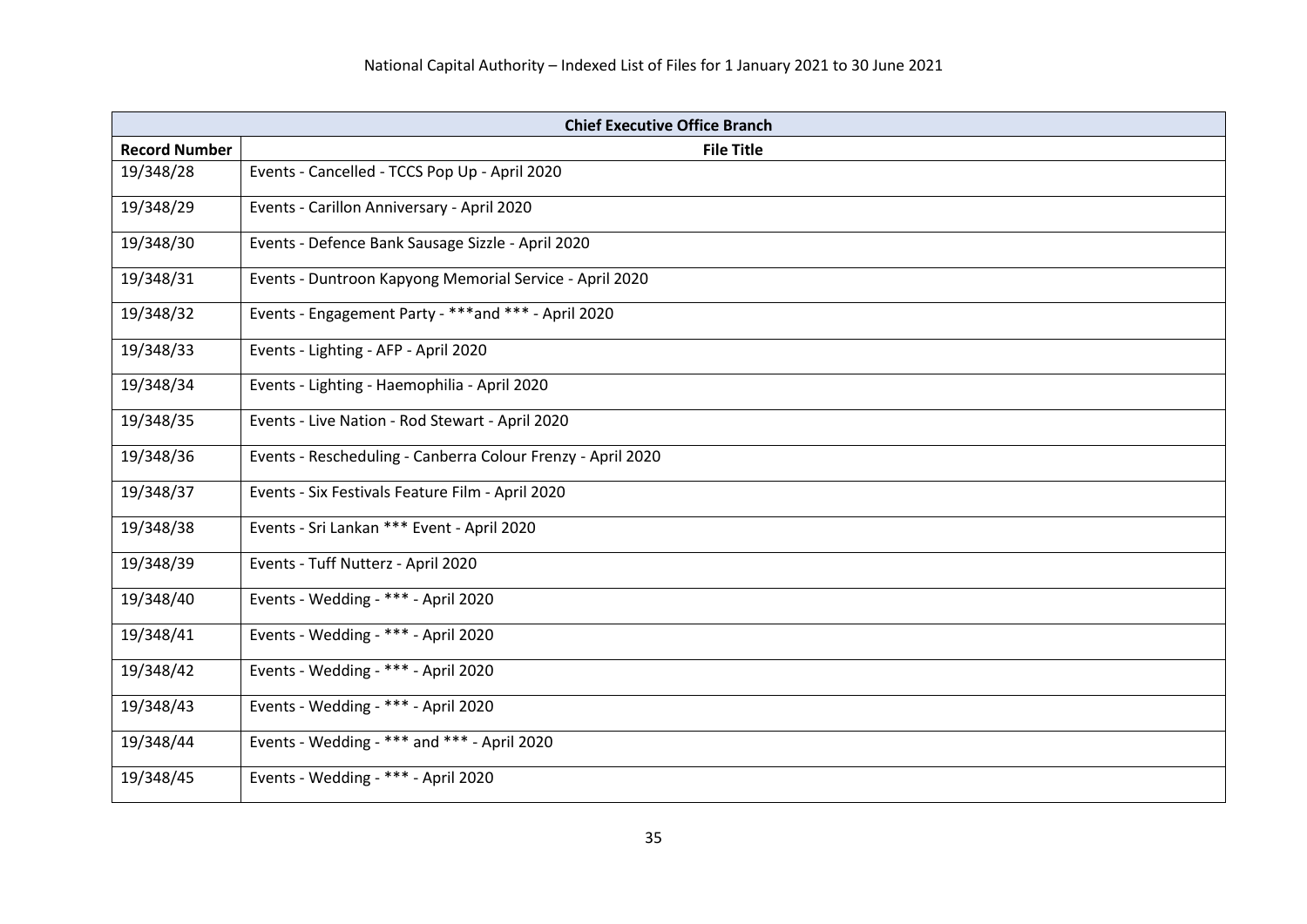| <b>Chief Executive Office Branch</b> |                                                             |
|--------------------------------------|-------------------------------------------------------------|
| <b>Record Number</b>                 | <b>File Title</b>                                           |
| 19/348/28                            | Events - Cancelled - TCCS Pop Up - April 2020               |
| 19/348/29                            | Events - Carillon Anniversary - April 2020                  |
| 19/348/30                            | Events - Defence Bank Sausage Sizzle - April 2020           |
| 19/348/31                            | Events - Duntroon Kapyong Memorial Service - April 2020     |
| 19/348/32                            | Events - Engagement Party - ***and *** - April 2020         |
| 19/348/33                            | Events - Lighting - AFP - April 2020                        |
| 19/348/34                            | Events - Lighting - Haemophilia - April 2020                |
| 19/348/35                            | Events - Live Nation - Rod Stewart - April 2020             |
| 19/348/36                            | Events - Rescheduling - Canberra Colour Frenzy - April 2020 |
| 19/348/37                            | Events - Six Festivals Feature Film - April 2020            |
| 19/348/38                            | Events - Sri Lankan *** Event - April 2020                  |
| 19/348/39                            | Events - Tuff Nutterz - April 2020                          |
| 19/348/40                            | Events - Wedding - *** - April 2020                         |
| 19/348/41                            | Events - Wedding - *** - April 2020                         |
| 19/348/42                            | Events - Wedding - *** - April 2020                         |
| 19/348/43                            | Events - Wedding - *** - April 2020                         |
| 19/348/44                            | Events - Wedding - *** and *** - April 2020                 |
| 19/348/45                            | Events - Wedding - *** - April 2020                         |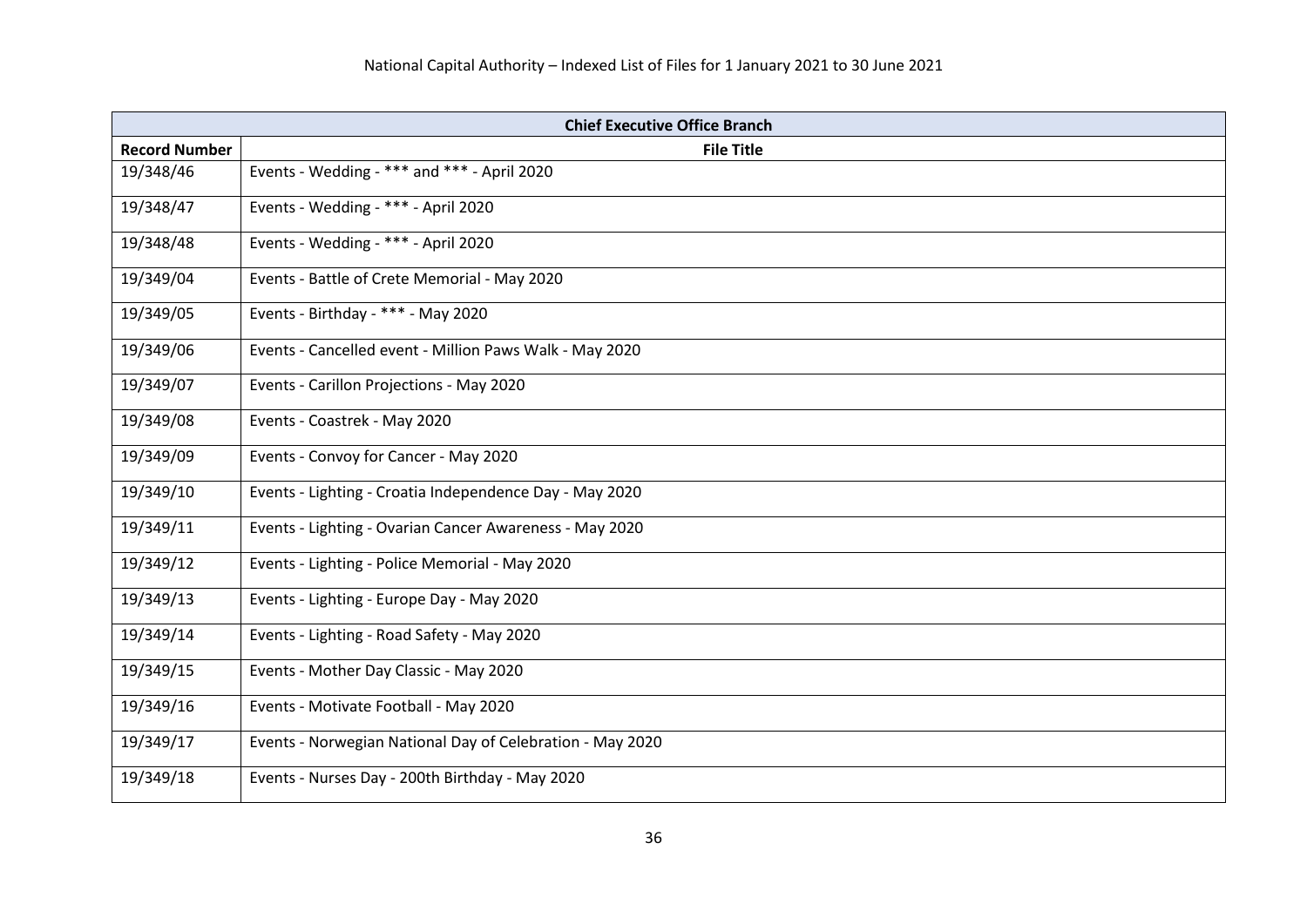| <b>Chief Executive Office Branch</b> |                                                           |
|--------------------------------------|-----------------------------------------------------------|
| <b>Record Number</b>                 | <b>File Title</b>                                         |
| 19/348/46                            | Events - Wedding - *** and *** - April 2020               |
| 19/348/47                            | Events - Wedding - *** - April 2020                       |
| 19/348/48                            | Events - Wedding - *** - April 2020                       |
| 19/349/04                            | Events - Battle of Crete Memorial - May 2020              |
| 19/349/05                            | Events - Birthday - *** - May 2020                        |
| 19/349/06                            | Events - Cancelled event - Million Paws Walk - May 2020   |
| 19/349/07                            | Events - Carillon Projections - May 2020                  |
| 19/349/08                            | Events - Coastrek - May 2020                              |
| 19/349/09                            | Events - Convoy for Cancer - May 2020                     |
| 19/349/10                            | Events - Lighting - Croatia Independence Day - May 2020   |
| 19/349/11                            | Events - Lighting - Ovarian Cancer Awareness - May 2020   |
| 19/349/12                            | Events - Lighting - Police Memorial - May 2020            |
| 19/349/13                            | Events - Lighting - Europe Day - May 2020                 |
| 19/349/14                            | Events - Lighting - Road Safety - May 2020                |
| 19/349/15                            | Events - Mother Day Classic - May 2020                    |
| 19/349/16                            | Events - Motivate Football - May 2020                     |
| 19/349/17                            | Events - Norwegian National Day of Celebration - May 2020 |
| 19/349/18                            | Events - Nurses Day - 200th Birthday - May 2020           |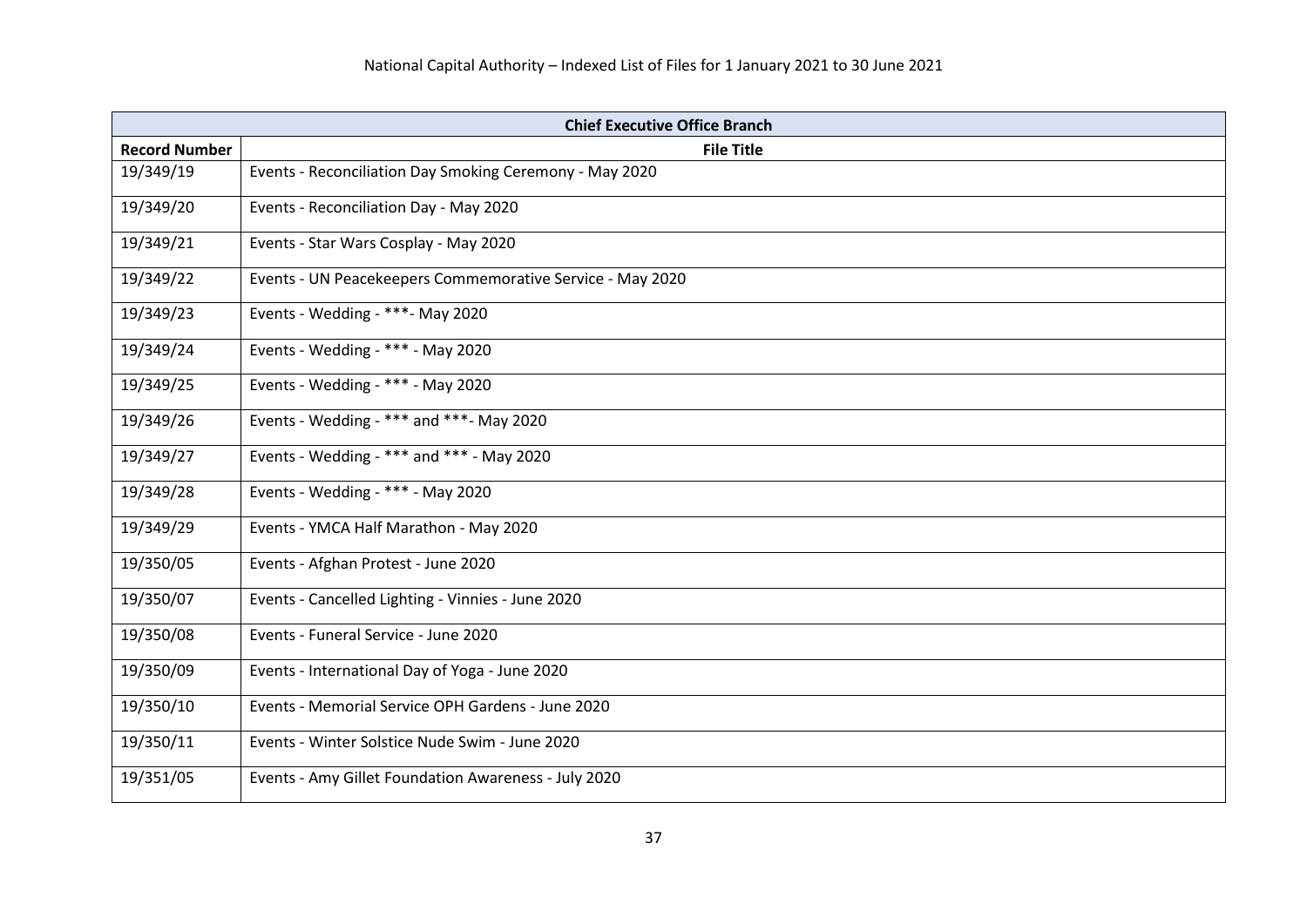| <b>Chief Executive Office Branch</b> |                                                           |
|--------------------------------------|-----------------------------------------------------------|
| <b>Record Number</b>                 | <b>File Title</b>                                         |
| 19/349/19                            | Events - Reconciliation Day Smoking Ceremony - May 2020   |
| 19/349/20                            | Events - Reconciliation Day - May 2020                    |
| 19/349/21                            | Events - Star Wars Cosplay - May 2020                     |
| 19/349/22                            | Events - UN Peacekeepers Commemorative Service - May 2020 |
| 19/349/23                            | Events - Wedding - ***- May 2020                          |
| 19/349/24                            | Events - Wedding - *** - May 2020                         |
| 19/349/25                            | Events - Wedding - *** - May 2020                         |
| 19/349/26                            | Events - Wedding - *** and ***- May 2020                  |
| 19/349/27                            | Events - Wedding - *** and *** - May 2020                 |
| 19/349/28                            | Events - Wedding - *** - May 2020                         |
| 19/349/29                            | Events - YMCA Half Marathon - May 2020                    |
| 19/350/05                            | Events - Afghan Protest - June 2020                       |
| 19/350/07                            | Events - Cancelled Lighting - Vinnies - June 2020         |
| 19/350/08                            | Events - Funeral Service - June 2020                      |
| 19/350/09                            | Events - International Day of Yoga - June 2020            |
| 19/350/10                            | Events - Memorial Service OPH Gardens - June 2020         |
| 19/350/11                            | Events - Winter Solstice Nude Swim - June 2020            |
| 19/351/05                            | Events - Amy Gillet Foundation Awareness - July 2020      |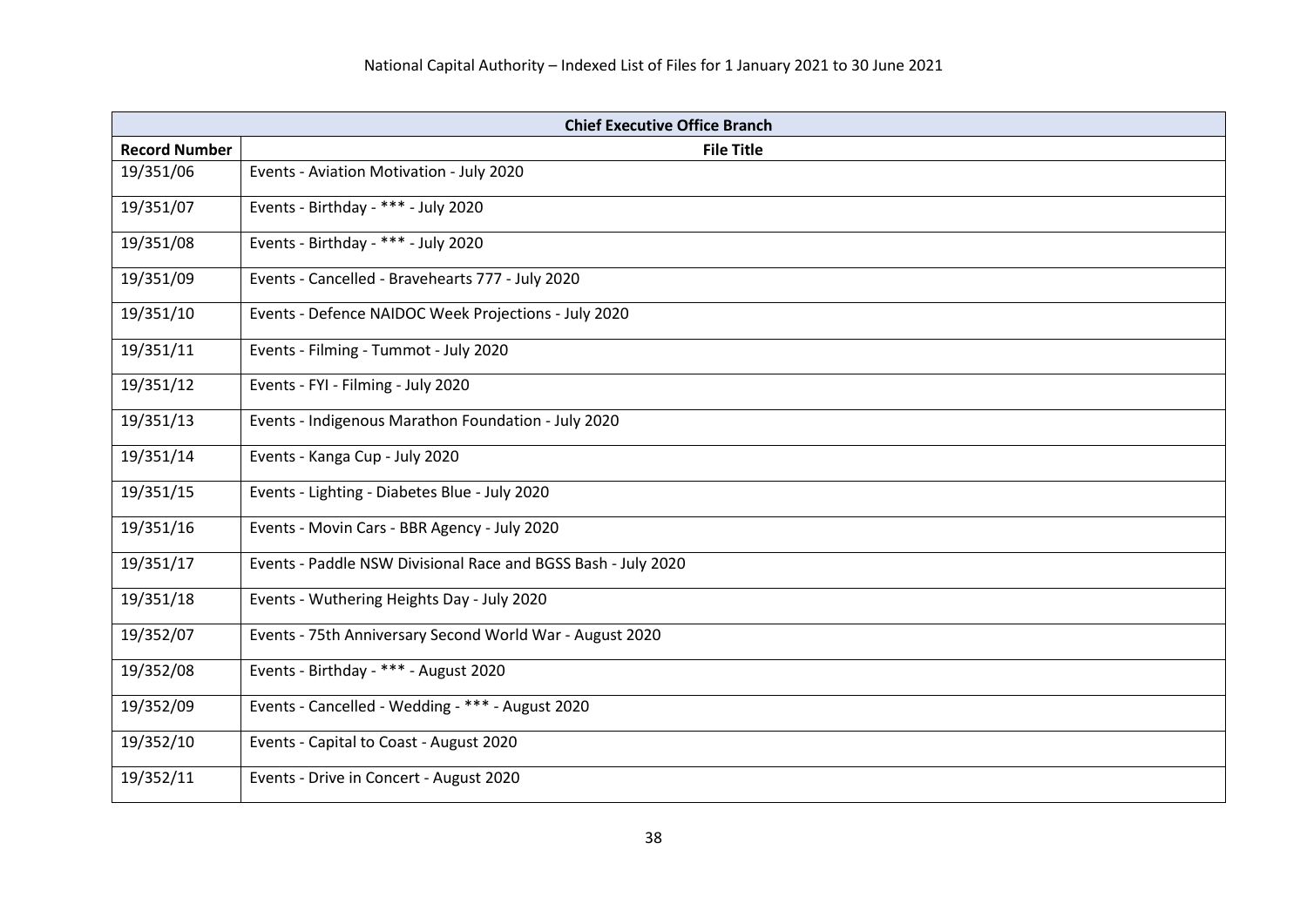| <b>Chief Executive Office Branch</b> |                                                               |
|--------------------------------------|---------------------------------------------------------------|
| <b>Record Number</b>                 | <b>File Title</b>                                             |
| 19/351/06                            | Events - Aviation Motivation - July 2020                      |
| 19/351/07                            | Events - Birthday - *** - July 2020                           |
| 19/351/08                            | Events - Birthday - *** - July 2020                           |
| 19/351/09                            | Events - Cancelled - Bravehearts 777 - July 2020              |
| 19/351/10                            | Events - Defence NAIDOC Week Projections - July 2020          |
| 19/351/11                            | Events - Filming - Tummot - July 2020                         |
| 19/351/12                            | Events - FYI - Filming - July 2020                            |
| 19/351/13                            | Events - Indigenous Marathon Foundation - July 2020           |
| 19/351/14                            | Events - Kanga Cup - July 2020                                |
| 19/351/15                            | Events - Lighting - Diabetes Blue - July 2020                 |
| 19/351/16                            | Events - Movin Cars - BBR Agency - July 2020                  |
| 19/351/17                            | Events - Paddle NSW Divisional Race and BGSS Bash - July 2020 |
| 19/351/18                            | Events - Wuthering Heights Day - July 2020                    |
| 19/352/07                            | Events - 75th Anniversary Second World War - August 2020      |
| 19/352/08                            | Events - Birthday - *** - August 2020                         |
| 19/352/09                            | Events - Cancelled - Wedding - *** - August 2020              |
| 19/352/10                            | Events - Capital to Coast - August 2020                       |
| 19/352/11                            | Events - Drive in Concert - August 2020                       |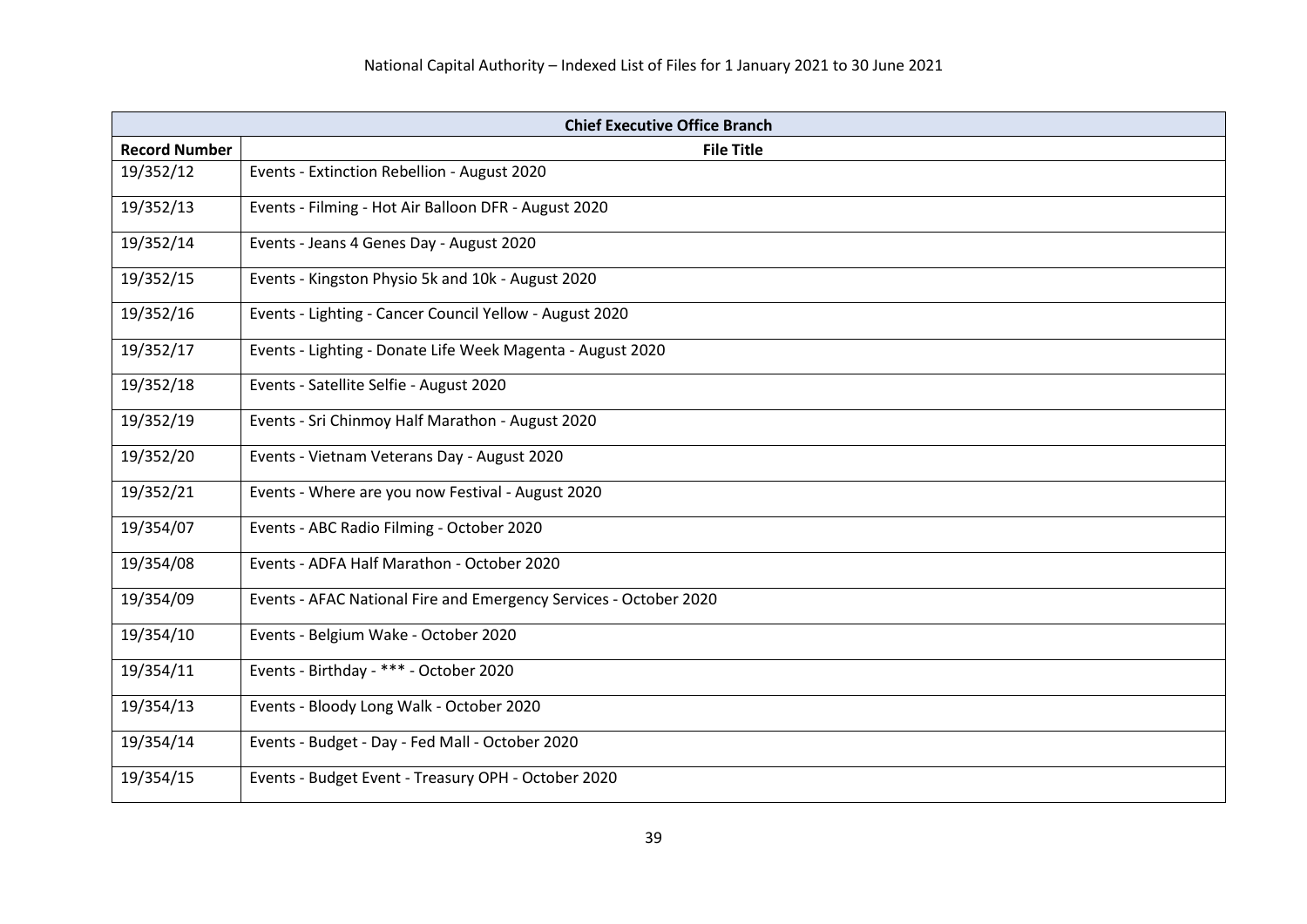| <b>Chief Executive Office Branch</b> |                                                                   |
|--------------------------------------|-------------------------------------------------------------------|
| <b>Record Number</b>                 | <b>File Title</b>                                                 |
| 19/352/12                            | Events - Extinction Rebellion - August 2020                       |
| 19/352/13                            | Events - Filming - Hot Air Balloon DFR - August 2020              |
| 19/352/14                            | Events - Jeans 4 Genes Day - August 2020                          |
| 19/352/15                            | Events - Kingston Physio 5k and 10k - August 2020                 |
| 19/352/16                            | Events - Lighting - Cancer Council Yellow - August 2020           |
| 19/352/17                            | Events - Lighting - Donate Life Week Magenta - August 2020        |
| 19/352/18                            | Events - Satellite Selfie - August 2020                           |
| 19/352/19                            | Events - Sri Chinmoy Half Marathon - August 2020                  |
| 19/352/20                            | Events - Vietnam Veterans Day - August 2020                       |
| 19/352/21                            | Events - Where are you now Festival - August 2020                 |
| 19/354/07                            | Events - ABC Radio Filming - October 2020                         |
| 19/354/08                            | Events - ADFA Half Marathon - October 2020                        |
| 19/354/09                            | Events - AFAC National Fire and Emergency Services - October 2020 |
| 19/354/10                            | Events - Belgium Wake - October 2020                              |
| 19/354/11                            | Events - Birthday - *** - October 2020                            |
| 19/354/13                            | Events - Bloody Long Walk - October 2020                          |
| 19/354/14                            | Events - Budget - Day - Fed Mall - October 2020                   |
| 19/354/15                            | Events - Budget Event - Treasury OPH - October 2020               |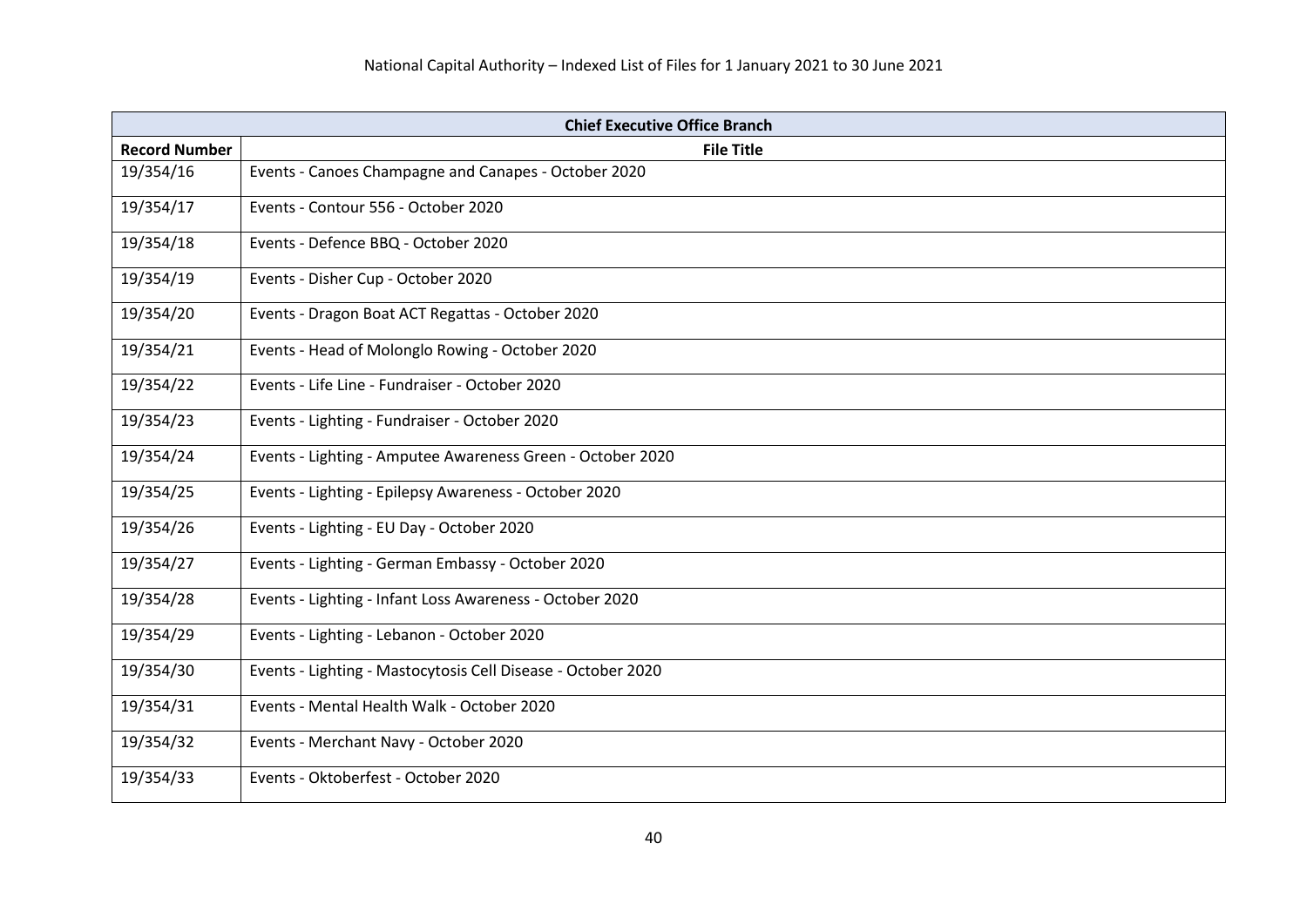| <b>Chief Executive Office Branch</b> |                                                              |
|--------------------------------------|--------------------------------------------------------------|
| <b>Record Number</b>                 | <b>File Title</b>                                            |
| 19/354/16                            | Events - Canoes Champagne and Canapes - October 2020         |
| 19/354/17                            | Events - Contour 556 - October 2020                          |
| 19/354/18                            | Events - Defence BBQ - October 2020                          |
| 19/354/19                            | Events - Disher Cup - October 2020                           |
| 19/354/20                            | Events - Dragon Boat ACT Regattas - October 2020             |
| 19/354/21                            | Events - Head of Molonglo Rowing - October 2020              |
| 19/354/22                            | Events - Life Line - Fundraiser - October 2020               |
| 19/354/23                            | Events - Lighting - Fundraiser - October 2020                |
| 19/354/24                            | Events - Lighting - Amputee Awareness Green - October 2020   |
| 19/354/25                            | Events - Lighting - Epilepsy Awareness - October 2020        |
| 19/354/26                            | Events - Lighting - EU Day - October 2020                    |
| 19/354/27                            | Events - Lighting - German Embassy - October 2020            |
| 19/354/28                            | Events - Lighting - Infant Loss Awareness - October 2020     |
| 19/354/29                            | Events - Lighting - Lebanon - October 2020                   |
| 19/354/30                            | Events - Lighting - Mastocytosis Cell Disease - October 2020 |
| 19/354/31                            | Events - Mental Health Walk - October 2020                   |
| 19/354/32                            | Events - Merchant Navy - October 2020                        |
| 19/354/33                            | Events - Oktoberfest - October 2020                          |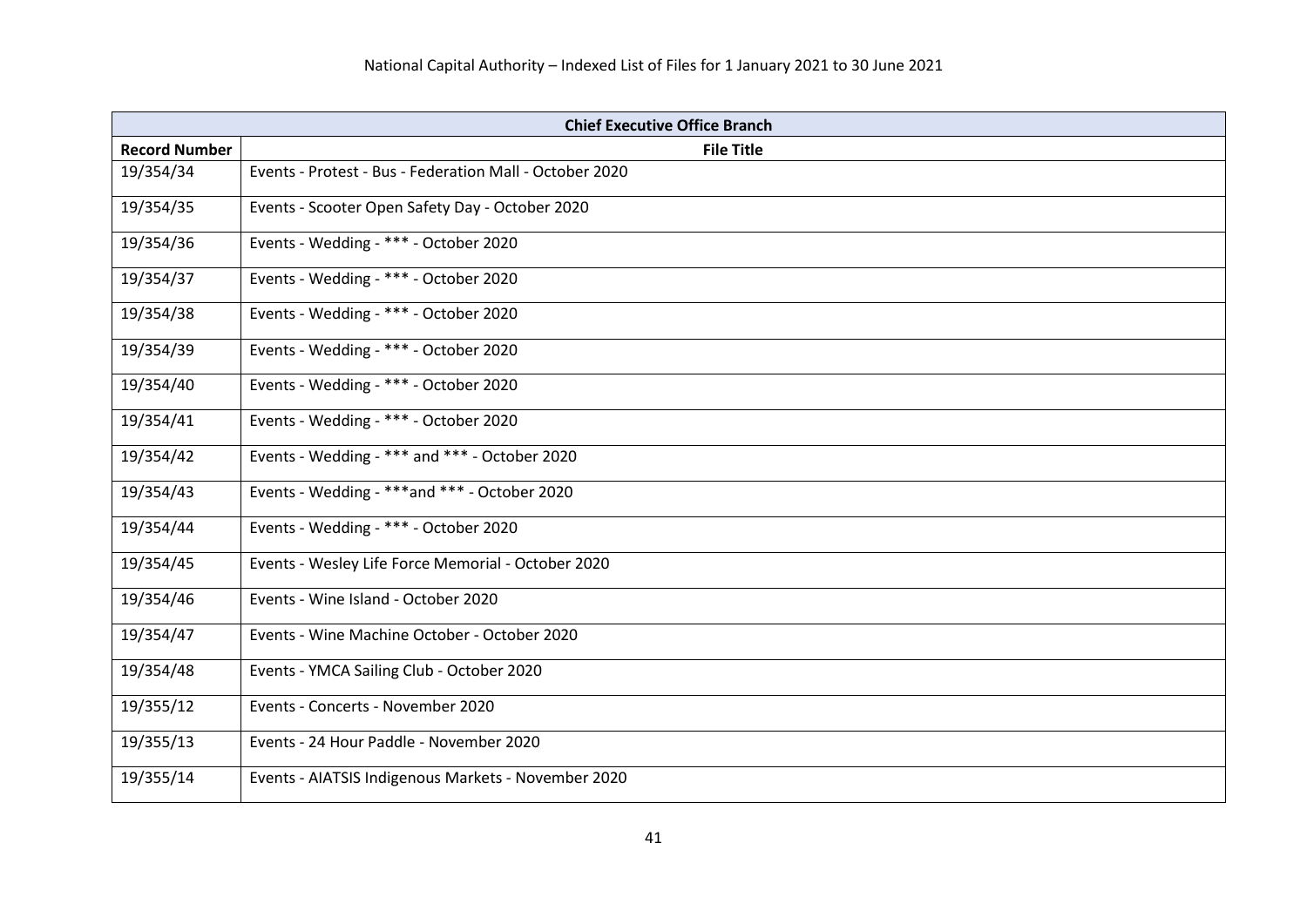| <b>Chief Executive Office Branch</b> |                                                         |
|--------------------------------------|---------------------------------------------------------|
| <b>Record Number</b>                 | <b>File Title</b>                                       |
| 19/354/34                            | Events - Protest - Bus - Federation Mall - October 2020 |
| 19/354/35                            | Events - Scooter Open Safety Day - October 2020         |
| 19/354/36                            | Events - Wedding - *** - October 2020                   |
| 19/354/37                            | Events - Wedding - *** - October 2020                   |
| 19/354/38                            | Events - Wedding - *** - October 2020                   |
| 19/354/39                            | Events - Wedding - *** - October 2020                   |
| 19/354/40                            | Events - Wedding - *** - October 2020                   |
| 19/354/41                            | Events - Wedding - *** - October 2020                   |
| 19/354/42                            | Events - Wedding - *** and *** - October 2020           |
| 19/354/43                            | Events - Wedding - ***and *** - October 2020            |
| 19/354/44                            | Events - Wedding - *** - October 2020                   |
| 19/354/45                            | Events - Wesley Life Force Memorial - October 2020      |
| 19/354/46                            | Events - Wine Island - October 2020                     |
| 19/354/47                            | Events - Wine Machine October - October 2020            |
| 19/354/48                            | Events - YMCA Sailing Club - October 2020               |
| 19/355/12                            | Events - Concerts - November 2020                       |
| 19/355/13                            | Events - 24 Hour Paddle - November 2020                 |
| 19/355/14                            | Events - AIATSIS Indigenous Markets - November 2020     |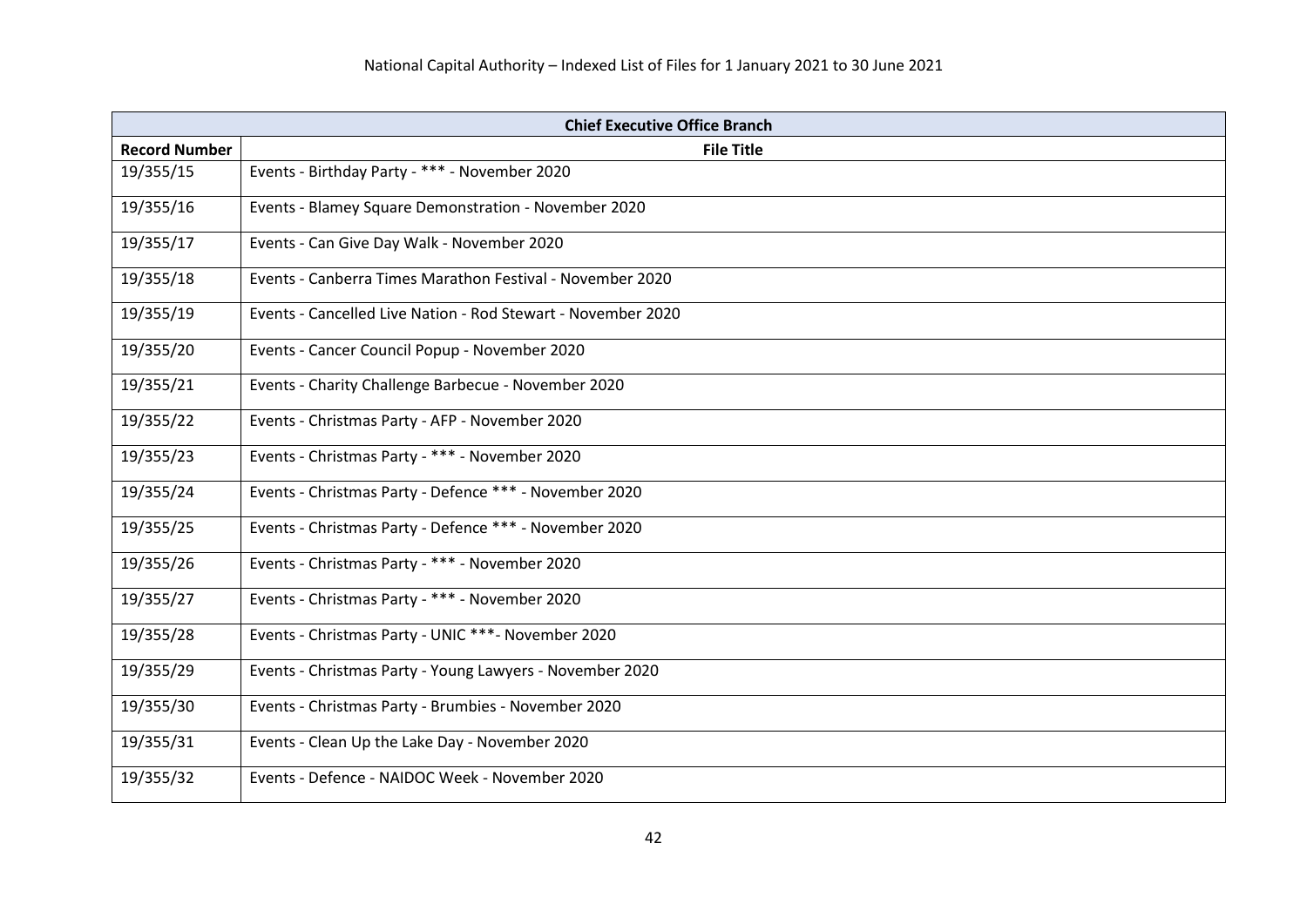| <b>Chief Executive Office Branch</b> |                                                              |
|--------------------------------------|--------------------------------------------------------------|
| <b>Record Number</b>                 | <b>File Title</b>                                            |
| 19/355/15                            | Events - Birthday Party - *** - November 2020                |
| 19/355/16                            | Events - Blamey Square Demonstration - November 2020         |
| 19/355/17                            | Events - Can Give Day Walk - November 2020                   |
| 19/355/18                            | Events - Canberra Times Marathon Festival - November 2020    |
| 19/355/19                            | Events - Cancelled Live Nation - Rod Stewart - November 2020 |
| 19/355/20                            | Events - Cancer Council Popup - November 2020                |
| 19/355/21                            | Events - Charity Challenge Barbecue - November 2020          |
| 19/355/22                            | Events - Christmas Party - AFP - November 2020               |
| 19/355/23                            | Events - Christmas Party - *** - November 2020               |
| 19/355/24                            | Events - Christmas Party - Defence *** - November 2020       |
| 19/355/25                            | Events - Christmas Party - Defence *** - November 2020       |
| 19/355/26                            | Events - Christmas Party - *** - November 2020               |
| 19/355/27                            | Events - Christmas Party - *** - November 2020               |
| 19/355/28                            | Events - Christmas Party - UNIC ***- November 2020           |
| 19/355/29                            | Events - Christmas Party - Young Lawyers - November 2020     |
| 19/355/30                            | Events - Christmas Party - Brumbies - November 2020          |
| 19/355/31                            | Events - Clean Up the Lake Day - November 2020               |
| 19/355/32                            | Events - Defence - NAIDOC Week - November 2020               |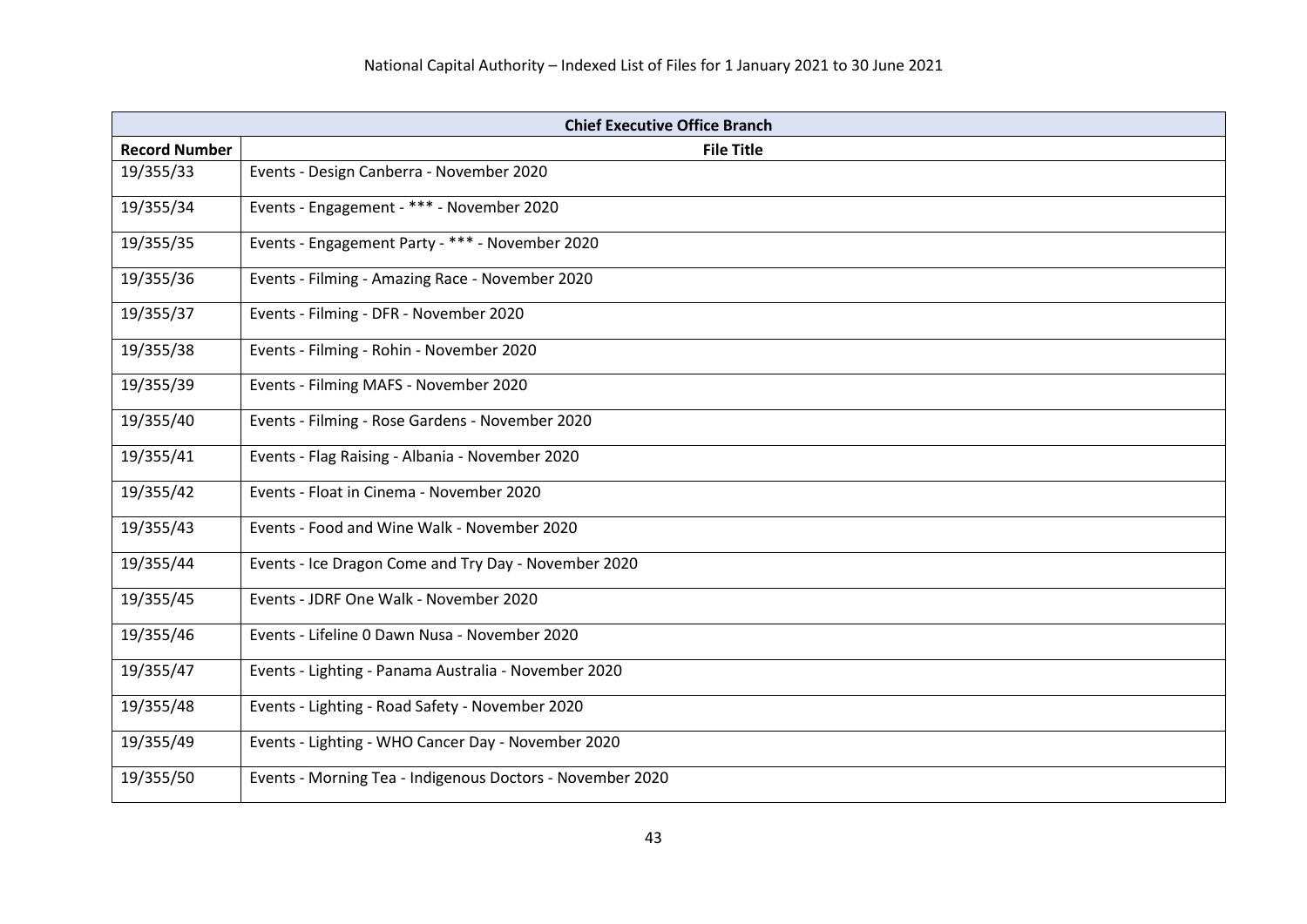| <b>Chief Executive Office Branch</b> |                                                           |
|--------------------------------------|-----------------------------------------------------------|
| <b>Record Number</b>                 | <b>File Title</b>                                         |
| 19/355/33                            | Events - Design Canberra - November 2020                  |
| 19/355/34                            | Events - Engagement - *** - November 2020                 |
| 19/355/35                            | Events - Engagement Party - *** - November 2020           |
| 19/355/36                            | Events - Filming - Amazing Race - November 2020           |
| 19/355/37                            | Events - Filming - DFR - November 2020                    |
| 19/355/38                            | Events - Filming - Rohin - November 2020                  |
| 19/355/39                            | Events - Filming MAFS - November 2020                     |
| 19/355/40                            | Events - Filming - Rose Gardens - November 2020           |
| 19/355/41                            | Events - Flag Raising - Albania - November 2020           |
| 19/355/42                            | Events - Float in Cinema - November 2020                  |
| 19/355/43                            | Events - Food and Wine Walk - November 2020               |
| 19/355/44                            | Events - Ice Dragon Come and Try Day - November 2020      |
| 19/355/45                            | Events - JDRF One Walk - November 2020                    |
| 19/355/46                            | Events - Lifeline 0 Dawn Nusa - November 2020             |
| 19/355/47                            | Events - Lighting - Panama Australia - November 2020      |
| 19/355/48                            | Events - Lighting - Road Safety - November 2020           |
| 19/355/49                            | Events - Lighting - WHO Cancer Day - November 2020        |
| 19/355/50                            | Events - Morning Tea - Indigenous Doctors - November 2020 |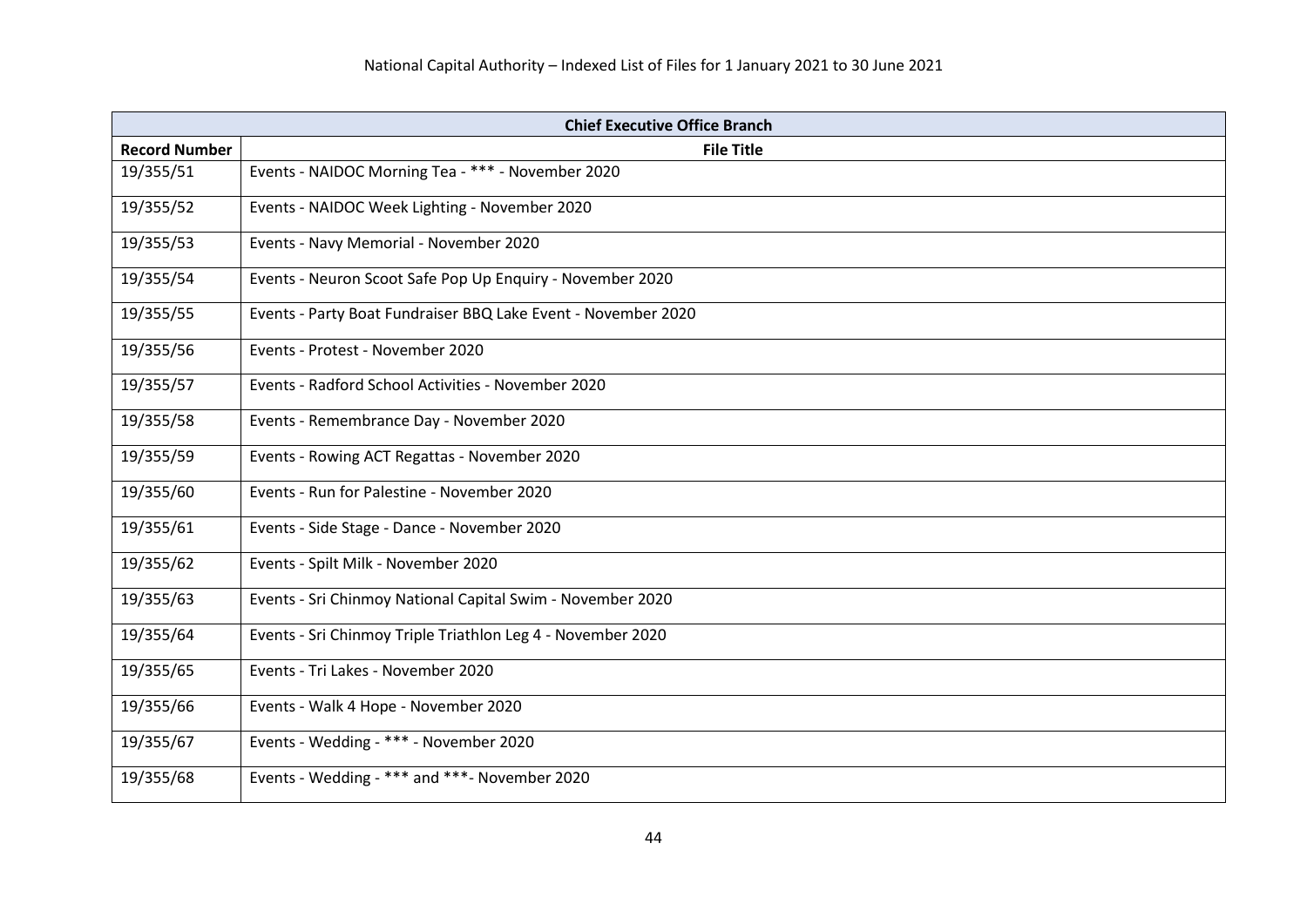| <b>Chief Executive Office Branch</b> |                                                               |
|--------------------------------------|---------------------------------------------------------------|
| <b>Record Number</b>                 | <b>File Title</b>                                             |
| 19/355/51                            | Events - NAIDOC Morning Tea - *** - November 2020             |
| 19/355/52                            | Events - NAIDOC Week Lighting - November 2020                 |
| 19/355/53                            | Events - Navy Memorial - November 2020                        |
| 19/355/54                            | Events - Neuron Scoot Safe Pop Up Enquiry - November 2020     |
| 19/355/55                            | Events - Party Boat Fundraiser BBQ Lake Event - November 2020 |
| 19/355/56                            | Events - Protest - November 2020                              |
| 19/355/57                            | Events - Radford School Activities - November 2020            |
| 19/355/58                            | Events - Remembrance Day - November 2020                      |
| 19/355/59                            | Events - Rowing ACT Regattas - November 2020                  |
| 19/355/60                            | Events - Run for Palestine - November 2020                    |
| 19/355/61                            | Events - Side Stage - Dance - November 2020                   |
| 19/355/62                            | Events - Spilt Milk - November 2020                           |
| 19/355/63                            | Events - Sri Chinmoy National Capital Swim - November 2020    |
| 19/355/64                            | Events - Sri Chinmoy Triple Triathlon Leg 4 - November 2020   |
| 19/355/65                            | Events - Tri Lakes - November 2020                            |
| 19/355/66                            | Events - Walk 4 Hope - November 2020                          |
| 19/355/67                            | Events - Wedding - *** - November 2020                        |
| 19/355/68                            | Events - Wedding - *** and ***- November 2020                 |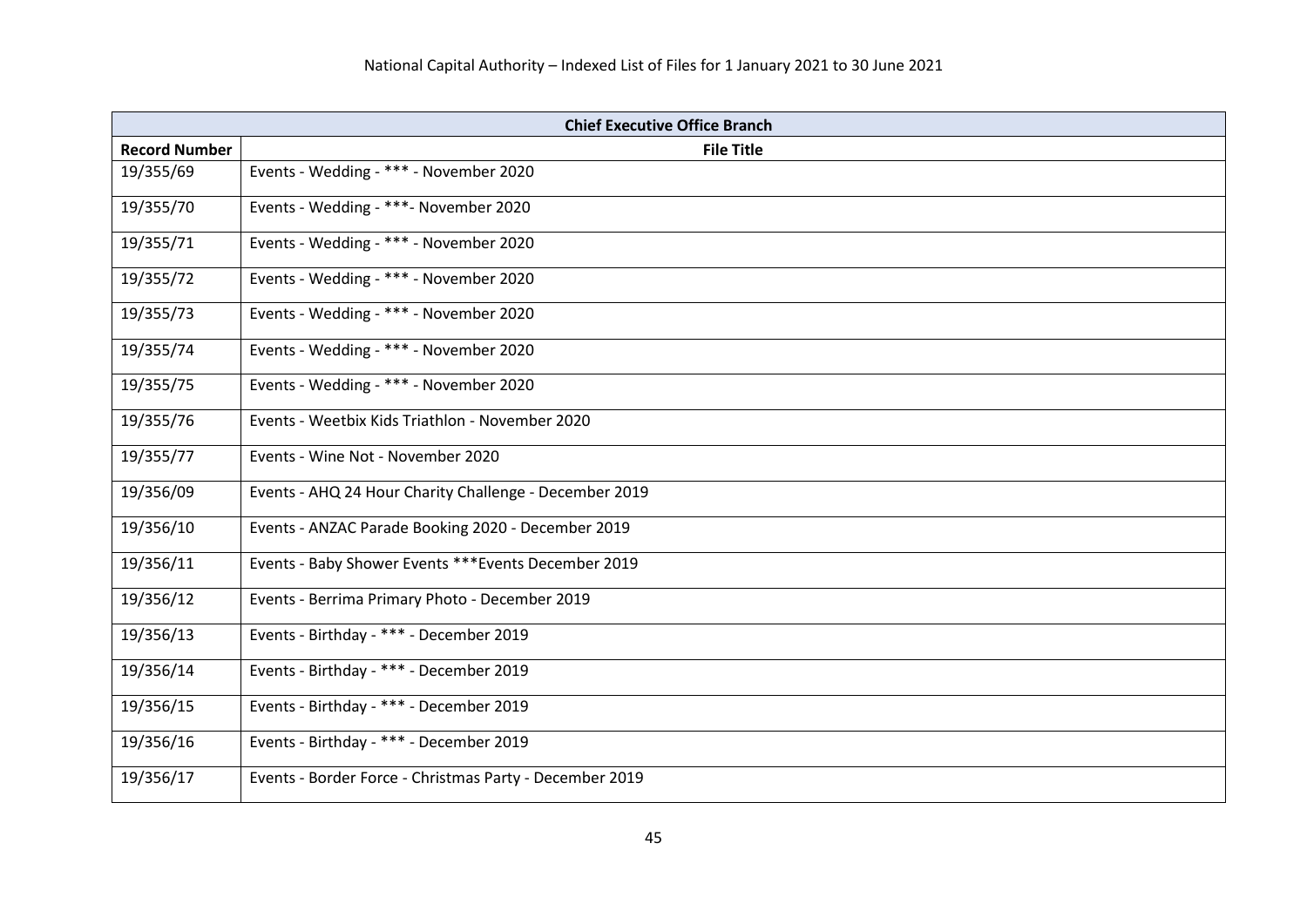| <b>Chief Executive Office Branch</b> |                                                         |
|--------------------------------------|---------------------------------------------------------|
| <b>Record Number</b>                 | <b>File Title</b>                                       |
| 19/355/69                            | Events - Wedding - *** - November 2020                  |
| 19/355/70                            | Events - Wedding - ***- November 2020                   |
| 19/355/71                            | Events - Wedding - *** - November 2020                  |
| 19/355/72                            | Events - Wedding - *** - November 2020                  |
| 19/355/73                            | Events - Wedding - *** - November 2020                  |
| 19/355/74                            | Events - Wedding - *** - November 2020                  |
| 19/355/75                            | Events - Wedding - *** - November 2020                  |
| 19/355/76                            | Events - Weetbix Kids Triathlon - November 2020         |
| 19/355/77                            | Events - Wine Not - November 2020                       |
| 19/356/09                            | Events - AHQ 24 Hour Charity Challenge - December 2019  |
| 19/356/10                            | Events - ANZAC Parade Booking 2020 - December 2019      |
| 19/356/11                            | Events - Baby Shower Events *** Events December 2019    |
| 19/356/12                            | Events - Berrima Primary Photo - December 2019          |
| 19/356/13                            | Events - Birthday - *** - December 2019                 |
| 19/356/14                            | Events - Birthday - *** - December 2019                 |
| 19/356/15                            | Events - Birthday - *** - December 2019                 |
| 19/356/16                            | Events - Birthday - *** - December 2019                 |
| 19/356/17                            | Events - Border Force - Christmas Party - December 2019 |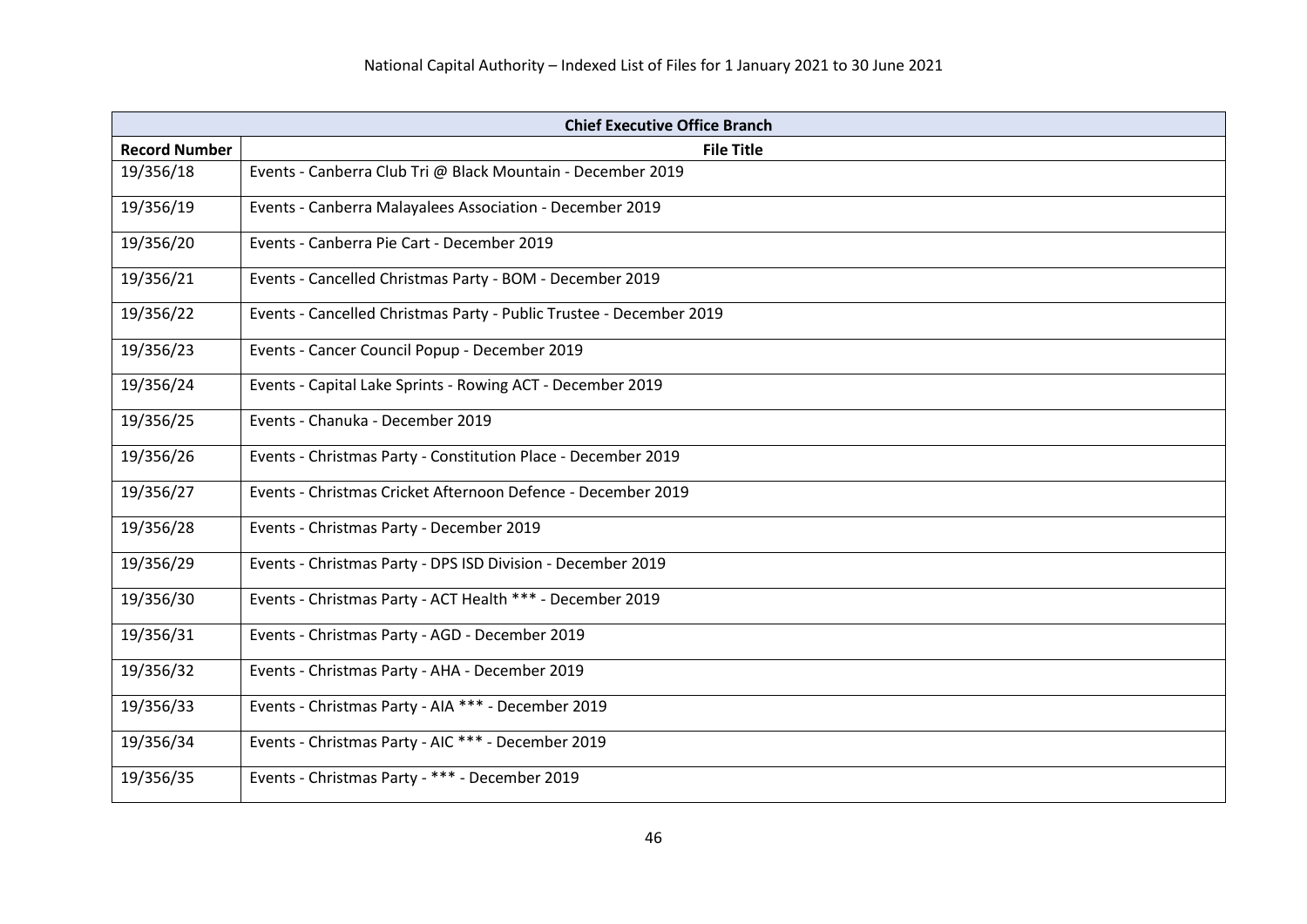| <b>Chief Executive Office Branch</b> |                                                                     |
|--------------------------------------|---------------------------------------------------------------------|
| <b>Record Number</b>                 | <b>File Title</b>                                                   |
| 19/356/18                            | Events - Canberra Club Tri @ Black Mountain - December 2019         |
| 19/356/19                            | Events - Canberra Malayalees Association - December 2019            |
| 19/356/20                            | Events - Canberra Pie Cart - December 2019                          |
| 19/356/21                            | Events - Cancelled Christmas Party - BOM - December 2019            |
| 19/356/22                            | Events - Cancelled Christmas Party - Public Trustee - December 2019 |
| 19/356/23                            | Events - Cancer Council Popup - December 2019                       |
| 19/356/24                            | Events - Capital Lake Sprints - Rowing ACT - December 2019          |
| 19/356/25                            | Events - Chanuka - December 2019                                    |
| 19/356/26                            | Events - Christmas Party - Constitution Place - December 2019       |
| 19/356/27                            | Events - Christmas Cricket Afternoon Defence - December 2019        |
| 19/356/28                            | Events - Christmas Party - December 2019                            |
| 19/356/29                            | Events - Christmas Party - DPS ISD Division - December 2019         |
| 19/356/30                            | Events - Christmas Party - ACT Health *** - December 2019           |
| 19/356/31                            | Events - Christmas Party - AGD - December 2019                      |
| 19/356/32                            | Events - Christmas Party - AHA - December 2019                      |
| 19/356/33                            | Events - Christmas Party - AIA *** - December 2019                  |
| 19/356/34                            | Events - Christmas Party - AIC *** - December 2019                  |
| 19/356/35                            | Events - Christmas Party - *** - December 2019                      |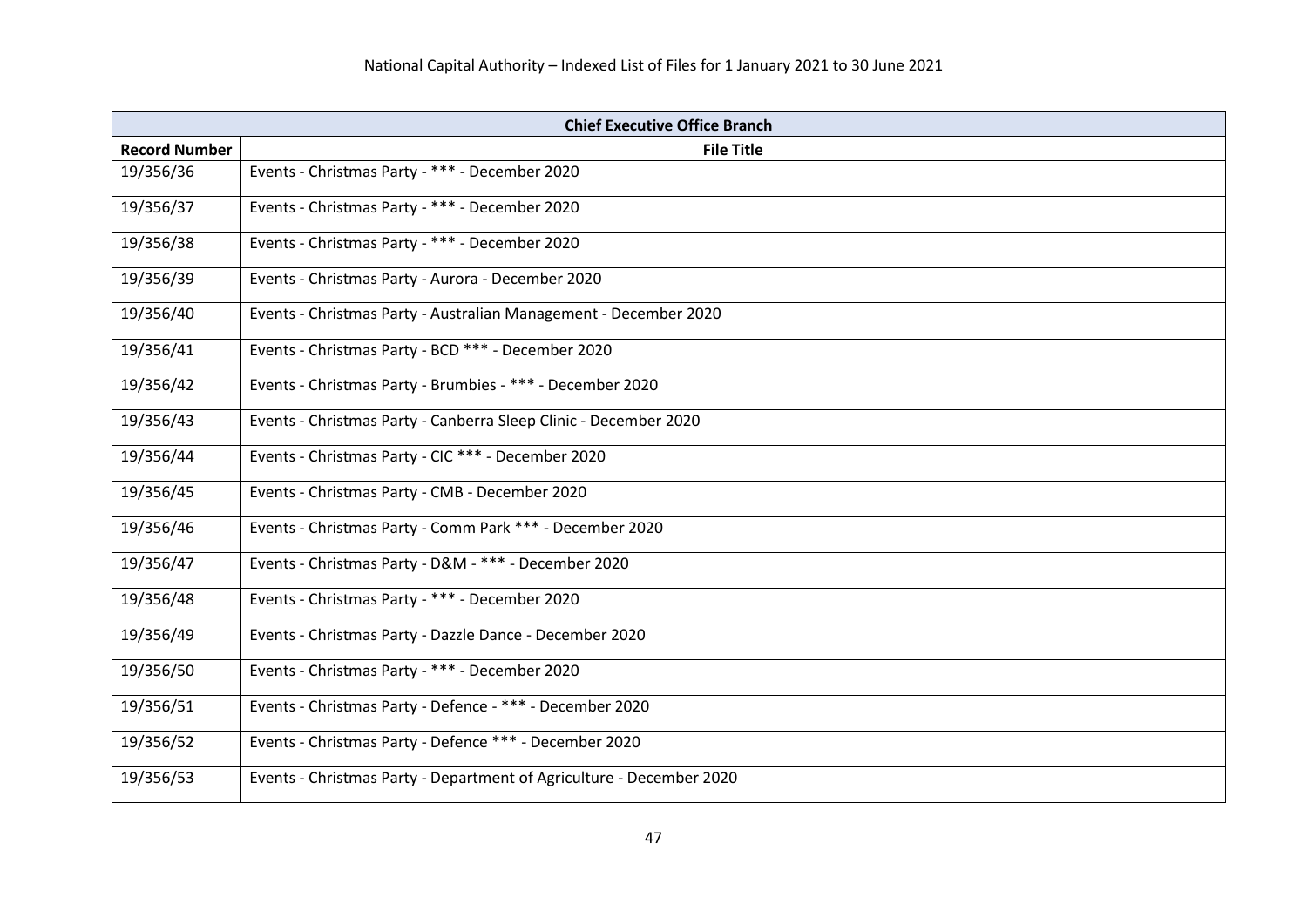| <b>Chief Executive Office Branch</b> |                                                                      |
|--------------------------------------|----------------------------------------------------------------------|
| <b>Record Number</b>                 | <b>File Title</b>                                                    |
| 19/356/36                            | Events - Christmas Party - *** - December 2020                       |
| 19/356/37                            | Events - Christmas Party - *** - December 2020                       |
| 19/356/38                            | Events - Christmas Party - *** - December 2020                       |
| 19/356/39                            | Events - Christmas Party - Aurora - December 2020                    |
| 19/356/40                            | Events - Christmas Party - Australian Management - December 2020     |
| 19/356/41                            | Events - Christmas Party - BCD *** - December 2020                   |
| 19/356/42                            | Events - Christmas Party - Brumbies - *** - December 2020            |
| 19/356/43                            | Events - Christmas Party - Canberra Sleep Clinic - December 2020     |
| 19/356/44                            | Events - Christmas Party - CIC *** - December 2020                   |
| 19/356/45                            | Events - Christmas Party - CMB - December 2020                       |
| 19/356/46                            | Events - Christmas Party - Comm Park *** - December 2020             |
| 19/356/47                            | Events - Christmas Party - D&M - *** - December 2020                 |
| 19/356/48                            | Events - Christmas Party - *** - December 2020                       |
| 19/356/49                            | Events - Christmas Party - Dazzle Dance - December 2020              |
| 19/356/50                            | Events - Christmas Party - *** - December 2020                       |
| 19/356/51                            | Events - Christmas Party - Defence - *** - December 2020             |
| 19/356/52                            | Events - Christmas Party - Defence *** - December 2020               |
| 19/356/53                            | Events - Christmas Party - Department of Agriculture - December 2020 |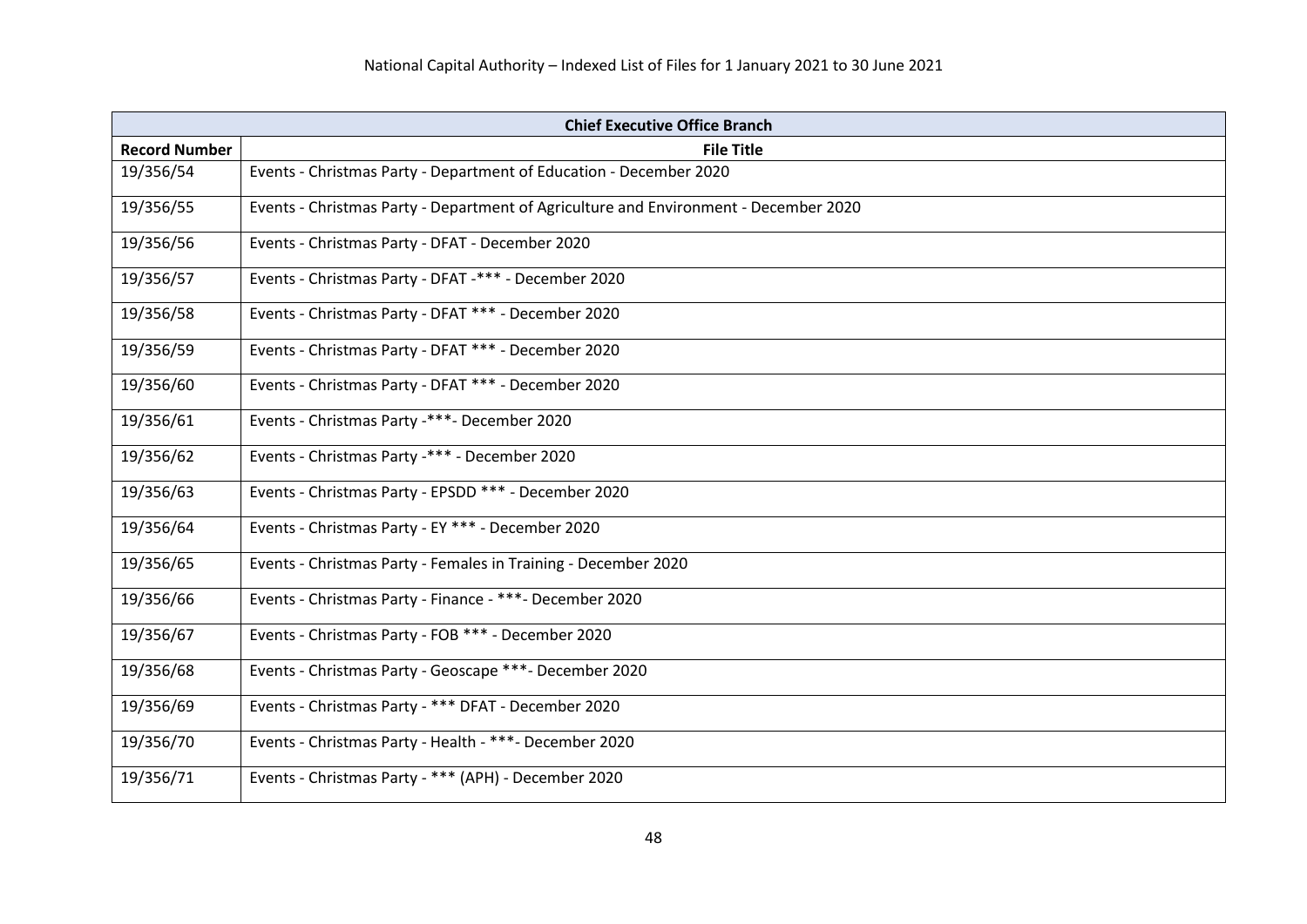|                      | <b>Chief Executive Office Branch</b>                                                 |
|----------------------|--------------------------------------------------------------------------------------|
| <b>Record Number</b> | <b>File Title</b>                                                                    |
| 19/356/54            | Events - Christmas Party - Department of Education - December 2020                   |
| 19/356/55            | Events - Christmas Party - Department of Agriculture and Environment - December 2020 |
| 19/356/56            | Events - Christmas Party - DFAT - December 2020                                      |
| 19/356/57            | Events - Christmas Party - DFAT -*** - December 2020                                 |
| 19/356/58            | Events - Christmas Party - DFAT *** - December 2020                                  |
| 19/356/59            | Events - Christmas Party - DFAT *** - December 2020                                  |
| 19/356/60            | Events - Christmas Party - DFAT *** - December 2020                                  |
| 19/356/61            | Events - Christmas Party -***- December 2020                                         |
| 19/356/62            | Events - Christmas Party -*** - December 2020                                        |
| 19/356/63            | Events - Christmas Party - EPSDD *** - December 2020                                 |
| 19/356/64            | Events - Christmas Party - EY *** - December 2020                                    |
| 19/356/65            | Events - Christmas Party - Females in Training - December 2020                       |
| 19/356/66            | Events - Christmas Party - Finance - ***- December 2020                              |
| 19/356/67            | Events - Christmas Party - FOB *** - December 2020                                   |
| 19/356/68            | Events - Christmas Party - Geoscape ***- December 2020                               |
| 19/356/69            | Events - Christmas Party - *** DFAT - December 2020                                  |
| 19/356/70            | Events - Christmas Party - Health - ***- December 2020                               |
| 19/356/71            | Events - Christmas Party - *** (APH) - December 2020                                 |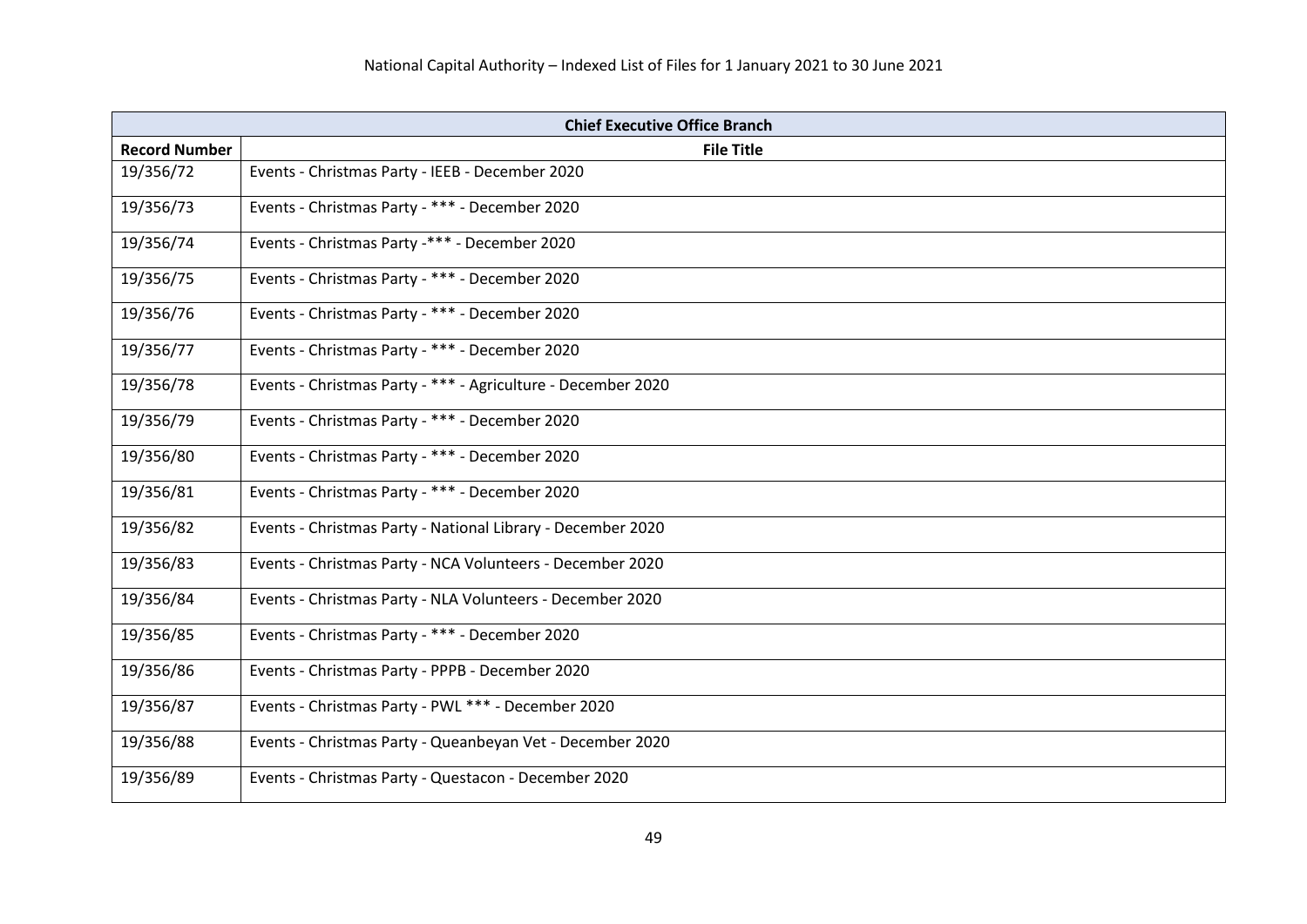| <b>Chief Executive Office Branch</b> |                                                              |
|--------------------------------------|--------------------------------------------------------------|
| <b>Record Number</b>                 | <b>File Title</b>                                            |
| 19/356/72                            | Events - Christmas Party - IEEB - December 2020              |
| 19/356/73                            | Events - Christmas Party - *** - December 2020               |
| 19/356/74                            | Events - Christmas Party -*** - December 2020                |
| 19/356/75                            | Events - Christmas Party - *** - December 2020               |
| 19/356/76                            | Events - Christmas Party - *** - December 2020               |
| 19/356/77                            | Events - Christmas Party - *** - December 2020               |
| 19/356/78                            | Events - Christmas Party - *** - Agriculture - December 2020 |
| 19/356/79                            | Events - Christmas Party - *** - December 2020               |
| 19/356/80                            | Events - Christmas Party - *** - December 2020               |
| 19/356/81                            | Events - Christmas Party - *** - December 2020               |
| 19/356/82                            | Events - Christmas Party - National Library - December 2020  |
| 19/356/83                            | Events - Christmas Party - NCA Volunteers - December 2020    |
| 19/356/84                            | Events - Christmas Party - NLA Volunteers - December 2020    |
| 19/356/85                            | Events - Christmas Party - *** - December 2020               |
| 19/356/86                            | Events - Christmas Party - PPPB - December 2020              |
| 19/356/87                            | Events - Christmas Party - PWL *** - December 2020           |
| 19/356/88                            | Events - Christmas Party - Queanbeyan Vet - December 2020    |
| 19/356/89                            | Events - Christmas Party - Questacon - December 2020         |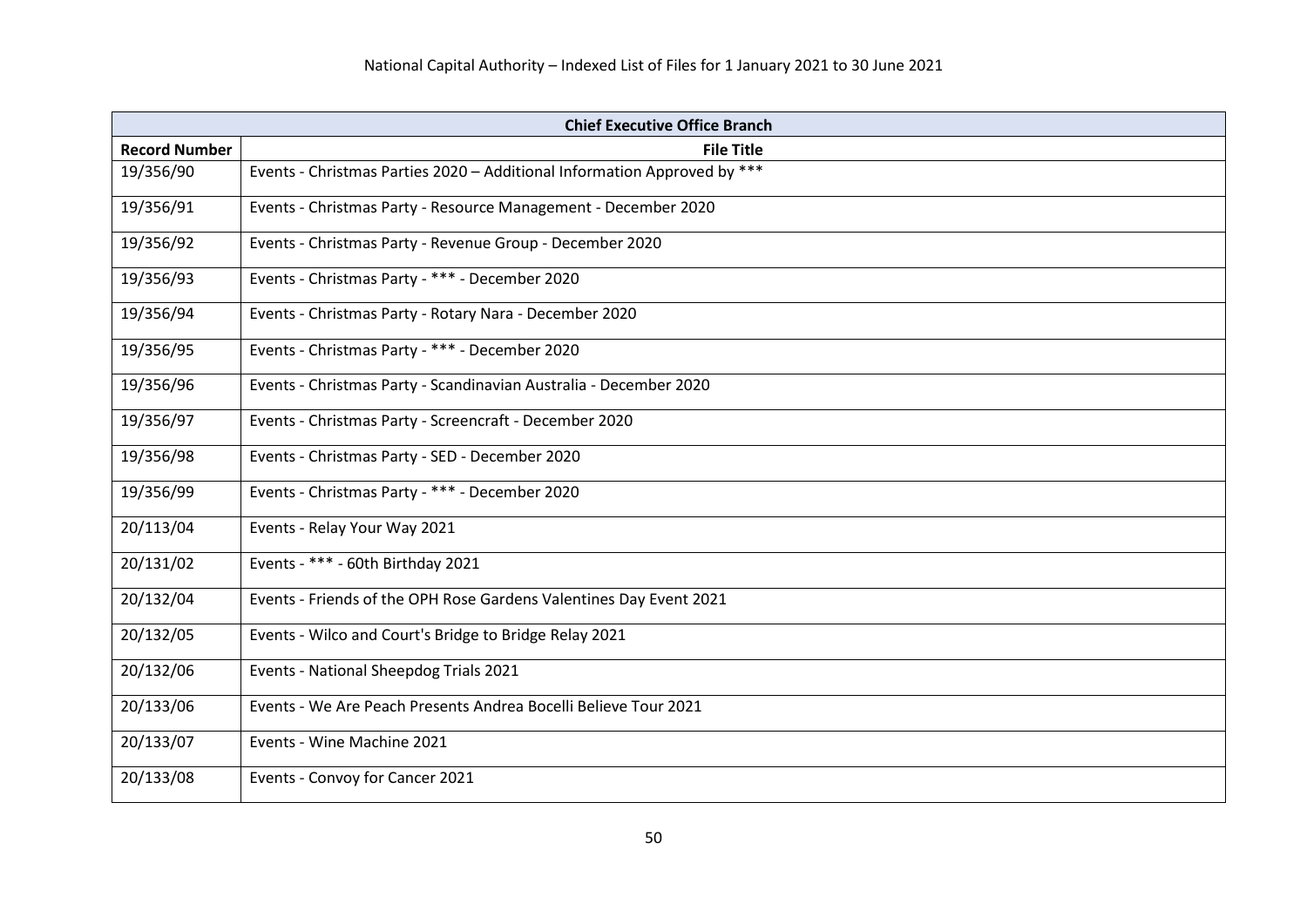| <b>Chief Executive Office Branch</b> |                                                                          |
|--------------------------------------|--------------------------------------------------------------------------|
| <b>Record Number</b>                 | <b>File Title</b>                                                        |
| 19/356/90                            | Events - Christmas Parties 2020 - Additional Information Approved by *** |
| 19/356/91                            | Events - Christmas Party - Resource Management - December 2020           |
| 19/356/92                            | Events - Christmas Party - Revenue Group - December 2020                 |
| 19/356/93                            | Events - Christmas Party - *** - December 2020                           |
| 19/356/94                            | Events - Christmas Party - Rotary Nara - December 2020                   |
| 19/356/95                            | Events - Christmas Party - *** - December 2020                           |
| 19/356/96                            | Events - Christmas Party - Scandinavian Australia - December 2020        |
| 19/356/97                            | Events - Christmas Party - Screencraft - December 2020                   |
| 19/356/98                            | Events - Christmas Party - SED - December 2020                           |
| 19/356/99                            | Events - Christmas Party - *** - December 2020                           |
| 20/113/04                            | Events - Relay Your Way 2021                                             |
| 20/131/02                            | Events - *** - 60th Birthday 2021                                        |
| 20/132/04                            | Events - Friends of the OPH Rose Gardens Valentines Day Event 2021       |
| 20/132/05                            | Events - Wilco and Court's Bridge to Bridge Relay 2021                   |
| 20/132/06                            | Events - National Sheepdog Trials 2021                                   |
| 20/133/06                            | Events - We Are Peach Presents Andrea Bocelli Believe Tour 2021          |
| 20/133/07                            | Events - Wine Machine 2021                                               |
| 20/133/08                            | Events - Convoy for Cancer 2021                                          |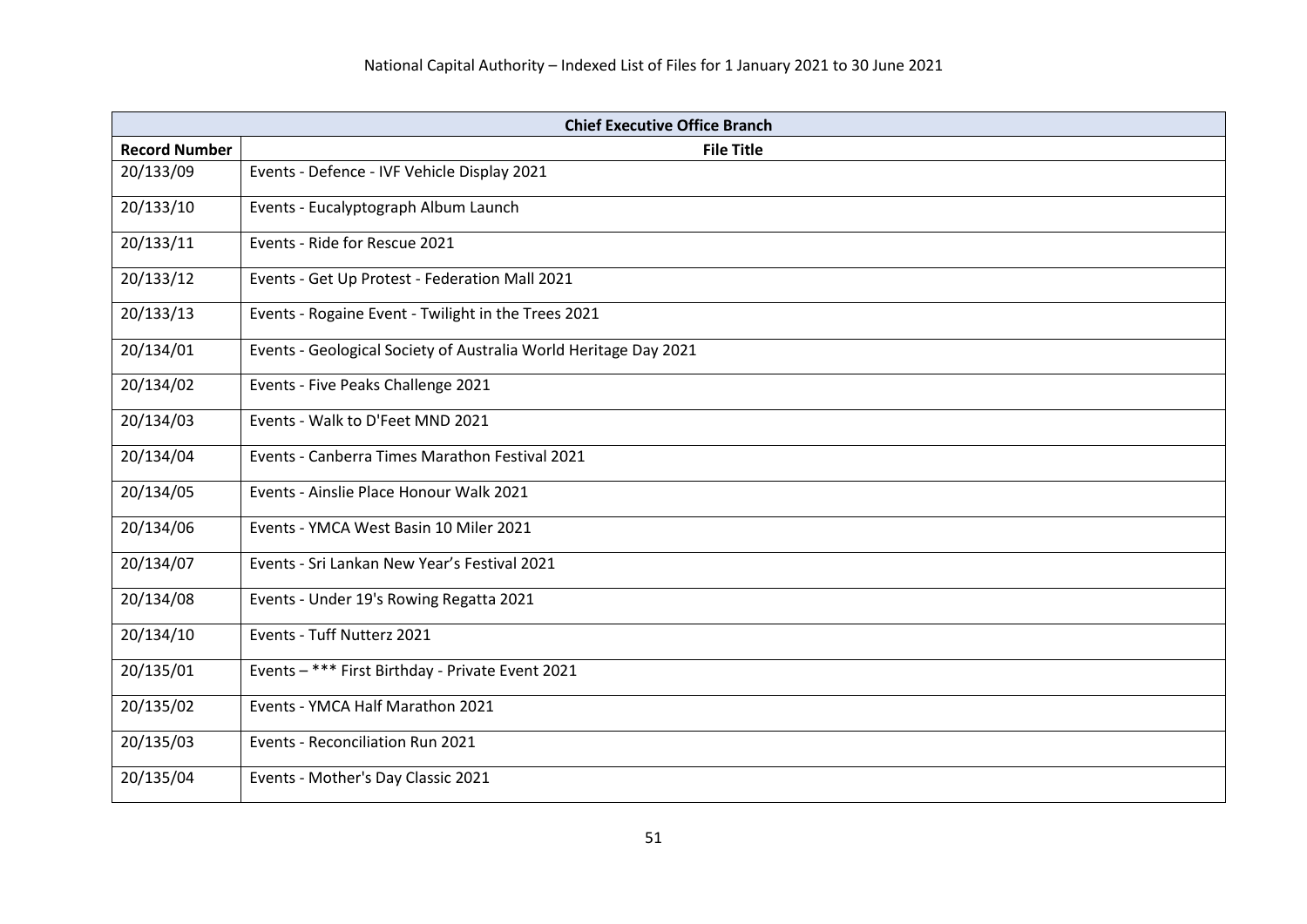| <b>Chief Executive Office Branch</b> |                                                                  |
|--------------------------------------|------------------------------------------------------------------|
| <b>Record Number</b>                 | <b>File Title</b>                                                |
| 20/133/09                            | Events - Defence - IVF Vehicle Display 2021                      |
| 20/133/10                            | Events - Eucalyptograph Album Launch                             |
| 20/133/11                            | Events - Ride for Rescue 2021                                    |
| 20/133/12                            | Events - Get Up Protest - Federation Mall 2021                   |
| 20/133/13                            | Events - Rogaine Event - Twilight in the Trees 2021              |
| 20/134/01                            | Events - Geological Society of Australia World Heritage Day 2021 |
| 20/134/02                            | Events - Five Peaks Challenge 2021                               |
| 20/134/03                            | Events - Walk to D'Feet MND 2021                                 |
| 20/134/04                            | Events - Canberra Times Marathon Festival 2021                   |
| 20/134/05                            | Events - Ainslie Place Honour Walk 2021                          |
| 20/134/06                            | Events - YMCA West Basin 10 Miler 2021                           |
| 20/134/07                            | Events - Sri Lankan New Year's Festival 2021                     |
| 20/134/08                            | Events - Under 19's Rowing Regatta 2021                          |
| 20/134/10                            | Events - Tuff Nutterz 2021                                       |
| 20/135/01                            | Events - *** First Birthday - Private Event 2021                 |
| 20/135/02                            | Events - YMCA Half Marathon 2021                                 |
| 20/135/03                            | Events - Reconciliation Run 2021                                 |
| 20/135/04                            | Events - Mother's Day Classic 2021                               |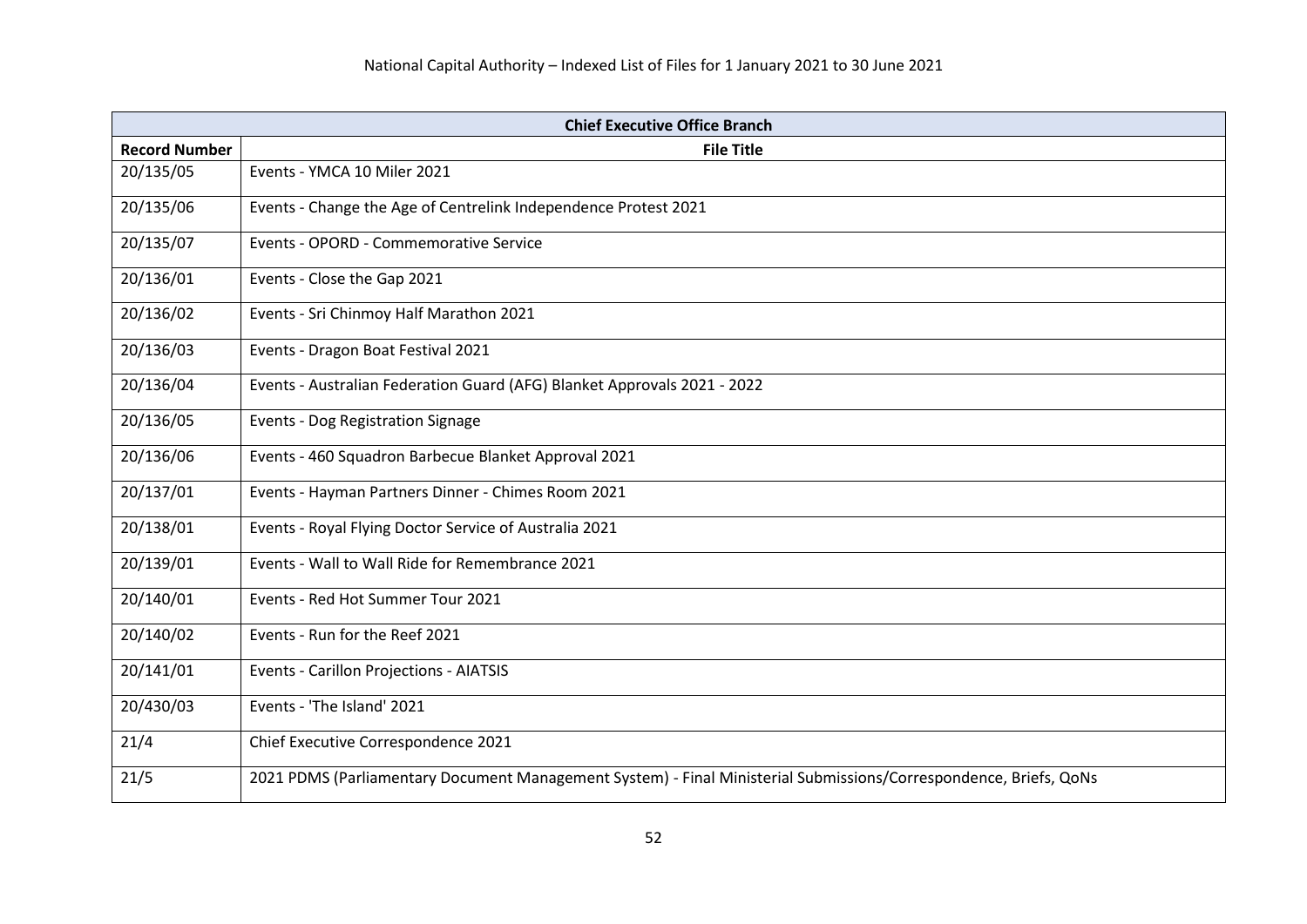| <b>Chief Executive Office Branch</b> |                                                                                                                   |
|--------------------------------------|-------------------------------------------------------------------------------------------------------------------|
| <b>Record Number</b>                 | <b>File Title</b>                                                                                                 |
| 20/135/05                            | Events - YMCA 10 Miler 2021                                                                                       |
| 20/135/06                            | Events - Change the Age of Centrelink Independence Protest 2021                                                   |
| 20/135/07                            | Events - OPORD - Commemorative Service                                                                            |
| 20/136/01                            | Events - Close the Gap 2021                                                                                       |
| 20/136/02                            | Events - Sri Chinmoy Half Marathon 2021                                                                           |
| 20/136/03                            | Events - Dragon Boat Festival 2021                                                                                |
| 20/136/04                            | Events - Australian Federation Guard (AFG) Blanket Approvals 2021 - 2022                                          |
| 20/136/05                            | <b>Events - Dog Registration Signage</b>                                                                          |
| 20/136/06                            | Events - 460 Squadron Barbecue Blanket Approval 2021                                                              |
| 20/137/01                            | Events - Hayman Partners Dinner - Chimes Room 2021                                                                |
| 20/138/01                            | Events - Royal Flying Doctor Service of Australia 2021                                                            |
| 20/139/01                            | Events - Wall to Wall Ride for Remembrance 2021                                                                   |
| 20/140/01                            | Events - Red Hot Summer Tour 2021                                                                                 |
| 20/140/02                            | Events - Run for the Reef 2021                                                                                    |
| 20/141/01                            | Events - Carillon Projections - AIATSIS                                                                           |
| 20/430/03                            | Events - 'The Island' 2021                                                                                        |
| 21/4                                 | Chief Executive Correspondence 2021                                                                               |
| 21/5                                 | 2021 PDMS (Parliamentary Document Management System) - Final Ministerial Submissions/Correspondence, Briefs, QoNs |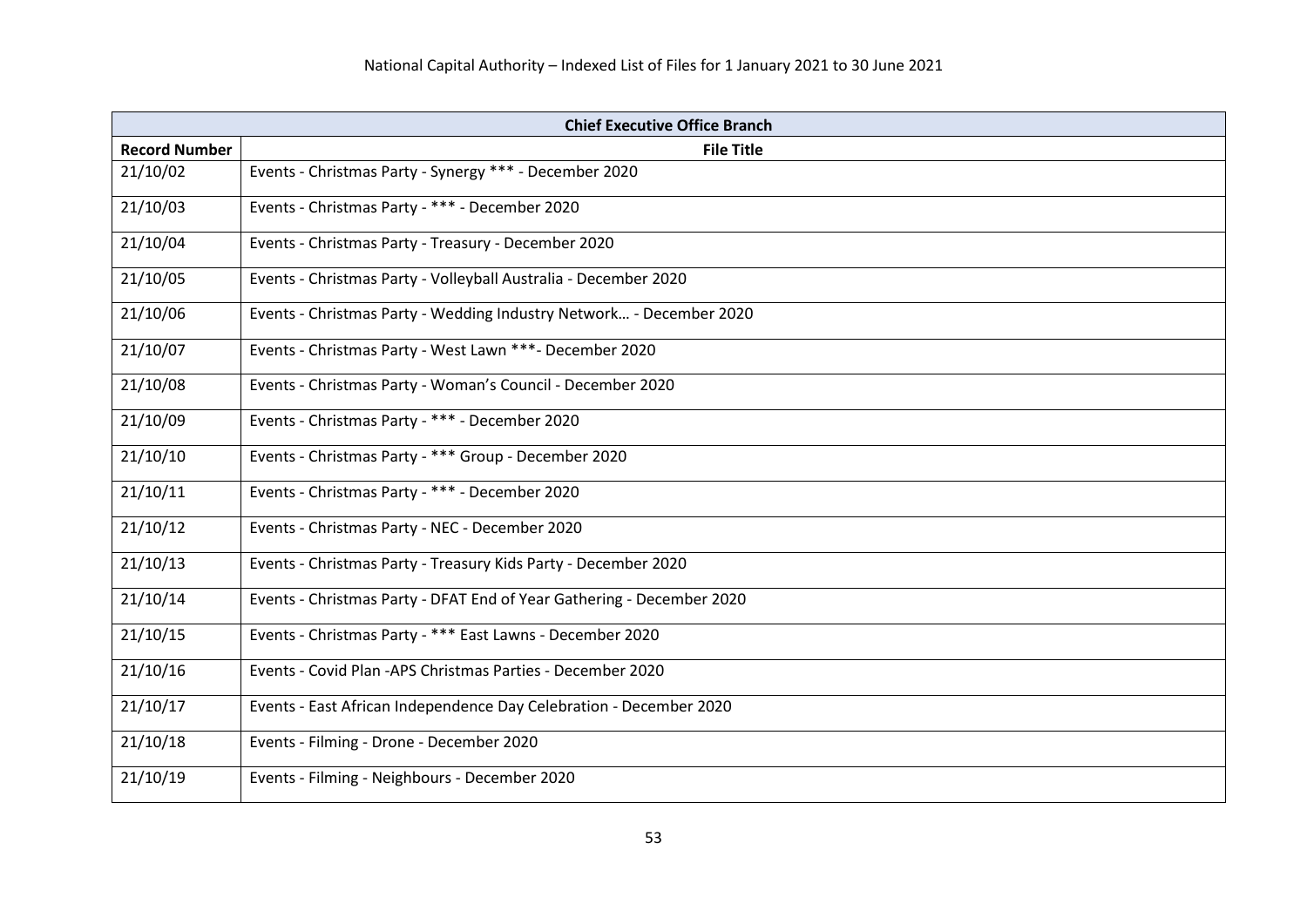| <b>Chief Executive Office Branch</b> |                                                                       |
|--------------------------------------|-----------------------------------------------------------------------|
| <b>Record Number</b>                 | <b>File Title</b>                                                     |
| 21/10/02                             | Events - Christmas Party - Synergy *** - December 2020                |
| 21/10/03                             | Events - Christmas Party - *** - December 2020                        |
| 21/10/04                             | Events - Christmas Party - Treasury - December 2020                   |
| 21/10/05                             | Events - Christmas Party - Volleyball Australia - December 2020       |
| 21/10/06                             | Events - Christmas Party - Wedding Industry Network - December 2020   |
| 21/10/07                             | Events - Christmas Party - West Lawn ***- December 2020               |
| 21/10/08                             | Events - Christmas Party - Woman's Council - December 2020            |
| 21/10/09                             | Events - Christmas Party - *** - December 2020                        |
| 21/10/10                             | Events - Christmas Party - *** Group - December 2020                  |
| 21/10/11                             | Events - Christmas Party - *** - December 2020                        |
| 21/10/12                             | Events - Christmas Party - NEC - December 2020                        |
| 21/10/13                             | Events - Christmas Party - Treasury Kids Party - December 2020        |
| 21/10/14                             | Events - Christmas Party - DFAT End of Year Gathering - December 2020 |
| 21/10/15                             | Events - Christmas Party - *** East Lawns - December 2020             |
| 21/10/16                             | Events - Covid Plan - APS Christmas Parties - December 2020           |
| 21/10/17                             | Events - East African Independence Day Celebration - December 2020    |
| 21/10/18                             | Events - Filming - Drone - December 2020                              |
| 21/10/19                             | Events - Filming - Neighbours - December 2020                         |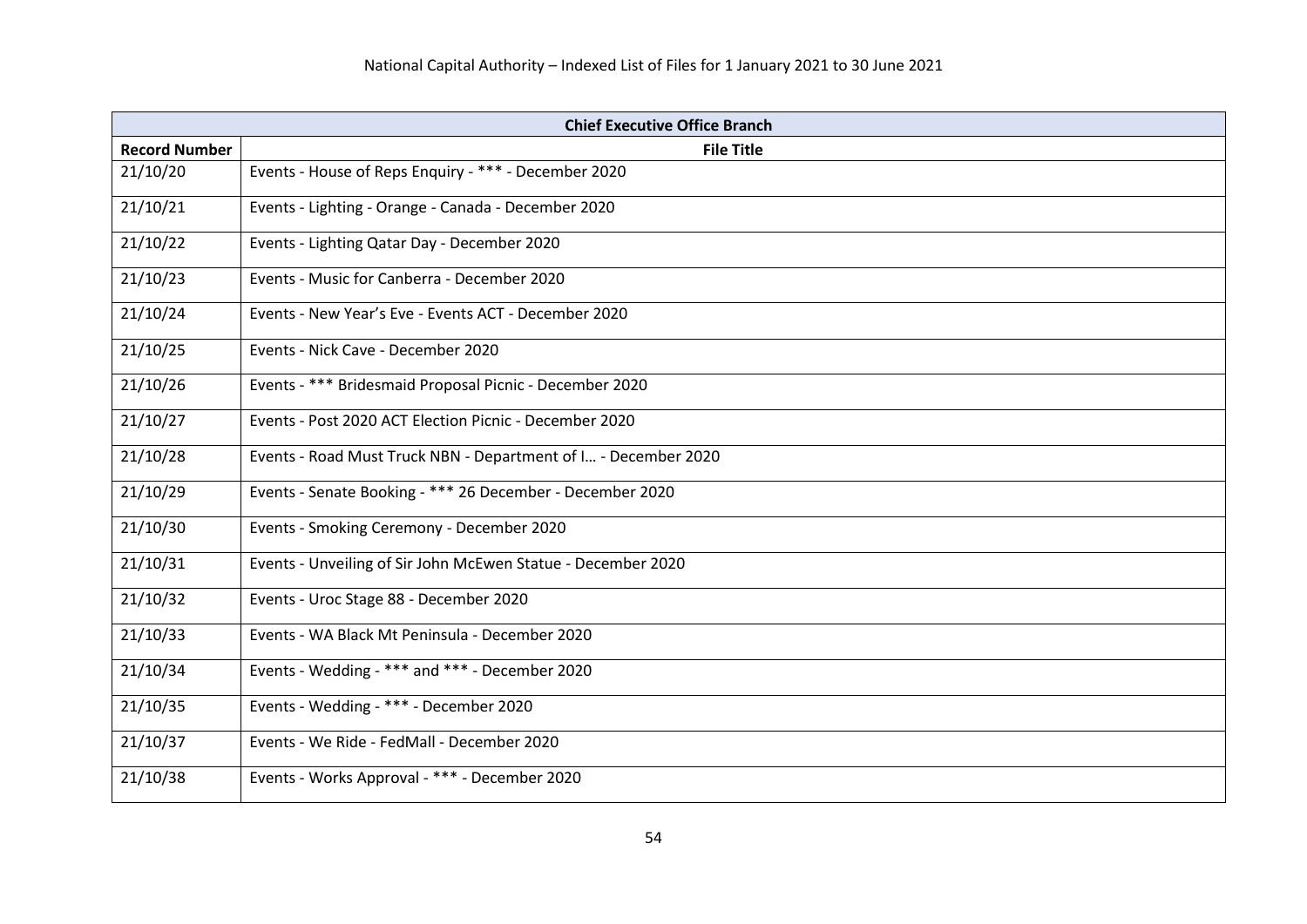| <b>Chief Executive Office Branch</b> |                                                                |
|--------------------------------------|----------------------------------------------------------------|
| <b>Record Number</b>                 | <b>File Title</b>                                              |
| 21/10/20                             | Events - House of Reps Enquiry - *** - December 2020           |
| 21/10/21                             | Events - Lighting - Orange - Canada - December 2020            |
| 21/10/22                             | Events - Lighting Qatar Day - December 2020                    |
| 21/10/23                             | Events - Music for Canberra - December 2020                    |
| 21/10/24                             | Events - New Year's Eve - Events ACT - December 2020           |
| 21/10/25                             | Events - Nick Cave - December 2020                             |
| 21/10/26                             | Events - *** Bridesmaid Proposal Picnic - December 2020        |
| 21/10/27                             | Events - Post 2020 ACT Election Picnic - December 2020         |
| 21/10/28                             | Events - Road Must Truck NBN - Department of I - December 2020 |
| 21/10/29                             | Events - Senate Booking - *** 26 December - December 2020      |
| 21/10/30                             | Events - Smoking Ceremony - December 2020                      |
| 21/10/31                             | Events - Unveiling of Sir John McEwen Statue - December 2020   |
| 21/10/32                             | Events - Uroc Stage 88 - December 2020                         |
| 21/10/33                             | Events - WA Black Mt Peninsula - December 2020                 |
| 21/10/34                             | Events - Wedding - *** and *** - December 2020                 |
| 21/10/35                             | Events - Wedding - *** - December 2020                         |
| 21/10/37                             | Events - We Ride - FedMall - December 2020                     |
| 21/10/38                             | Events - Works Approval - *** - December 2020                  |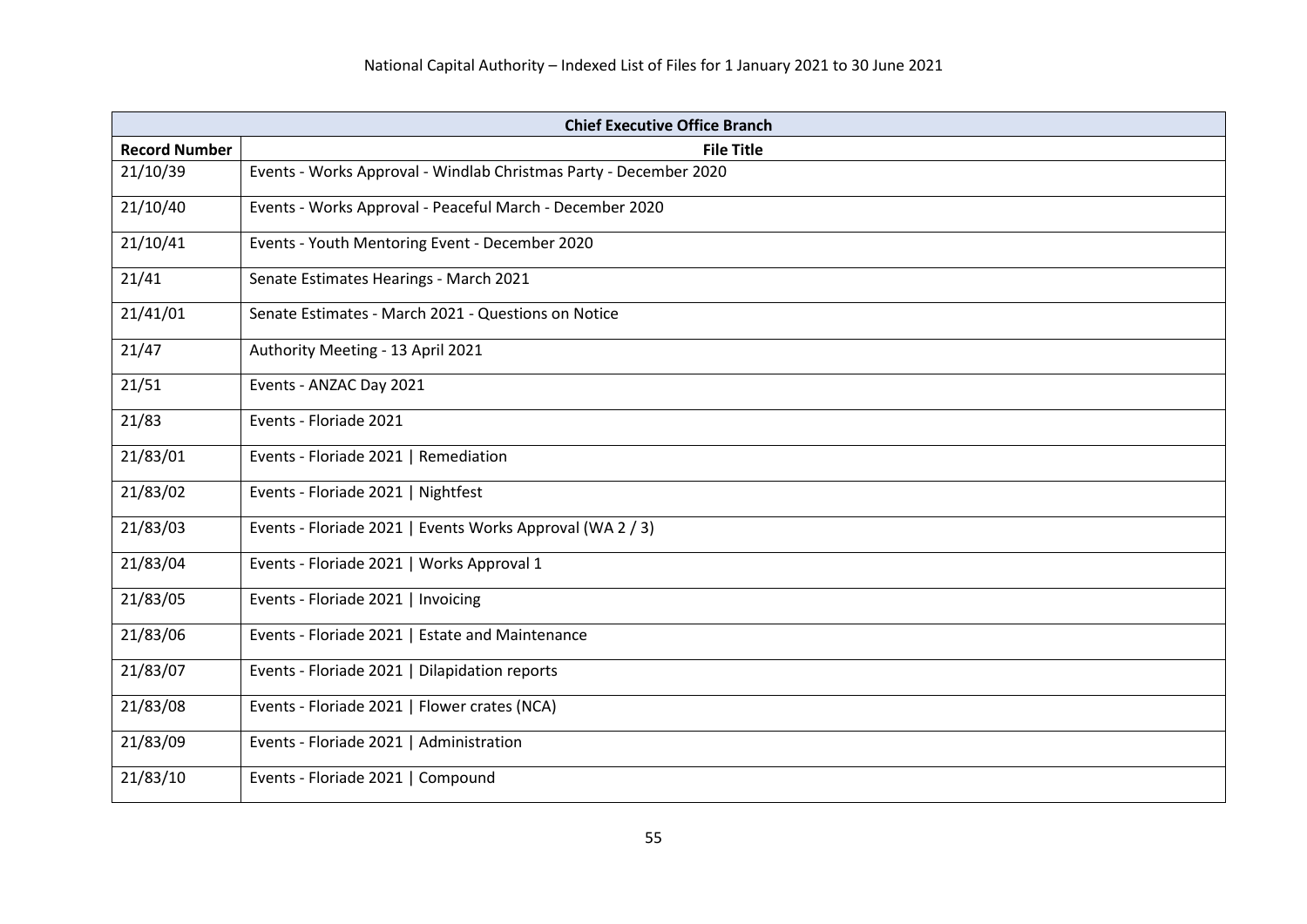| <b>Chief Executive Office Branch</b> |                                                                   |
|--------------------------------------|-------------------------------------------------------------------|
| <b>Record Number</b>                 | <b>File Title</b>                                                 |
| 21/10/39                             | Events - Works Approval - Windlab Christmas Party - December 2020 |
| 21/10/40                             | Events - Works Approval - Peaceful March - December 2020          |
| 21/10/41                             | Events - Youth Mentoring Event - December 2020                    |
| 21/41                                | Senate Estimates Hearings - March 2021                            |
| 21/41/01                             | Senate Estimates - March 2021 - Questions on Notice               |
| 21/47                                | Authority Meeting - 13 April 2021                                 |
| 21/51                                | Events - ANZAC Day 2021                                           |
| 21/83                                | Events - Floriade 2021                                            |
| 21/83/01                             | Events - Floriade 2021   Remediation                              |
| 21/83/02                             | Events - Floriade 2021   Nightfest                                |
| 21/83/03                             | Events - Floriade 2021   Events Works Approval (WA 2 / 3)         |
| 21/83/04                             | Events - Floriade 2021   Works Approval 1                         |
| 21/83/05                             | Events - Floriade 2021   Invoicing                                |
| 21/83/06                             | Events - Floriade 2021   Estate and Maintenance                   |
| 21/83/07                             | Events - Floriade 2021   Dilapidation reports                     |
| 21/83/08                             | Events - Floriade 2021   Flower crates (NCA)                      |
| 21/83/09                             | Events - Floriade 2021   Administration                           |
| 21/83/10                             | Events - Floriade 2021   Compound                                 |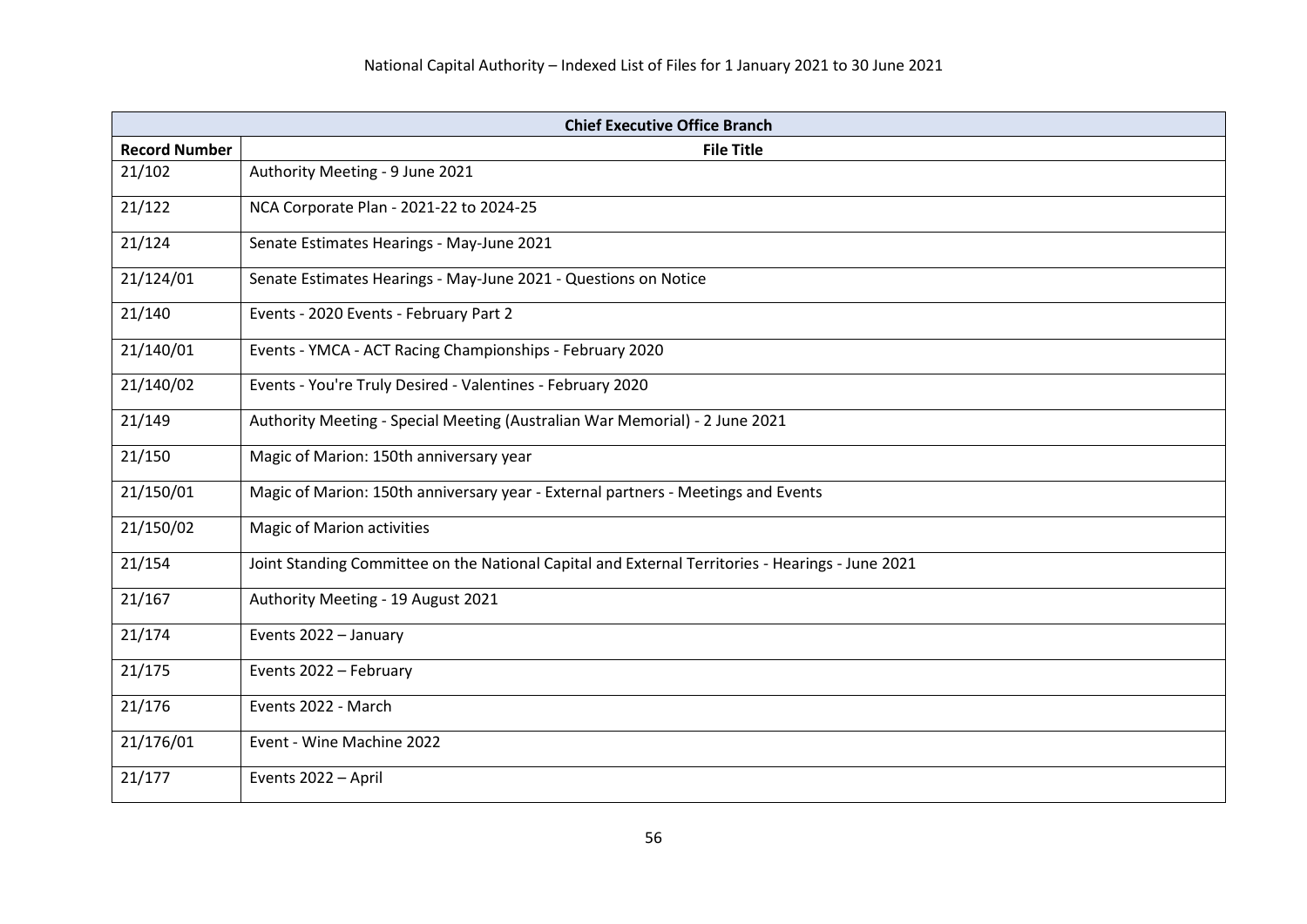| <b>Chief Executive Office Branch</b> |                                                                                                  |
|--------------------------------------|--------------------------------------------------------------------------------------------------|
| <b>Record Number</b>                 | <b>File Title</b>                                                                                |
| 21/102                               | Authority Meeting - 9 June 2021                                                                  |
| 21/122                               | NCA Corporate Plan - 2021-22 to 2024-25                                                          |
| 21/124                               | Senate Estimates Hearings - May-June 2021                                                        |
| 21/124/01                            | Senate Estimates Hearings - May-June 2021 - Questions on Notice                                  |
| 21/140                               | Events - 2020 Events - February Part 2                                                           |
| 21/140/01                            | Events - YMCA - ACT Racing Championships - February 2020                                         |
| 21/140/02                            | Events - You're Truly Desired - Valentines - February 2020                                       |
| 21/149                               | Authority Meeting - Special Meeting (Australian War Memorial) - 2 June 2021                      |
| 21/150                               | Magic of Marion: 150th anniversary year                                                          |
| 21/150/01                            | Magic of Marion: 150th anniversary year - External partners - Meetings and Events                |
| 21/150/02                            | Magic of Marion activities                                                                       |
| 21/154                               | Joint Standing Committee on the National Capital and External Territories - Hearings - June 2021 |
| 21/167                               | Authority Meeting - 19 August 2021                                                               |
| 21/174                               | Events 2022 - January                                                                            |
| 21/175                               | Events 2022 - February                                                                           |
| 21/176                               | Events 2022 - March                                                                              |
| 21/176/01                            | Event - Wine Machine 2022                                                                        |
| 21/177                               | Events 2022 - April                                                                              |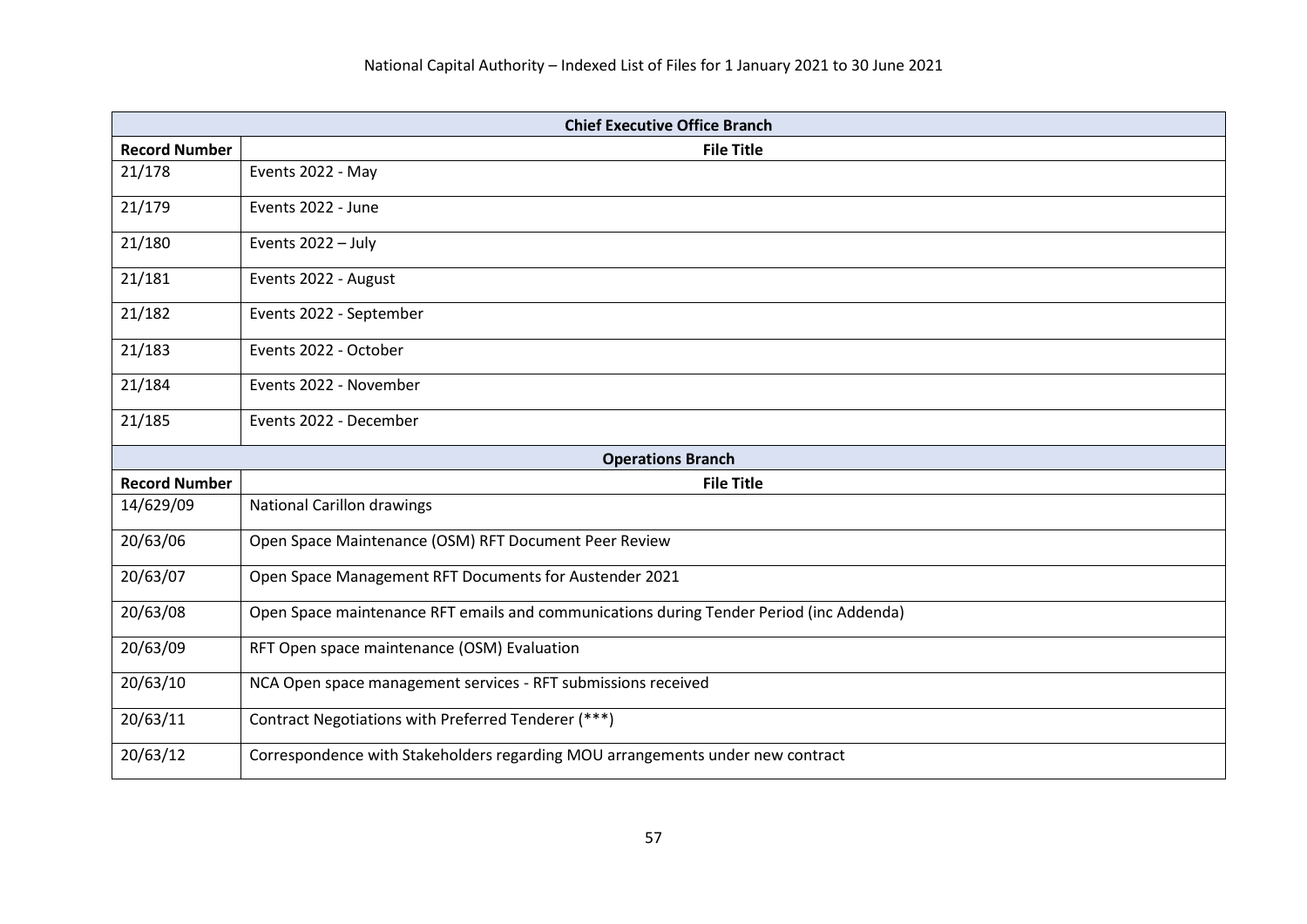| <b>Chief Executive Office Branch</b> |                                                                                         |
|--------------------------------------|-----------------------------------------------------------------------------------------|
| <b>Record Number</b>                 | <b>File Title</b>                                                                       |
| 21/178                               | Events 2022 - May                                                                       |
| 21/179                               | Events 2022 - June                                                                      |
| 21/180                               | Events 2022 - July                                                                      |
| 21/181                               | Events 2022 - August                                                                    |
| 21/182                               | Events 2022 - September                                                                 |
| 21/183                               | Events 2022 - October                                                                   |
| 21/184                               | Events 2022 - November                                                                  |
| 21/185                               | Events 2022 - December                                                                  |
|                                      | <b>Operations Branch</b>                                                                |
| <b>Record Number</b>                 | <b>File Title</b>                                                                       |
| 14/629/09                            | <b>National Carillon drawings</b>                                                       |
| 20/63/06                             | Open Space Maintenance (OSM) RFT Document Peer Review                                   |
| 20/63/07                             | Open Space Management RFT Documents for Austender 2021                                  |
| 20/63/08                             | Open Space maintenance RFT emails and communications during Tender Period (inc Addenda) |
| 20/63/09                             | RFT Open space maintenance (OSM) Evaluation                                             |
| 20/63/10                             | NCA Open space management services - RFT submissions received                           |
| 20/63/11                             | Contract Negotiations with Preferred Tenderer (***)                                     |
| 20/63/12                             | Correspondence with Stakeholders regarding MOU arrangements under new contract          |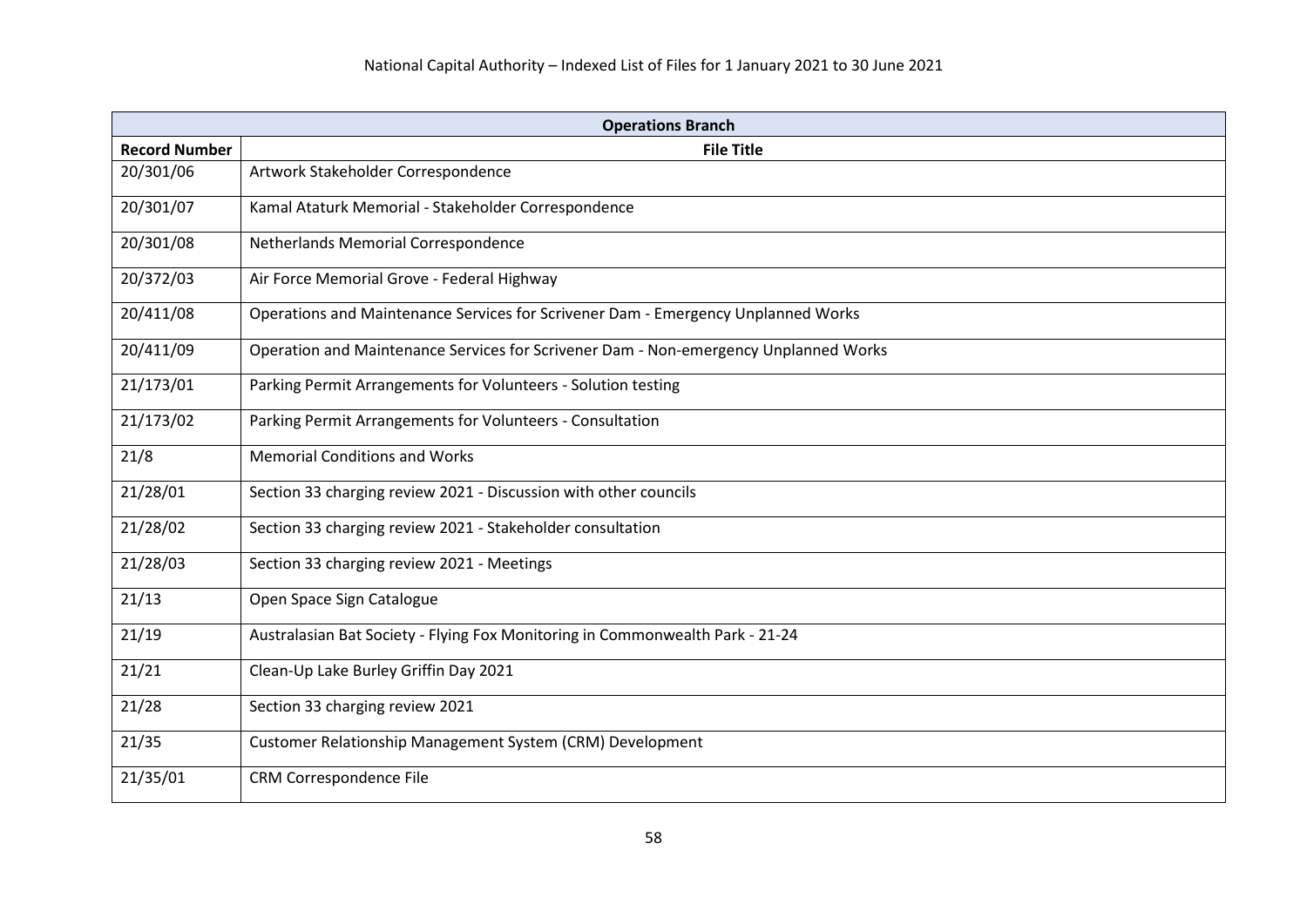| <b>Operations Branch</b> |                                                                                      |
|--------------------------|--------------------------------------------------------------------------------------|
| <b>Record Number</b>     | <b>File Title</b>                                                                    |
| 20/301/06                | Artwork Stakeholder Correspondence                                                   |
| 20/301/07                | Kamal Ataturk Memorial - Stakeholder Correspondence                                  |
| 20/301/08                | Netherlands Memorial Correspondence                                                  |
| 20/372/03                | Air Force Memorial Grove - Federal Highway                                           |
| 20/411/08                | Operations and Maintenance Services for Scrivener Dam - Emergency Unplanned Works    |
| 20/411/09                | Operation and Maintenance Services for Scrivener Dam - Non-emergency Unplanned Works |
| 21/173/01                | Parking Permit Arrangements for Volunteers - Solution testing                        |
| 21/173/02                | Parking Permit Arrangements for Volunteers - Consultation                            |
| 21/8                     | <b>Memorial Conditions and Works</b>                                                 |
| 21/28/01                 | Section 33 charging review 2021 - Discussion with other councils                     |
| 21/28/02                 | Section 33 charging review 2021 - Stakeholder consultation                           |
| 21/28/03                 | Section 33 charging review 2021 - Meetings                                           |
| 21/13                    | Open Space Sign Catalogue                                                            |
| 21/19                    | Australasian Bat Society - Flying Fox Monitoring in Commonwealth Park - 21-24        |
| 21/21                    | Clean-Up Lake Burley Griffin Day 2021                                                |
| 21/28                    | Section 33 charging review 2021                                                      |
| 21/35                    | Customer Relationship Management System (CRM) Development                            |
| 21/35/01                 | CRM Correspondence File                                                              |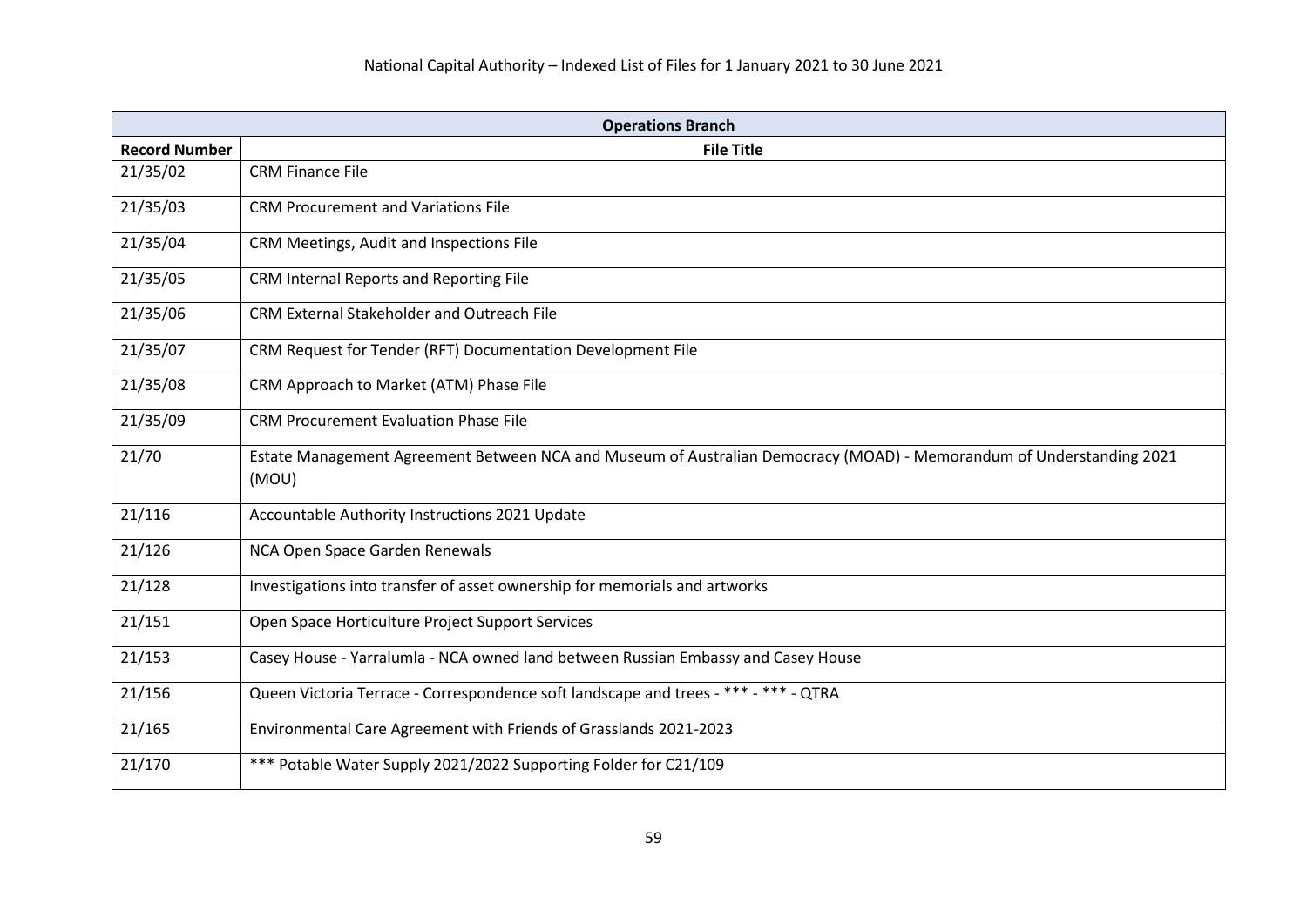| <b>Operations Branch</b> |                                                                                                                               |
|--------------------------|-------------------------------------------------------------------------------------------------------------------------------|
| <b>Record Number</b>     | <b>File Title</b>                                                                                                             |
| 21/35/02                 | <b>CRM Finance File</b>                                                                                                       |
| 21/35/03                 | <b>CRM Procurement and Variations File</b>                                                                                    |
| 21/35/04                 | CRM Meetings, Audit and Inspections File                                                                                      |
| 21/35/05                 | CRM Internal Reports and Reporting File                                                                                       |
| 21/35/06                 | CRM External Stakeholder and Outreach File                                                                                    |
| 21/35/07                 | CRM Request for Tender (RFT) Documentation Development File                                                                   |
| 21/35/08                 | CRM Approach to Market (ATM) Phase File                                                                                       |
| 21/35/09                 | <b>CRM Procurement Evaluation Phase File</b>                                                                                  |
| 21/70                    | Estate Management Agreement Between NCA and Museum of Australian Democracy (MOAD) - Memorandum of Understanding 2021<br>(MOU) |
| 21/116                   | Accountable Authority Instructions 2021 Update                                                                                |
| 21/126                   | NCA Open Space Garden Renewals                                                                                                |
| 21/128                   | Investigations into transfer of asset ownership for memorials and artworks                                                    |
| 21/151                   | Open Space Horticulture Project Support Services                                                                              |
| 21/153                   | Casey House - Yarralumla - NCA owned land between Russian Embassy and Casey House                                             |
| 21/156                   | Queen Victoria Terrace - Correspondence soft landscape and trees - *** - *** - QTRA                                           |
| 21/165                   | Environmental Care Agreement with Friends of Grasslands 2021-2023                                                             |
| 21/170                   | *** Potable Water Supply 2021/2022 Supporting Folder for C21/109                                                              |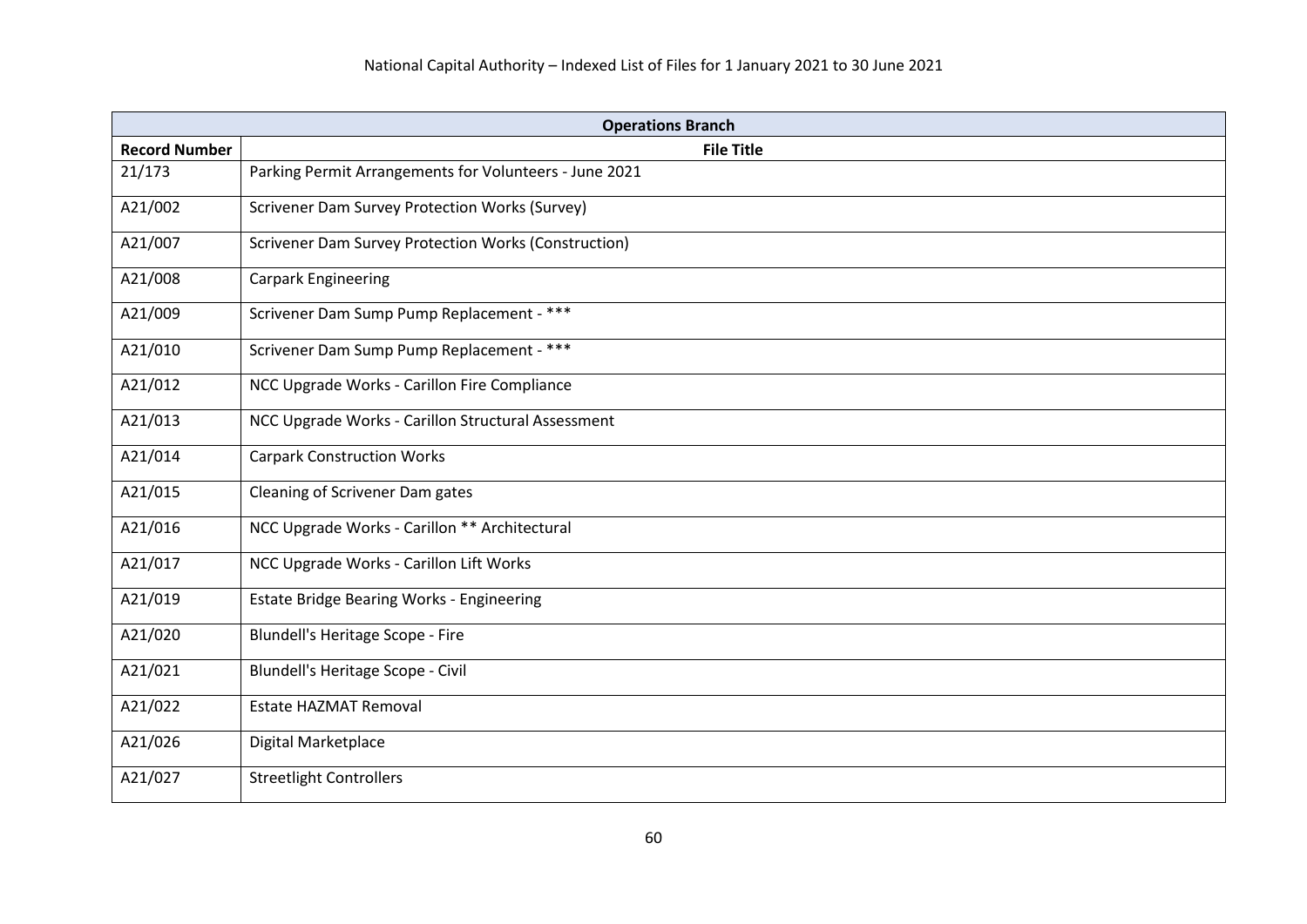| <b>Operations Branch</b> |                                                        |
|--------------------------|--------------------------------------------------------|
| <b>Record Number</b>     | <b>File Title</b>                                      |
| 21/173                   | Parking Permit Arrangements for Volunteers - June 2021 |
| A21/002                  | Scrivener Dam Survey Protection Works (Survey)         |
| A21/007                  | Scrivener Dam Survey Protection Works (Construction)   |
| A21/008                  | <b>Carpark Engineering</b>                             |
| A21/009                  | Scrivener Dam Sump Pump Replacement - ***              |
| A21/010                  | Scrivener Dam Sump Pump Replacement - ***              |
| A21/012                  | NCC Upgrade Works - Carillon Fire Compliance           |
| A21/013                  | NCC Upgrade Works - Carillon Structural Assessment     |
| A21/014                  | <b>Carpark Construction Works</b>                      |
| A21/015                  | Cleaning of Scrivener Dam gates                        |
| A21/016                  | NCC Upgrade Works - Carillon ** Architectural          |
| A21/017                  | NCC Upgrade Works - Carillon Lift Works                |
| A21/019                  | Estate Bridge Bearing Works - Engineering              |
| A21/020                  | Blundell's Heritage Scope - Fire                       |
| A21/021                  | Blundell's Heritage Scope - Civil                      |
| A21/022                  | <b>Estate HAZMAT Removal</b>                           |
| A21/026                  | Digital Marketplace                                    |
| A21/027                  | <b>Streetlight Controllers</b>                         |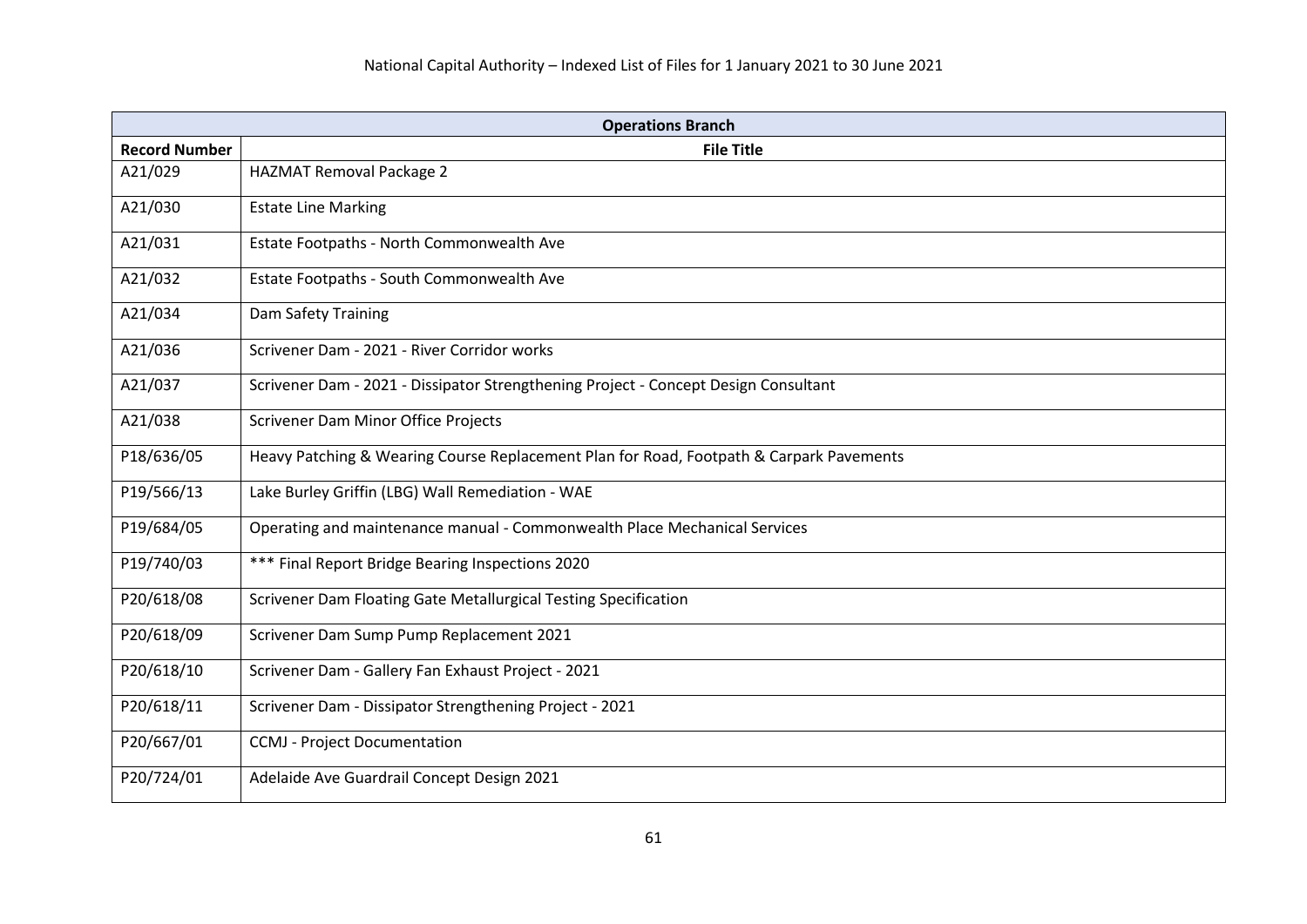| <b>Operations Branch</b> |                                                                                         |
|--------------------------|-----------------------------------------------------------------------------------------|
| <b>Record Number</b>     | <b>File Title</b>                                                                       |
| A21/029                  | <b>HAZMAT Removal Package 2</b>                                                         |
| A21/030                  | <b>Estate Line Marking</b>                                                              |
| A21/031                  | Estate Footpaths - North Commonwealth Ave                                               |
| A21/032                  | Estate Footpaths - South Commonwealth Ave                                               |
| A21/034                  | Dam Safety Training                                                                     |
| A21/036                  | Scrivener Dam - 2021 - River Corridor works                                             |
| A21/037                  | Scrivener Dam - 2021 - Dissipator Strengthening Project - Concept Design Consultant     |
| A21/038                  | <b>Scrivener Dam Minor Office Projects</b>                                              |
| P18/636/05               | Heavy Patching & Wearing Course Replacement Plan for Road, Footpath & Carpark Pavements |
| P19/566/13               | Lake Burley Griffin (LBG) Wall Remediation - WAE                                        |
| P19/684/05               | Operating and maintenance manual - Commonwealth Place Mechanical Services               |
| P19/740/03               | *** Final Report Bridge Bearing Inspections 2020                                        |
| P20/618/08               | Scrivener Dam Floating Gate Metallurgical Testing Specification                         |
| P20/618/09               | Scrivener Dam Sump Pump Replacement 2021                                                |
| P20/618/10               | Scrivener Dam - Gallery Fan Exhaust Project - 2021                                      |
| P20/618/11               | Scrivener Dam - Dissipator Strengthening Project - 2021                                 |
| P20/667/01               | <b>CCMJ</b> - Project Documentation                                                     |
| P20/724/01               | Adelaide Ave Guardrail Concept Design 2021                                              |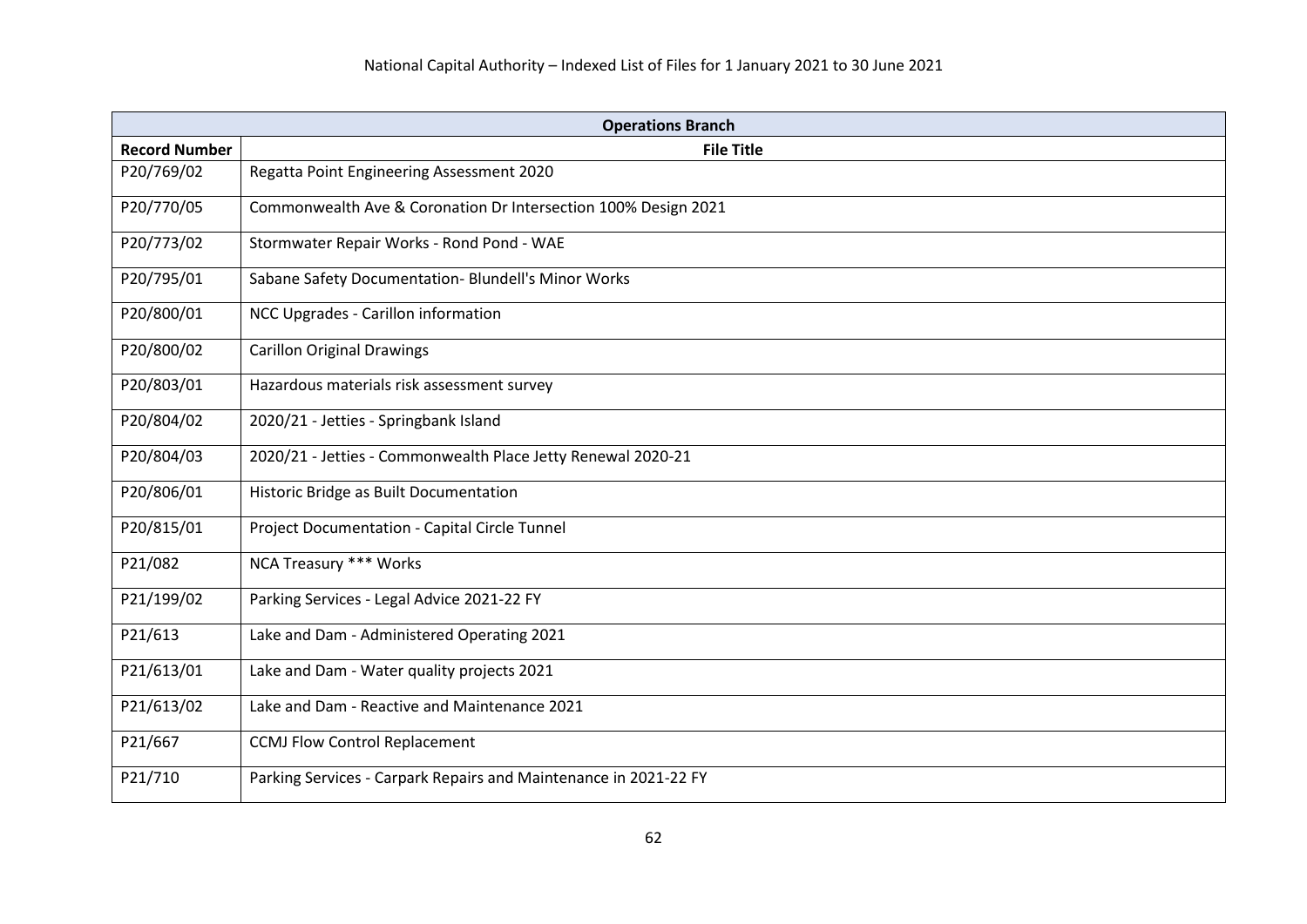| <b>Operations Branch</b> |                                                                  |
|--------------------------|------------------------------------------------------------------|
| <b>Record Number</b>     | <b>File Title</b>                                                |
| P20/769/02               | Regatta Point Engineering Assessment 2020                        |
| P20/770/05               | Commonwealth Ave & Coronation Dr Intersection 100% Design 2021   |
| P20/773/02               | Stormwater Repair Works - Rond Pond - WAE                        |
| P20/795/01               | Sabane Safety Documentation- Blundell's Minor Works              |
| P20/800/01               | NCC Upgrades - Carillon information                              |
| P20/800/02               | <b>Carillon Original Drawings</b>                                |
| P20/803/01               | Hazardous materials risk assessment survey                       |
| P20/804/02               | 2020/21 - Jetties - Springbank Island                            |
| P20/804/03               | 2020/21 - Jetties - Commonwealth Place Jetty Renewal 2020-21     |
| P20/806/01               | Historic Bridge as Built Documentation                           |
| P20/815/01               | Project Documentation - Capital Circle Tunnel                    |
| P21/082                  | NCA Treasury *** Works                                           |
| P21/199/02               | Parking Services - Legal Advice 2021-22 FY                       |
| P21/613                  | Lake and Dam - Administered Operating 2021                       |
| P21/613/01               | Lake and Dam - Water quality projects 2021                       |
| P21/613/02               | Lake and Dam - Reactive and Maintenance 2021                     |
| P21/667                  | <b>CCMJ Flow Control Replacement</b>                             |
| P21/710                  | Parking Services - Carpark Repairs and Maintenance in 2021-22 FY |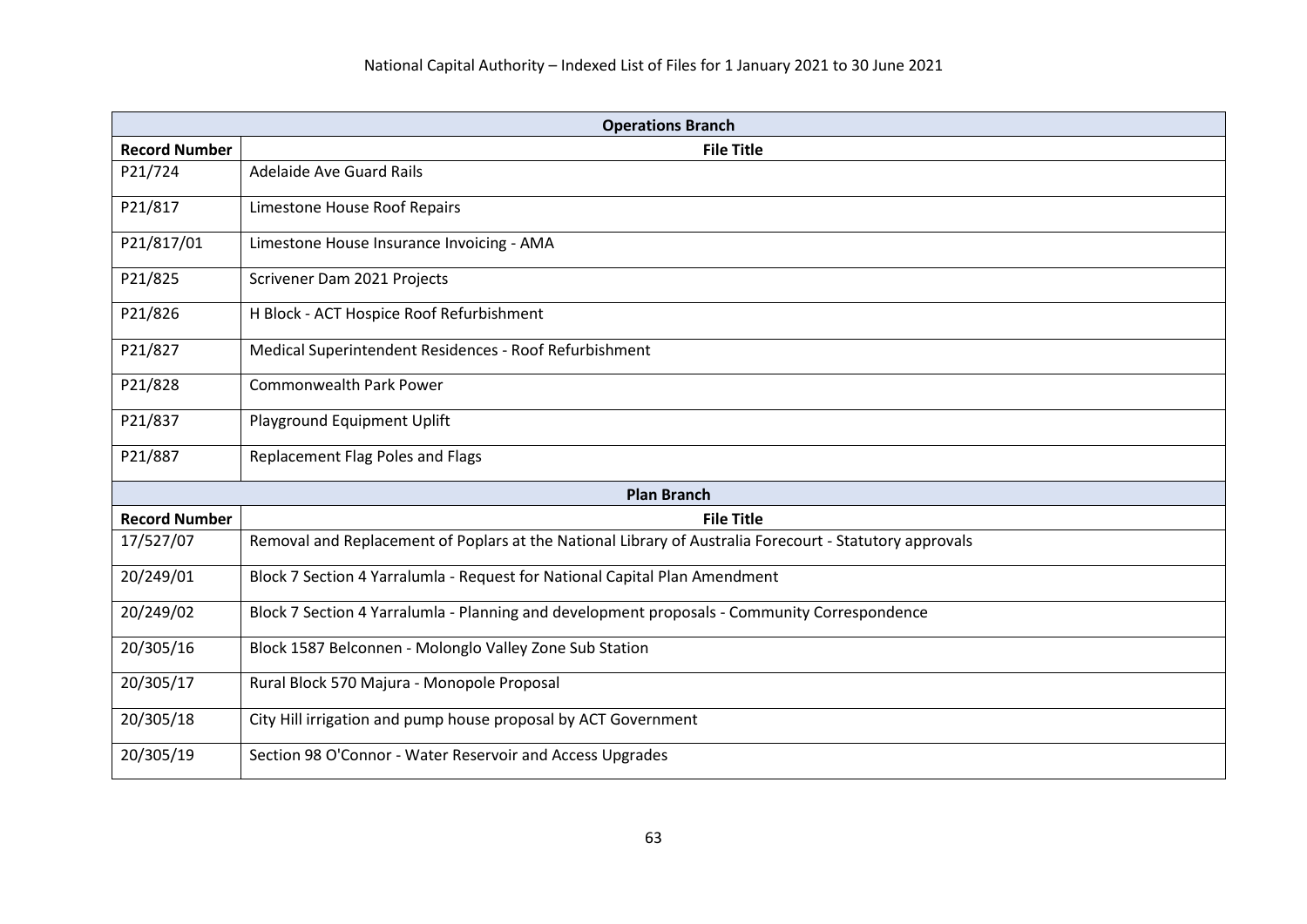| <b>Operations Branch</b> |                                                                                                         |
|--------------------------|---------------------------------------------------------------------------------------------------------|
| <b>Record Number</b>     | <b>File Title</b>                                                                                       |
| P21/724                  | <b>Adelaide Ave Guard Rails</b>                                                                         |
| P21/817                  | Limestone House Roof Repairs                                                                            |
| P21/817/01               | Limestone House Insurance Invoicing - AMA                                                               |
| P21/825                  | Scrivener Dam 2021 Projects                                                                             |
| P21/826                  | H Block - ACT Hospice Roof Refurbishment                                                                |
| P21/827                  | Medical Superintendent Residences - Roof Refurbishment                                                  |
| P21/828                  | <b>Commonwealth Park Power</b>                                                                          |
| P21/837                  | Playground Equipment Uplift                                                                             |
| P21/887                  | Replacement Flag Poles and Flags                                                                        |
|                          | <b>Plan Branch</b>                                                                                      |
| <b>Record Number</b>     | <b>File Title</b>                                                                                       |
| 17/527/07                | Removal and Replacement of Poplars at the National Library of Australia Forecourt - Statutory approvals |
| 20/249/01                | Block 7 Section 4 Yarralumla - Request for National Capital Plan Amendment                              |
| 20/249/02                | Block 7 Section 4 Yarralumla - Planning and development proposals - Community Correspondence            |
| 20/305/16                | Block 1587 Belconnen - Molonglo Valley Zone Sub Station                                                 |
| 20/305/17                | Rural Block 570 Majura - Monopole Proposal                                                              |
| 20/305/18                | City Hill irrigation and pump house proposal by ACT Government                                          |
| 20/305/19                | Section 98 O'Connor - Water Reservoir and Access Upgrades                                               |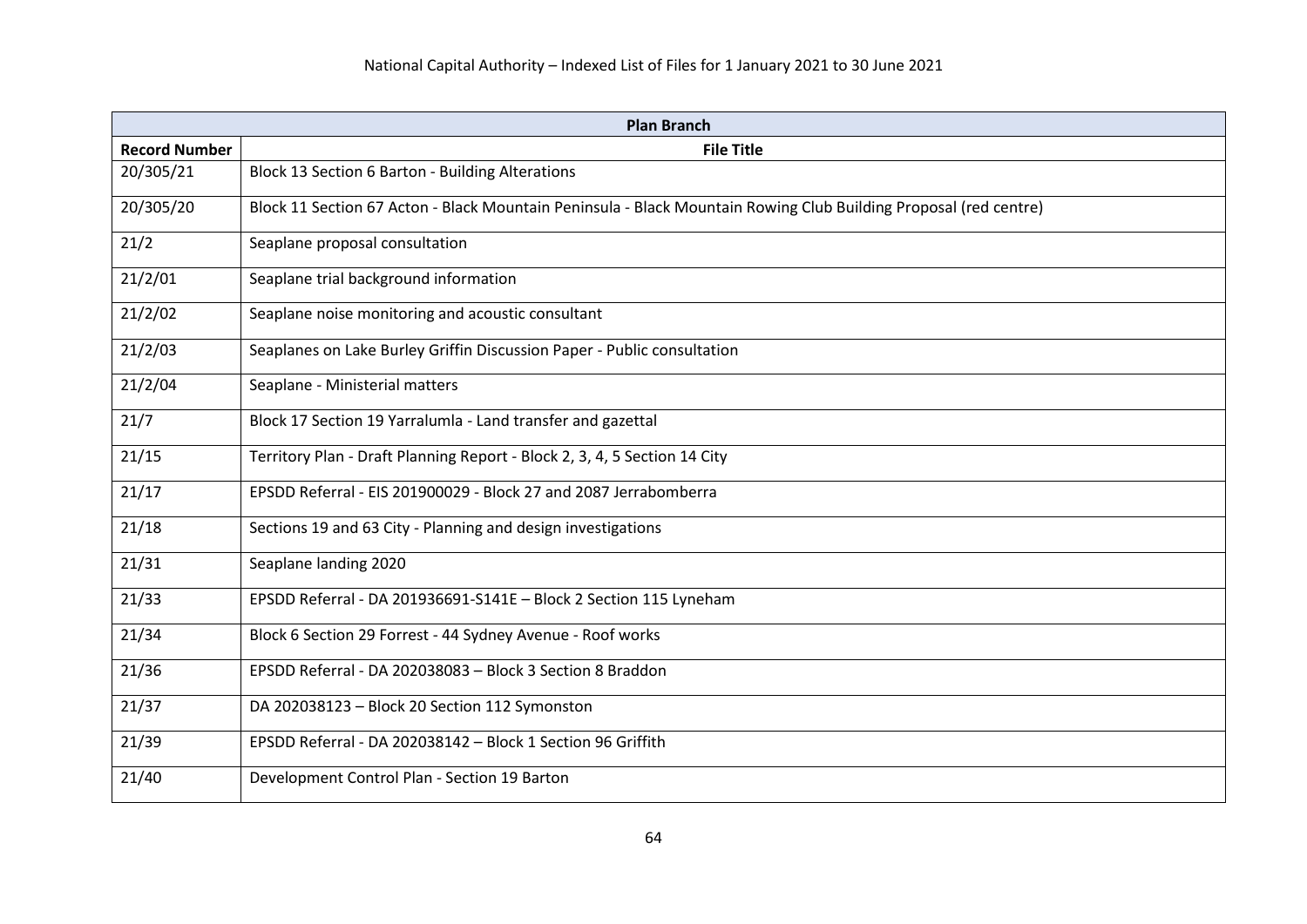| <b>Plan Branch</b>   |                                                                                                                  |
|----------------------|------------------------------------------------------------------------------------------------------------------|
| <b>Record Number</b> | <b>File Title</b>                                                                                                |
| 20/305/21            | Block 13 Section 6 Barton - Building Alterations                                                                 |
| 20/305/20            | Block 11 Section 67 Acton - Black Mountain Peninsula - Black Mountain Rowing Club Building Proposal (red centre) |
| 21/2                 | Seaplane proposal consultation                                                                                   |
| 21/2/01              | Seaplane trial background information                                                                            |
| 21/2/02              | Seaplane noise monitoring and acoustic consultant                                                                |
| 21/2/03              | Seaplanes on Lake Burley Griffin Discussion Paper - Public consultation                                          |
| 21/2/04              | Seaplane - Ministerial matters                                                                                   |
| 21/7                 | Block 17 Section 19 Yarralumla - Land transfer and gazettal                                                      |
| 21/15                | Territory Plan - Draft Planning Report - Block 2, 3, 4, 5 Section 14 City                                        |
| 21/17                | EPSDD Referral - EIS 201900029 - Block 27 and 2087 Jerrabomberra                                                 |
| 21/18                | Sections 19 and 63 City - Planning and design investigations                                                     |
| 21/31                | Seaplane landing 2020                                                                                            |
| 21/33                | EPSDD Referral - DA 201936691-S141E - Block 2 Section 115 Lyneham                                                |
| 21/34                | Block 6 Section 29 Forrest - 44 Sydney Avenue - Roof works                                                       |
| 21/36                | EPSDD Referral - DA 202038083 - Block 3 Section 8 Braddon                                                        |
| 21/37                | DA 202038123 - Block 20 Section 112 Symonston                                                                    |
| 21/39                | EPSDD Referral - DA 202038142 - Block 1 Section 96 Griffith                                                      |
| 21/40                | Development Control Plan - Section 19 Barton                                                                     |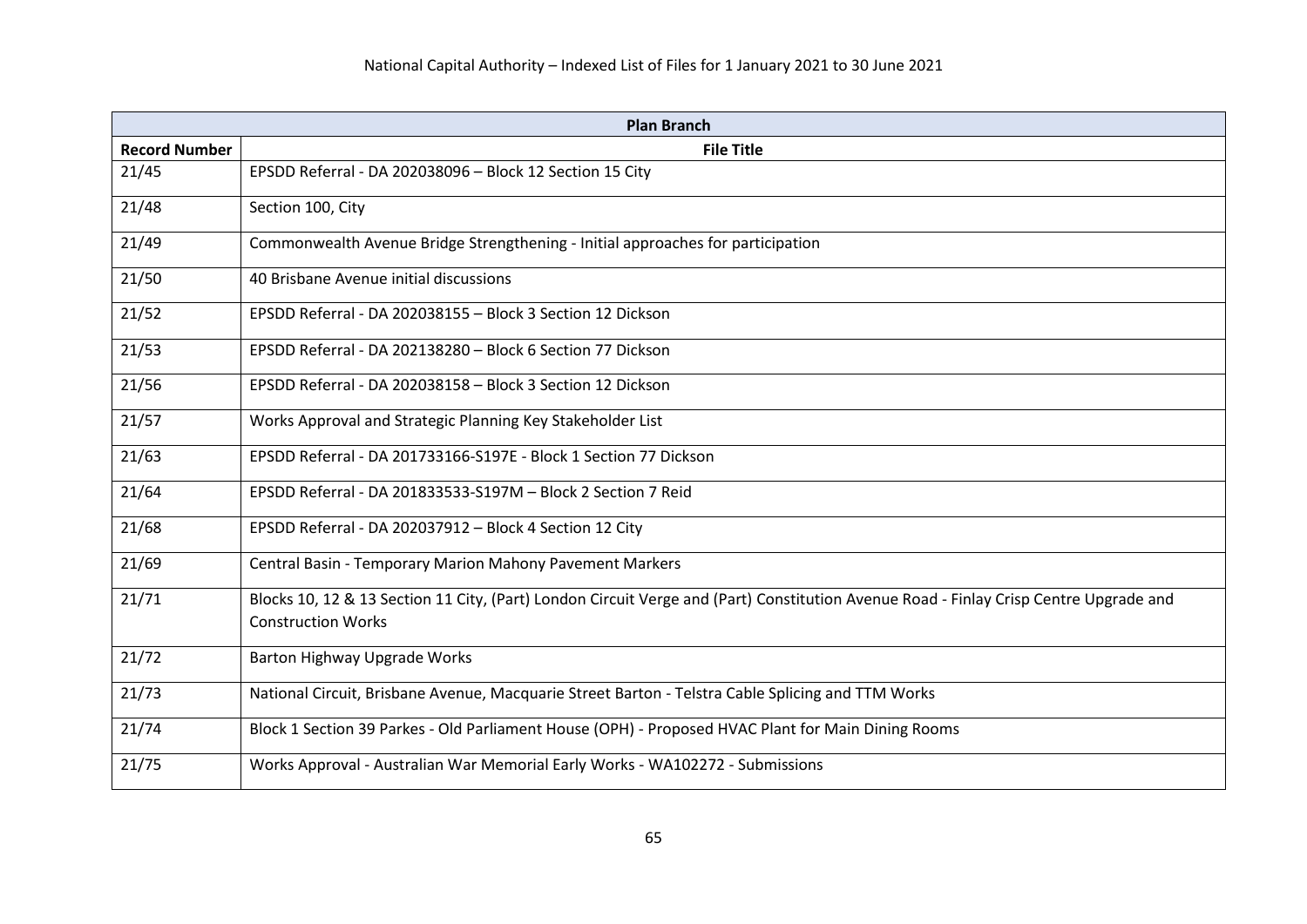| <b>Plan Branch</b>   |                                                                                                                                                                    |
|----------------------|--------------------------------------------------------------------------------------------------------------------------------------------------------------------|
| <b>Record Number</b> | <b>File Title</b>                                                                                                                                                  |
| 21/45                | EPSDD Referral - DA 202038096 - Block 12 Section 15 City                                                                                                           |
| 21/48                | Section 100, City                                                                                                                                                  |
| 21/49                | Commonwealth Avenue Bridge Strengthening - Initial approaches for participation                                                                                    |
| 21/50                | 40 Brisbane Avenue initial discussions                                                                                                                             |
| 21/52                | EPSDD Referral - DA 202038155 - Block 3 Section 12 Dickson                                                                                                         |
| 21/53                | EPSDD Referral - DA 202138280 - Block 6 Section 77 Dickson                                                                                                         |
| 21/56                | EPSDD Referral - DA 202038158 - Block 3 Section 12 Dickson                                                                                                         |
| 21/57                | Works Approval and Strategic Planning Key Stakeholder List                                                                                                         |
| 21/63                | EPSDD Referral - DA 201733166-S197E - Block 1 Section 77 Dickson                                                                                                   |
| 21/64                | EPSDD Referral - DA 201833533-S197M - Block 2 Section 7 Reid                                                                                                       |
| 21/68                | EPSDD Referral - DA 202037912 - Block 4 Section 12 City                                                                                                            |
| 21/69                | Central Basin - Temporary Marion Mahony Pavement Markers                                                                                                           |
| 21/71                | Blocks 10, 12 & 13 Section 11 City, (Part) London Circuit Verge and (Part) Constitution Avenue Road - Finlay Crisp Centre Upgrade and<br><b>Construction Works</b> |
| 21/72                | Barton Highway Upgrade Works                                                                                                                                       |
| 21/73                | National Circuit, Brisbane Avenue, Macquarie Street Barton - Telstra Cable Splicing and TTM Works                                                                  |
| 21/74                | Block 1 Section 39 Parkes - Old Parliament House (OPH) - Proposed HVAC Plant for Main Dining Rooms                                                                 |
| 21/75                | Works Approval - Australian War Memorial Early Works - WA102272 - Submissions                                                                                      |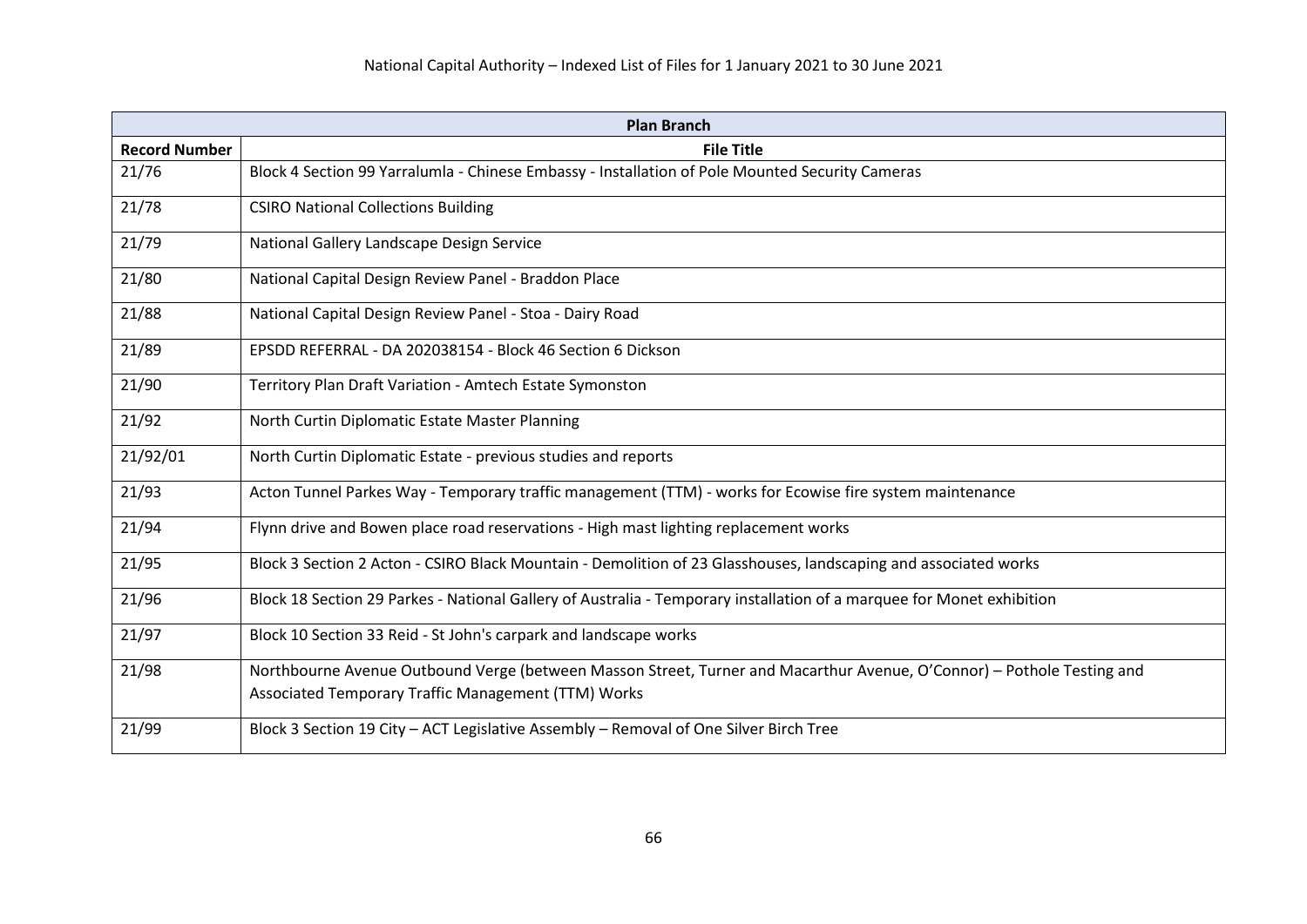| <b>Plan Branch</b>   |                                                                                                                        |
|----------------------|------------------------------------------------------------------------------------------------------------------------|
| <b>Record Number</b> | <b>File Title</b>                                                                                                      |
| 21/76                | Block 4 Section 99 Yarralumla - Chinese Embassy - Installation of Pole Mounted Security Cameras                        |
| 21/78                | <b>CSIRO National Collections Building</b>                                                                             |
| 21/79                | National Gallery Landscape Design Service                                                                              |
| 21/80                | National Capital Design Review Panel - Braddon Place                                                                   |
| 21/88                | National Capital Design Review Panel - Stoa - Dairy Road                                                               |
| 21/89                | EPSDD REFERRAL - DA 202038154 - Block 46 Section 6 Dickson                                                             |
| 21/90                | Territory Plan Draft Variation - Amtech Estate Symonston                                                               |
| 21/92                | North Curtin Diplomatic Estate Master Planning                                                                         |
| 21/92/01             | North Curtin Diplomatic Estate - previous studies and reports                                                          |
| 21/93                | Acton Tunnel Parkes Way - Temporary traffic management (TTM) - works for Ecowise fire system maintenance               |
| 21/94                | Flynn drive and Bowen place road reservations - High mast lighting replacement works                                   |
| 21/95                | Block 3 Section 2 Acton - CSIRO Black Mountain - Demolition of 23 Glasshouses, landscaping and associated works        |
| 21/96                | Block 18 Section 29 Parkes - National Gallery of Australia - Temporary installation of a marquee for Monet exhibition  |
| 21/97                | Block 10 Section 33 Reid - St John's carpark and landscape works                                                       |
| 21/98                | Northbourne Avenue Outbound Verge (between Masson Street, Turner and Macarthur Avenue, O'Connor) - Pothole Testing and |
|                      | Associated Temporary Traffic Management (TTM) Works                                                                    |
| 21/99                | Block 3 Section 19 City - ACT Legislative Assembly - Removal of One Silver Birch Tree                                  |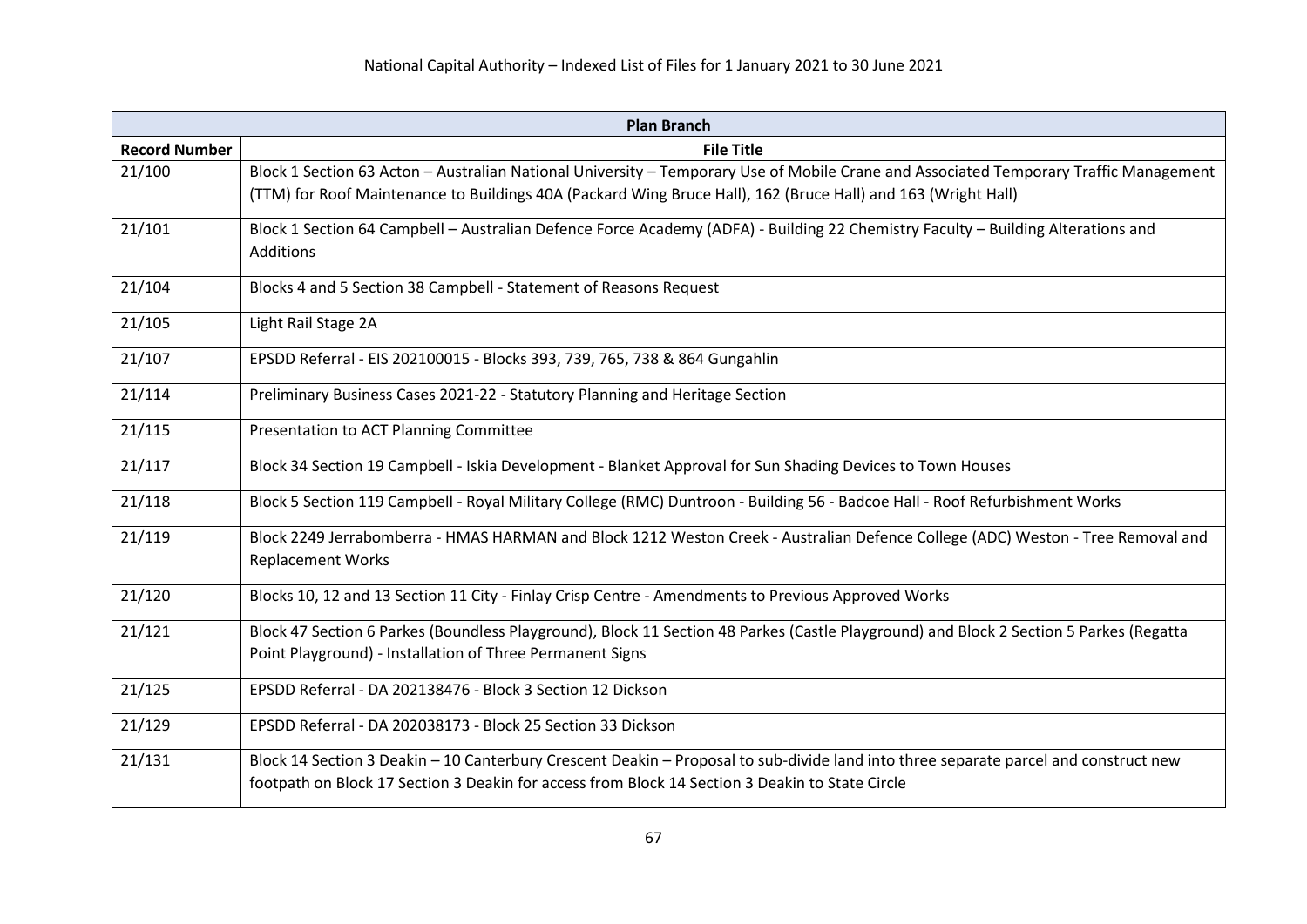| <b>Plan Branch</b>   |                                                                                                                                                                                                                                                        |
|----------------------|--------------------------------------------------------------------------------------------------------------------------------------------------------------------------------------------------------------------------------------------------------|
| <b>Record Number</b> | <b>File Title</b>                                                                                                                                                                                                                                      |
| 21/100               | Block 1 Section 63 Acton - Australian National University - Temporary Use of Mobile Crane and Associated Temporary Traffic Management<br>(TTM) for Roof Maintenance to Buildings 40A (Packard Wing Bruce Hall), 162 (Bruce Hall) and 163 (Wright Hall) |
| 21/101               | Block 1 Section 64 Campbell - Australian Defence Force Academy (ADFA) - Building 22 Chemistry Faculty - Building Alterations and<br>Additions                                                                                                          |
| 21/104               | Blocks 4 and 5 Section 38 Campbell - Statement of Reasons Request                                                                                                                                                                                      |
| 21/105               | Light Rail Stage 2A                                                                                                                                                                                                                                    |
| 21/107               | EPSDD Referral - EIS 202100015 - Blocks 393, 739, 765, 738 & 864 Gungahlin                                                                                                                                                                             |
| 21/114               | Preliminary Business Cases 2021-22 - Statutory Planning and Heritage Section                                                                                                                                                                           |
| 21/115               | Presentation to ACT Planning Committee                                                                                                                                                                                                                 |
| 21/117               | Block 34 Section 19 Campbell - Iskia Development - Blanket Approval for Sun Shading Devices to Town Houses                                                                                                                                             |
| 21/118               | Block 5 Section 119 Campbell - Royal Military College (RMC) Duntroon - Building 56 - Badcoe Hall - Roof Refurbishment Works                                                                                                                            |
| 21/119               | Block 2249 Jerrabomberra - HMAS HARMAN and Block 1212 Weston Creek - Australian Defence College (ADC) Weston - Tree Removal and<br><b>Replacement Works</b>                                                                                            |
| 21/120               | Blocks 10, 12 and 13 Section 11 City - Finlay Crisp Centre - Amendments to Previous Approved Works                                                                                                                                                     |
| 21/121               | Block 47 Section 6 Parkes (Boundless Playground), Block 11 Section 48 Parkes (Castle Playground) and Block 2 Section 5 Parkes (Regatta<br>Point Playground) - Installation of Three Permanent Signs                                                    |
| 21/125               | EPSDD Referral - DA 202138476 - Block 3 Section 12 Dickson                                                                                                                                                                                             |
| 21/129               | EPSDD Referral - DA 202038173 - Block 25 Section 33 Dickson                                                                                                                                                                                            |
| 21/131               | Block 14 Section 3 Deakin - 10 Canterbury Crescent Deakin - Proposal to sub-divide land into three separate parcel and construct new<br>footpath on Block 17 Section 3 Deakin for access from Block 14 Section 3 Deakin to State Circle                |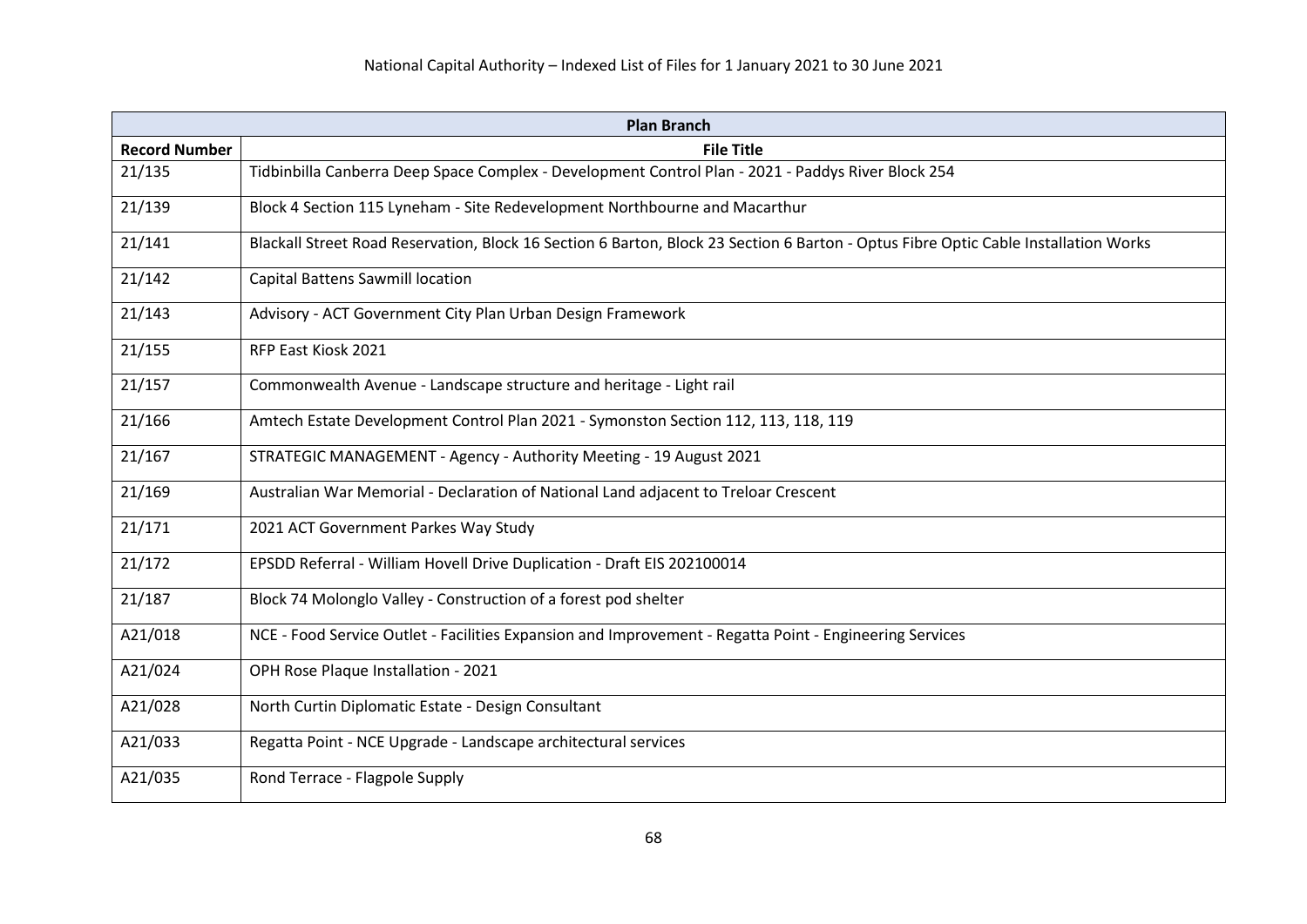| <b>Plan Branch</b>   |                                                                                                                                     |
|----------------------|-------------------------------------------------------------------------------------------------------------------------------------|
| <b>Record Number</b> | <b>File Title</b>                                                                                                                   |
| 21/135               | Tidbinbilla Canberra Deep Space Complex - Development Control Plan - 2021 - Paddys River Block 254                                  |
| 21/139               | Block 4 Section 115 Lyneham - Site Redevelopment Northbourne and Macarthur                                                          |
| 21/141               | Blackall Street Road Reservation, Block 16 Section 6 Barton, Block 23 Section 6 Barton - Optus Fibre Optic Cable Installation Works |
| 21/142               | <b>Capital Battens Sawmill location</b>                                                                                             |
| 21/143               | Advisory - ACT Government City Plan Urban Design Framework                                                                          |
| 21/155               | RFP East Kiosk 2021                                                                                                                 |
| 21/157               | Commonwealth Avenue - Landscape structure and heritage - Light rail                                                                 |
| 21/166               | Amtech Estate Development Control Plan 2021 - Symonston Section 112, 113, 118, 119                                                  |
| 21/167               | STRATEGIC MANAGEMENT - Agency - Authority Meeting - 19 August 2021                                                                  |
| 21/169               | Australian War Memorial - Declaration of National Land adjacent to Treloar Crescent                                                 |
| 21/171               | 2021 ACT Government Parkes Way Study                                                                                                |
| 21/172               | EPSDD Referral - William Hovell Drive Duplication - Draft EIS 202100014                                                             |
| 21/187               | Block 74 Molonglo Valley - Construction of a forest pod shelter                                                                     |
| A21/018              | NCE - Food Service Outlet - Facilities Expansion and Improvement - Regatta Point - Engineering Services                             |
| A21/024              | OPH Rose Plaque Installation - 2021                                                                                                 |
| A21/028              | North Curtin Diplomatic Estate - Design Consultant                                                                                  |
| A21/033              | Regatta Point - NCE Upgrade - Landscape architectural services                                                                      |
| A21/035              | Rond Terrace - Flagpole Supply                                                                                                      |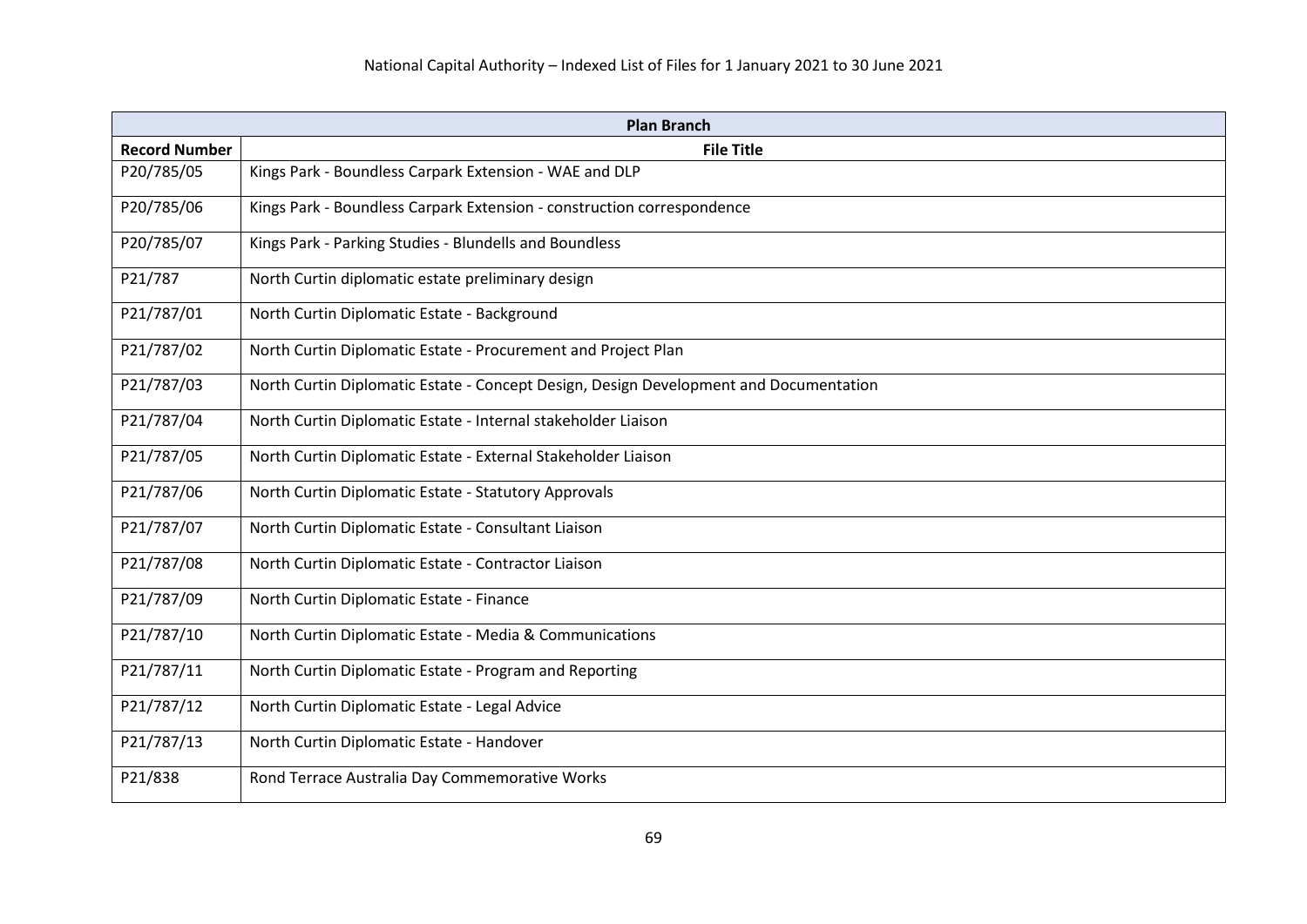| <b>Plan Branch</b>   |                                                                                       |
|----------------------|---------------------------------------------------------------------------------------|
| <b>Record Number</b> | <b>File Title</b>                                                                     |
| P20/785/05           | Kings Park - Boundless Carpark Extension - WAE and DLP                                |
| P20/785/06           | Kings Park - Boundless Carpark Extension - construction correspondence                |
| P20/785/07           | Kings Park - Parking Studies - Blundells and Boundless                                |
| P21/787              | North Curtin diplomatic estate preliminary design                                     |
| P21/787/01           | North Curtin Diplomatic Estate - Background                                           |
| P21/787/02           | North Curtin Diplomatic Estate - Procurement and Project Plan                         |
| P21/787/03           | North Curtin Diplomatic Estate - Concept Design, Design Development and Documentation |
| P21/787/04           | North Curtin Diplomatic Estate - Internal stakeholder Liaison                         |
| P21/787/05           | North Curtin Diplomatic Estate - External Stakeholder Liaison                         |
| P21/787/06           | North Curtin Diplomatic Estate - Statutory Approvals                                  |
| P21/787/07           | North Curtin Diplomatic Estate - Consultant Liaison                                   |
| P21/787/08           | North Curtin Diplomatic Estate - Contractor Liaison                                   |
| P21/787/09           | North Curtin Diplomatic Estate - Finance                                              |
| P21/787/10           | North Curtin Diplomatic Estate - Media & Communications                               |
| P21/787/11           | North Curtin Diplomatic Estate - Program and Reporting                                |
| P21/787/12           | North Curtin Diplomatic Estate - Legal Advice                                         |
| P21/787/13           | North Curtin Diplomatic Estate - Handover                                             |
| P21/838              | Rond Terrace Australia Day Commemorative Works                                        |